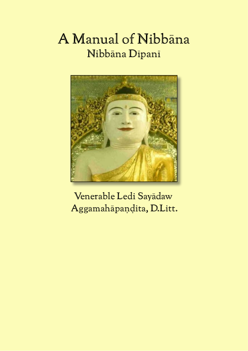## A Manual of Nibbāna Nibbāna Dīpanī



Venerable Ledi Sayādaw Aggamahāpaṇḍita, D.Litt.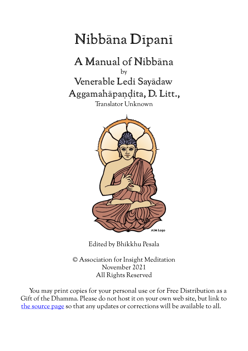# Nibbāna Dīpanī

A Manual of Nibbāna by Venerable Ledi Sayādaw Aggamahāpaṇḍita, D. Litt., Translator Unknown



Edited by Bhikkhu Pesala

© Association for Insight Meditation November 2021 All Rights Reserved

You may print copies for your personal use or for Free Distribution as a Gift of the Dhamma. Please do not host it on your own web site, but link to [the source page](http://www.aimwell.org/ledi.html) so that any updates or corrections will be available to all.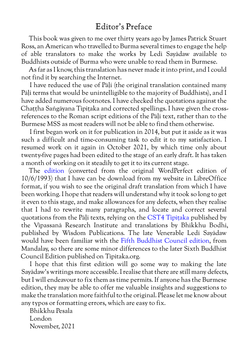## <span id="page-3-0"></span>Editor's Preface

This book was given to me over thirty years ago by James Patrick Stuart Ross, an American who travelled to Burma several times to engage the help of able translators to make the works by Ledi Sayādaw available to Buddhists outside of Burma who were unable to read them in Burmese.

As far as I know, this translation has never made it into print, and I could not find it by searching the Internet.

I have reduced the use of Pāḷi (the original translation contained many Pāḷi terms that would be unintelligible to the majority of Buddhists), and I have added numerous footnotes. I have checked the quotations against the Chaṭṭha Saṅgāyana Tipiṭaka and corrected spellings. I have given the crossreferences to the Roman script editions of the Pāḷi text, rather than to the Burmese MSS as most readers will not be able to find them otherwise.

I first began work on it for publication in 2014, but put it aside as it was such a difficult and time-consuming task to edit it to my satisfaction. I resumed work on it again in October 2021, by which time only about twenty-five pages had been edited to the stage of an early draft. It has taken a month of working on it steadily to get it to its current stage.

The [edition](http://www.aimwell.org/ledibooks/) (converted from the original WordPerfect edition of 10/6/1993) that I have can be download from my website in LibreOffice format, if you wish to see the original draft translation from which I have been working. I hope that readers will understand why it took so long to get it even to this stage, and make allowances for any defects, when they realise that I had to rewrite many paragraphs, and locate and correct several quotations from the Pāḷi texts, relying on the [CST4 Tipiṭaka](http://www.softerviews.org/cst4.html) published by the Vipassanā Research Institute and translations by Bhikkhu Bodhi, published by Wisdom Publications. The late Venerable Ledi Sayādaw would have been familiar with the [Fifth Buddhist Council edition](https://en.wikipedia.org/wiki/Tripi%E1%B9%ADaka_tablets_at_Kuthodaw_Pagoda), from Mandalay, so there are some minor differences to the later Sixth Buddhist Council Edition published on Tipitaka.org.

I hope that this first edition will go some way to making the late Sayādaw's writings more accessible. I realise that there are still many defects, but I will endeavour to fix them as time permits. If anyone has the Burmese edition, they may be able to offer me valuable insights and suggestions to make the translation more faithful to the original. Please let me know about any typos or formatting errors, which are easy to fix.

Bhikkhu Pesala London November, 2021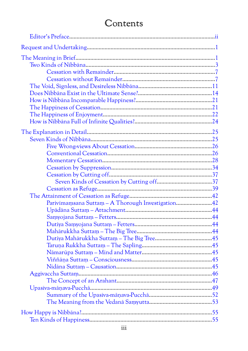## Contents

| Parivimamsana Suttam - A Thorough Investigation42 |  |
|---------------------------------------------------|--|
|                                                   |  |
|                                                   |  |
|                                                   |  |
|                                                   |  |
|                                                   |  |
|                                                   |  |
|                                                   |  |
|                                                   |  |
|                                                   |  |
|                                                   |  |
|                                                   |  |
|                                                   |  |
|                                                   |  |
|                                                   |  |
|                                                   |  |
|                                                   |  |
|                                                   |  |
|                                                   |  |
|                                                   |  |
|                                                   |  |
|                                                   |  |
|                                                   |  |
|                                                   |  |
|                                                   |  |
|                                                   |  |
|                                                   |  |
|                                                   |  |
|                                                   |  |
|                                                   |  |
|                                                   |  |
|                                                   |  |
|                                                   |  |
|                                                   |  |
|                                                   |  |
|                                                   |  |
|                                                   |  |
|                                                   |  |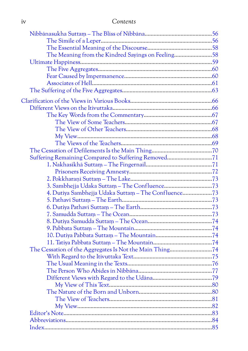| 1V | Contents |
|----|----------|
|    |          |

| The Meaning from the Kindred Sayings on Feeling58   |  |
|-----------------------------------------------------|--|
|                                                     |  |
|                                                     |  |
|                                                     |  |
|                                                     |  |
|                                                     |  |
|                                                     |  |
|                                                     |  |
|                                                     |  |
|                                                     |  |
|                                                     |  |
|                                                     |  |
|                                                     |  |
|                                                     |  |
| Suffering Remaining Compared to Suffering Removed71 |  |
|                                                     |  |
|                                                     |  |
|                                                     |  |
|                                                     |  |
| 4. Dutiya Sambhejja Udaka Suttam - The Confluence73 |  |
|                                                     |  |
|                                                     |  |
|                                                     |  |
|                                                     |  |
|                                                     |  |
|                                                     |  |
|                                                     |  |
|                                                     |  |
|                                                     |  |
|                                                     |  |
|                                                     |  |
|                                                     |  |
|                                                     |  |
|                                                     |  |
|                                                     |  |
|                                                     |  |
|                                                     |  |
|                                                     |  |
|                                                     |  |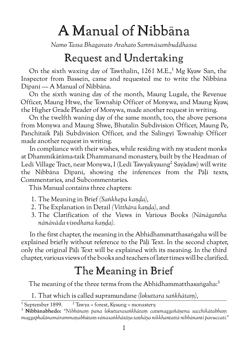# A Manual of Nibbāna

<span id="page-6-0"></span>*Namo Tassa Bhagavato Arahato Sammāsambuddhassa*

## Request and Undertaking

On the sixth waxing day of Tawthalin,  $1261$  M.E.,<sup>1</sup> Mg Kyaw San, the Inspector from Bassein, came and requested me to write the Nibbāna Dīpanī — A Manual of Nibbāna.

On the sixth waning day of the month, Maung Lugale, the Revenue Officer, Maung Htwe, the Township Officer of Monywa, and Maung Kyaw, the Higher Grade Pleader of Monywa, made another request in writing.

On the twelfth waning day of the same month, too, the above persons from Monywa and Maung Shwe, Bhutalin Subdivision Officer, Maung Pe, Panchitaik Pāḷi Subdivision Officer, and the Salingyi Township Officer made another request in writing.

In compliance with their wishes, while residing with my student monks at Dhammikārāma-taik Dhammanand monastery, built by the Headman of Ledi Village Tract, near Monywa, I (Ledi Tawyakyaung<sup>2</sup> Sayādaw) will write the Nibbāna Dīpanī, showing the inferences from the Pāḷi texts, Commentaries, and Subcommentaries.

This Manual contains three chapters:

- 1. The Meaning in Brief *(Saṅkhepa kaṇḍa),*
- 2. The Explanation in Detail *(Vitthāra kaṇḍa),* and
- 3. The Clarification of the Views in Various Books *(Nānāgantha nānāvāda visodhana kaṇḍa).*

In the first chapter, the meaning in the Abhidhammatthasaṅgaha will be explained briefly without reference to the Pāḷi Text. In the second chapter, only the original Pāḷi Text will be explained with its meaning. In the third chapter, various views of the books and teachers of later times will be clarified.

## <span id="page-6-1"></span>The Meaning in Brief

The meaning of the three terms from the Abhidhammatthasaṅgaha:<sup>3</sup>

1. That which is called supramundane *(lokuttara saṅkhātaṃ),*

<sup>&</sup>lt;sup>1</sup> September 1899. <sup>2</sup> Tawya = forest, Kyaung = monastery.

<sup>3</sup> **Nibbānabhedo:** *"Nibbānaṃ pana lokuttarasaṅkhātaṃ catumaggañāṇena sacchikātabbaṃ maggaphalānamārammaṇabhūtaṃ vānasaṅkhātāya taṇhāya nikkhantattā nibbānanti pavuccati."*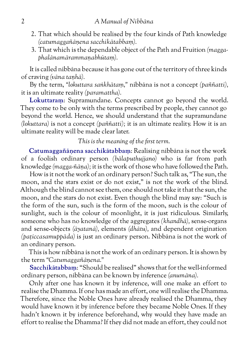- 2. That which should be realised by the four kinds of Path knowledge *(catumaggañāṇena sacchikātabbaṃ).*
- 3. That which is the dependable object of the Path and Fruition *(maggaphalānamārammaṇabhūtaṃ).*

It is called nibbāna because it has gone out of the territory of three kinds of craving *(vāna taṇhā).*

By the term, *"lokuttara saṅkhātaṃ,"* nibbāna is not a concept *(paññatti),* it is an ultimate reality *(paramattha).*

**Lokuttaraṃ**: Supramundane. Concepts cannot go beyond the world. They come to be only with the terms prescribed by people, they cannot go beyond the world. Hence, we should understand that the supramundane *(lokuttara)* is not a concept *(paññatti);* it is an ultimate reality. How it is an ultimate reality will be made clear later.

*This is the meaning of the first term.*

**Catumaggañāṇena sacchikātabbaṃ**: Realising nibbāna is not the work of a foolish ordinary person *(bālaputhujjano)* who is far from path knowledge *(magga-ñāṇa);* it is the work of those who have followed the Path.

How is it not the work of an ordinary person? Such talk as, "The sun, the moon, and the stars exist or do not exist," is not the work of the blind. Although the blind cannot see them, one should not take it that the sun, the moon, and the stars do not exist. Even though the blind may say: "Such is the form of the sun, such is the form of the moon, such is the colour of sunlight, such is the colour of moonlight, it is just ridiculous. Similarly, someone who has no knowledge of the aggregates *(khandhā),* sense-organs and sense-objects *(āyatanā),* elements *(dhātu),* and dependent origination *(paṭiccasamuppāda)* is just an ordinary person. Nibbāna is not the work of an ordinary person.

This is how nibbāna is not the work of an ordinary person. It is shown by the term *"Catumaggañāṇena."*

**Sacchikātabbaṃ**: "Should be realised" shows that for the well-informed ordinary person, nibbāna can be known by inference *(anumāna).*

Only after one has known it by inference, will one make an effort to realise the Dhamma. If one has made an effort, one will realise the Dhamma. Therefore, since the Noble Ones have already realised the Dhamma, they would have known it by inference before they became Noble Ones. If they hadn't known it by inference beforehand, why would they have made an effort to realise the Dhamma? If they did not made an effort, they could not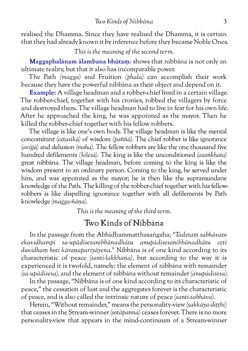realised the Dhamma. Since they have realised the Dhamma, it is certain that they had already known it by inference before they became Noble Ones.

*This is the meaning of the second term.*

**Maggaphalānam ālambana bhūtaṃ**: shows that nibbāna is not only an ultimate reality, but that it also has incomparable power.

The Path *(magga)* and Fruition *(phala)* can accomplish their work because they have the powerful nibbāna as their object and depend on it.

**Example:** A village headman and a robber-chief lived in a certain village. The robber-chief, together with his cronies, robbed the villagers by force and destroyed them. The village headman had to live in fear for his own life. After he approached the king, he was appointed as the mayor. Then he killed the robber-chief together with his fellow robbers.

The village is like one's own body. The village headman is like the mental concomitant *(cetasikā)* of wisdom *(paññā).* The chief robber is like ignorance *(avijjā)* and delusion *(moha).* The fellow robbers are like the one thousand five hundred defilements *(kilesā).* The king is like the unconditioned *(asaṅkhata)* great nibbāna. The village headman, before coming to the king is like the wisdom present in an ordinary person. Coming to the king, he served under him, and was appointed as the mayor; he is then like the supramundane knowledge of the Path. The killing of the robber-chief together with his fellowrobbers is like dispelling ignorance together with all defilements by Path knowledge *(magga-ñāṇa).*

<span id="page-8-0"></span>*This is the meaning of the third term.*

## Two Kinds of Nibbāna

In the passage from the Abhidhammatthasaṅgaha; *"Tadetaṃ sabhāvato ekavidhampi sa-upādisesanibbānadhātu anupādisesanibbānadhātu ceti duvidhaṃ hoti kāraṇapariyāyena."* Nibbāna is of one kind according to its characteristic of peace *(santi-lakkhaṇa),* but according to the way it is experienced it is twofold, namely: the element of nibbāna with remainder *(sa-upādisesa),* and the element of nibbāna without remainder *(anupādisesa).*

In the passage, "Nibbāna is of one kind according to its characteristic of peace," the cessation of lust and the aggregates forever is the characteristic of peace, and is also called the intrinsic nature of peace *(santi-sabhāva).*

Herein, "Without remainder," means the personality-view *(sakkāya-diṭṭhi)* that ceases in the Stream-winner *(sotāpanna)* ceases forever. There is no more personality-view that appears in the mind-continuum of a Stream-winner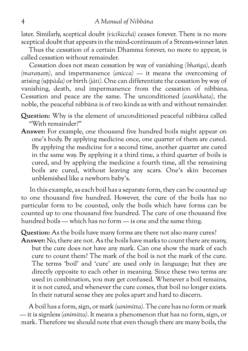later. Similarly, sceptical doubt *(vicikicchā)* ceases forever. There is no more sceptical doubt that appears in the mind-continuum of a Stream-winner later.

Thus the cessation of a certain Dhamma forever, no more to appear, is called cessation without remainder.

Cessation does not mean cessation by way of vanishing *(bhaṅga),* death *(maraṇaṃ),* and impermanence *(anicca)* — it means the overcoming of arising *(uppāda)* or birth *(jāti).* One can differentiate the cessation by way of vanishing, death, and impermanence from the cessation of nibbāna. Cessation and peace are the same. The unconditioned *(asaṅkhata),* the noble, the peaceful nibbāna is of two kinds as with and without remainder.

- **Question:** Why is the element of unconditioned peaceful nibbāna called "With remainder?"
- **Answer:** For example, one thousand five hundred boils might appear on one's body. By applying medicine once, one quarter of them are cured. By applying the medicine for a second time, another quarter are cured in the same way. By applying it a third time, a third quarter of boils is cured, and by applying the medicine a fourth time, all the remaining boils are cured, without leaving any scars. One's skin becomes unblemished like a newborn baby's.

In this example, as each boil has a separate form, they can be counted up to one thousand five hundred. However, the cure of the boils has no particular form to be counted, only the boils which have forms can be counted up to one thousand five hundred. The cure of one thousand five hundred boils — which has no form — is one and the same thing.

**Question:** As the boils have many forms are there not also many cures?

**Answer:** No, there are not. As the boils have marks to count there are many, but the cure does not have any mark. Can one show the mark of each cure to count them? The mark of the boil is not the mark of the cure. The terms 'boil' and 'cure' are used only in language; but they are directly opposite to each other in meaning. Since these two terms are used in combination, you may get confused. Whenever a boil remains, it is not cured, and whenever the cure comes, that boil no longer exists. In their natural sense they are poles apart and hard to discern.

A boil has a form, sign, or mark *(sanimitta).* The cure has no form or mark — it is signless *(animitta).* It means a phenomenon that has no form, sign, or mark. Therefore we should note that even though there are many boils, the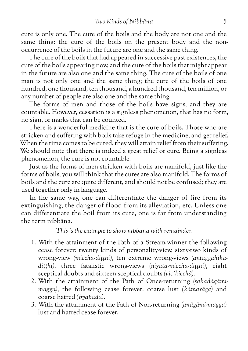cure is only one. The cure of the boils and the body are not one and the same thing: the cure of the boils on the present body and the nonoccurrence of the boils in the future are one and the same thing.

The cure of the boils that had appeared in successive past existences, the cure of the boils appearing now, and the cure of the boils that might appear in the future are also one and the same thing. The cure of the boils of one man is not only one and the same thing; the cure of the boils of one hundred, one thousand, ten thousand, a hundred thousand, ten million, or any number of people are also one and the same thing.

The forms of men and those of the boils have signs, and they are countable. However, cessation is a signless phenomenon, that has no form, no sign, or marks that can be counted.

There is a wonderful medicine that is the cure of boils. Those who are stricken and suffering with boils take refuge in the medicine, and get relief. When the time comes to be cured, they will attain relief from their suffering. We should note that there is indeed a great relief or cure. Being a signless phenomenon, the cure is not countable.

Just as the forms of men stricken with boils are manifold, just like the forms of boils, you will think that the cures are also manifold. The forms of boils and the cure are quite different, and should not be confused; they are used together only in language.

In the same way, one can differentiate the danger of fire from its extinguishing, the danger of flood from its alleviation, etc. Unless one can differentiate the boil from its cure, one is far from understanding the term nibbāna.

*This is the example to show nibbāna with remainder.*

- 1. With the attainment of the Path of a Stream-winner the following cease forever: twenty kinds of personality-view, sixty-two kinds of wrong-view *(micchā-diṭṭhi),* ten extreme wrong-views *(antaggāhikādiṭṭhi),* three fatalistic wrong-views *(niyata-micchā-diṭṭhi),* eight sceptical doubts and sixteen sceptical doubts *(vicikicchā).*
- 2. With the attainment of the Path of Once-returning *(sakadāgāmimagga),* the following cease forever: coarse lust *(kāmarāga)* and coarse hatred *(byāpāda).*
- 3. With the attainment of the Path of Non-returning *(anāgāmi-magga)* lust and hatred cease forever.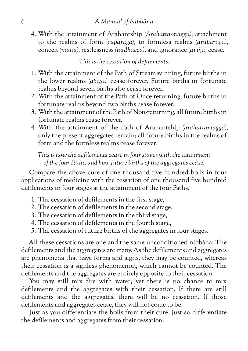4. With the attainment of Arahantship *(Arahatta-magga),* attachment to the realms of form *(rūparāga),* to formless realms *(arūparāga),* conceit *(māna),* restlessness *(uddhacca),* and ignorance *(avijjā)* cease.

*This is the cessation of defilements.*

- 1. With the attainment of the Path of Stream-winning, future births in the lower realms *(apāya)* cease forever. Future births in fortunate realms beyond seven births also cease forever.
- 2. With the attainment of the Path of Once-returning, future births in fortunate realms beyond two births cease forever.
- 3. With the attainment of the Path of Non-returning, all future births in fortunate realms cease forever.
- 4. With the attainment of the Path of Arahantship *(arahattamagga),* only the present aggregates remain; all future births in the realms of form and the formless realms cease forever.

*This is how the defilements cease in four stages with the attainment of the four Paths, and how future births of the aggregates cease.*

Compare the above cure of one thousand five hundred boils in four applications of medicine with the cessation of one thousand five hundred defilements in four stages at the attainment of the four Paths.

- 1. The cessation of defilements in the first stage,
- 2. The cessation of defilements in the second stage,
- 3. The cessation of defilements in the third stage,
- 4. The cessation of defilements in the fourth stage,
- 5. The cessation of future births of the aggregates in four stages.

All these cessations are one and the same unconditioned nibbāna. The defilements and the aggregates are many. As the defilements and aggregates are phenomena that have forms and signs, they may be counted, whereas their cessation is a signless phenomenon, which cannot be counted. The defilements and the aggregates are entirely opposite to their cessation.

You may still mix fire with water; yet there is no chance to mix defilements and the aggregates with their cessation. If there are still defilements and the aggregates, there will be no cessation. If those defilements and aggregates cease, they will not come to be.

Just as you differentiate the boils from their cure, just so differentiate the defilements and aggregates from their cessation.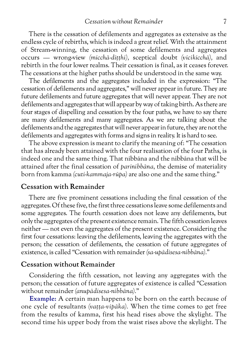There is the cessation of defilements and aggregates as extensive as the endless cycle of rebirths, which is indeed a great relief. With the attainment of Stream-winning, the cessation of some defilements and aggregates occurs — wrong-view *(micchā-diṭṭhi),* sceptical doubt *(vicikicchā),* and rebirth in the four lower realms. Their cessation is final, as it ceases forever. The cessations at the higher paths should be understood in the same way.

The defilements and the aggregates included in the expression: "The cessation of defilements and aggregates," will never appear in future. They are future defilements and future aggregates that will never appear. They are not defilements and aggregates that will appear by way of taking birth. As there are four stages of dispelling and cessation by the four paths, we have to say there are many defilements and many aggregates. As we are talking about the defilements and the aggregates that will never appear in future, they are not the defilements and aggregates with forms and signs in reality. It is hard to see.

The above expression is meant to clarify the meaning of: "The cessation that has already been attained with the four realisation of the four Paths, is indeed one and the same thing. That nibbāna and the nibbāna that will be attained after the final cessation of *parinibbāna,* the demise of materiality born from kamma *(cuti-kammaja-rūpa)* are also one and the same thing."

#### <span id="page-12-0"></span>**Cessation with Remainder**

There are five prominent cessations including the final cessation of the aggregates. Of these five, the first three cessations leave some defilements and some aggregates. The fourth cessation does not leave any defilements, but only the aggregates of the present existence remain. The fifth cessation leaves neither — not even the aggregates of the present existence. Considering the first four cessations: leaving the defilements, leaving the aggregates with the person; the cessation of defilements, the cessation of future aggregates of existence, is called "Cessation with remainder *(sa-upādisesa-nibbāna).*"

#### <span id="page-12-1"></span>**Cessation without Remainder**

Considering the fifth cessation, not leaving any aggregates with the person; the cessation of future aggregates of existence is called "Cessation without remainder *(anupādisesa-nibbāna).*"

**Example:** A certain man happens to be born on the earth because of one cycle of resultants *(vaṭṭa-vipāka).* When the time comes to get free from the results of kamma, first his head rises above the skylight. The second time his upper body from the waist rises above the skylight. The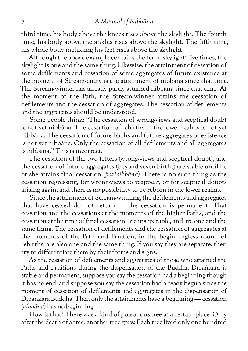#### 8 *A Manual of Nibbāna*

third time, his body above the knees rises above the skylight. The fourth time, his body above the ankles rises above the skylight. The fifth time, his whole body including his feet rises above the skylight.

Although the above example contains the term 'skylight' five times, the skylight is one and the same thing. Likewise, the attainment of cessation of some defilements and cessation of some aggregates of future existence at the moment of Stream-entry is the attainment of nibbāna since that time. The Stream-winner has already partly attained nibbāna since that time. At the moment of the Path, the Stream-winner attains the cessation of defilements and the cessation of aggregates. The cessation of defilements and the aggregates should be understood.

Some people think: "The cessation of wrong-views and sceptical doubt is not yet nibbāna. The cessation of rebirths in the lower realms is not yet nibbāna. The cessation of future births and future aggregates of existence is not yet nibbāna. Only the cessation of all defilements and all aggregates is nibbāna." This is incorrect.

The cessation of the two fetters (wrong-views and sceptical doubt), and the cessation of future aggregates (beyond seven births) are stable until he or she attains final cessation *(parinibbāna).* There is no such thing as the cessation regressing, for wrong-views to reappear, or for sceptical doubts arising again, and there is no possibility to be reborn in the lower realms.

Since the attainment of Stream-winning, the defilements and aggregates that have ceased do not return — the cessation is permanent. That cessation and the cessations at the moments of the higher Paths, and the cessation at the time of final cessation, are inseparable, and are one and the same thing. The cessation of defilements and the cessation of aggregates at the moments of the Path and Fruition, in the beginningless round of rebirths, are also one and the same thing. If you say they are separate, then try to differentiate them by their forms and signs.

As the cessation of defilements and aggregates of those who attained the Paths and Fruitions during the dispensation of the Buddha Dīpaṅkara is stable and permanent, suppose you say the cessation had a beginning though it has no end, and suppose you say the cessation had already begun since the moment of cessation of defilements and aggregates in the dispensation of Dīpaṅkara Buddha. Then only the attainments have a beginning — cessation *(nibbāna)* has no beginning.

How is that? There was a kind of poisonous tree at a certain place. Only after the death of a tree, another tree grew. Each tree lived only one hundred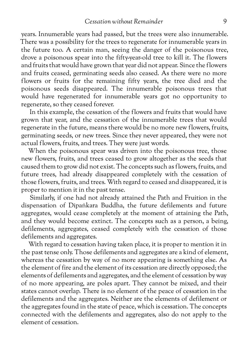years. Innumerable years had passed, but the trees were also innumerable. There was a possibility for the trees to regenerate for innumerable years in the future too. A certain man, seeing the danger of the poisonous tree, drove a poisonous spear into the fifty-year-old tree to kill it. The flowers and fruits that would have grown that year did not appear. Since the flowers and fruits ceased, germinating seeds also ceased. As there were no more flowers or fruits for the remaining fifty years, the tree died and the poisonous seeds disappeared. The innumerable poisonous trees that would have regenerated for innumerable years got no opportunity to regenerate, so they ceased forever.

In this example, the cessation of the flowers and fruits that would have grown that year, and the cessation of the innumerable trees that would regenerate in the future, means there would be no more new flowers, fruits, germinating seeds, or new trees. Since they never appeared, they were not actual flowers, fruits, and trees. They were just words.

When the poisonous spear was driven into the poisonous tree, those new flowers, fruits, and trees ceased to grow altogether as the seeds that caused them to grow did not exist. The concepts such as flowers, fruits, and future trees, had already disappeared completely with the cessation of those flowers, fruits, and trees. With regard to ceased and disappeared, it is proper to mention it in the past tense.

Similarly, if one had not already attained the Path and Fruition in the dispensation of Dīpaṅkara Buddha, the future defilements and future aggregates, would cease completely at the moment of attaining the Path, and they would become extinct. The concepts such as a person, a being, defilements, aggregates, ceased completely with the cessation of those defilements and aggregates.

With regard to cessation having taken place, it is proper to mention it in the past tense only. Those defilements and aggregates are a kind of element, whereas the cessation by way of no more appearing is something else. As the element of fire and the element of its cessation are directly opposed; the elements of defilements and aggregates, and the element of cessation by way of no more appearing, are poles apart. They cannot be mixed, and their states cannot overlap. There is no element of the peace of cessation in the defilements and the aggregates. Neither are the elements of defilement or the aggregates found in the state of peace, which is cessation. The concepts connected with the defilements and aggregates, also do not apply to the element of cessation.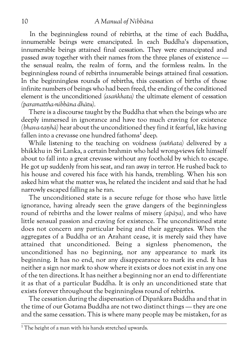In the beginningless round of rebirths, at the time of each Buddha, innumerable beings were emancipated. In each Buddha's dispensation, innumerable beings attained final cessation. They were emancipated and passed away together with their names from the three planes of existence the sensual realm, the realm of form, and the formless realm. In the beginningless round of rebirths innumerable beings attained final cessation. In the beginningless rounds of rebirths, this cessation of births of those infinite numbers of beings who had been freed, the ending of the conditioned element is the unconditioned *(asaṅkhata)* the ultimate element of cessation *(paramattha-nibbāna dhātu).*

There is a discourse taught by the Buddha that when the beings who are deeply immersed in ignorance and have too much craving for existence *(bhava-taṇhā)* hear about the unconditioned they find it fearful, like having fallen into a crevasse one hundred fathoms<sup>1</sup> deep.

While listening to the teaching on voidness *(suññata)* delivered by a bhikkhu in Sri Lanka, a certain brahmin who held wrong-views felt himself about to fall into a great crevasse without any foothold by which to escape. He got up suddenly from his seat, and ran away in terror. He rushed back to his house and covered his face with his hands, trembling. When his son asked him what the matter was, he related the incident and said that he had narrowly escaped falling as he ran.

The unconditioned state is a secure refuge for those who have little ignorance, having already seen the grave dangers of the beginningless round of rebirths and the lower realms of misery *(apāya),* and who have little sensual passion and craving for existence. The unconditioned state does not concern any particular being and their aggregates. When the aggregates of a Buddha or an Arahant cease, it is merely said they have attained that unconditioned. Being a signless phenomenon, the unconditioned has no beginning, nor any appearance to mark its beginning. It has no end, nor any disappearance to mark its end. It has neither a sign nor mark to show where it exists or does not exist in any one of the ten directions. It has neither a beginning nor an end to differentiate it as that of a particular Buddha. It is only an unconditioned state that exists forever throughout the beginningless round of rebirths.

The cessation during the dispensation of Dīpaṅkara Buddha and that in the time of our Gotama Buddha are not two distinct things — they are one and the same cessation. This is where many people may be mistaken, for as

 $1$ <sup>1</sup> The height of a man with his hands stretched upwards.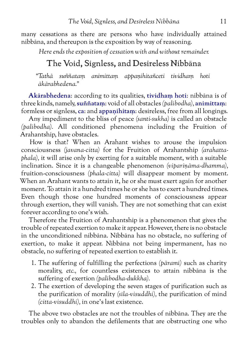many cessations as there are persons who have individually attained nibbāna, and thereupon is the exposition by way of reasoning.

<span id="page-16-0"></span>*Here ends the exposition of cessation with and without remainder.*

## The Void, Signless, and Desireless Nibbāna

*"Tathā suññataṃ animittaṃ appaṇihitañceti tividhaṃ hoti ākārabhedena."*

**Akārabhedena**: according to its qualities, **tividhaṃ hoti**: nibbāna is of three kinds, namely, **suññataṃ**: void of all obstacles *(palibodha),* **animittaṃ**: formless or signless, **ca**: and **appaṇihitaṃ**: desireless, free from all longings.

Any impediment to the bliss of peace *(santi-sukha)* is called an obstacle *(palibodha).* All conditioned phenomena including the Fruition of Arahantship, have obstacles.

How is that? When an Arahant wishes to arouse the impulsion consciousness *(javana-citta)* for the Fruition of Arahantship *(arahattaphala),* it will arise only by exerting for a suitable moment, with a suitable inclination. Since it is a changeable phenomenon *(vipariṇāma-dhamma),* fruition-consciousness *(phala-citta)* will disappear moment by moment. When an Arahant wants to attain it, he or she must exert again for another moment. To attain it a hundred times he or she has to exert a hundred times. Even though those one hundred moments of consciousness appear through exertion, they will vanish. They are not something that can exist forever according to one's wish.

Therefore the Fruition of Arahantship is a phenomenon that gives the trouble of repeated exertion to make it appear. However, there is no obstacle in the unconditioned nibbāna. Nibbāna has no obstacle, no suffering of exertion, to make it appear. Nibbāna not being impermanent, has no obstacle, no suffering of repeated exertion to establish it.

- 1. The suffering of fulfilling the perfections *(pāramī)* such as charity morality, *etc.,* for countless existences to attain nibbāna is the suffering of exertion *(palibodha-dukkha).*
- 2. The exertion of developing the seven stages of purification such as the purification of morality *(sīla-visuddhi),* the purification of mind *(citta-visuddhi),* in one's last existence.

The above two obstacles are not the troubles of nibbāna. They are the troubles only to abandon the defilements that are obstructing one who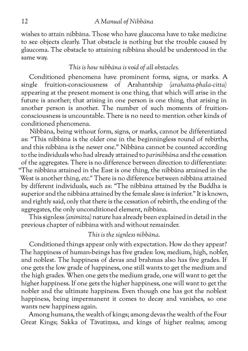wishes to attain nibbāna. Those who have glaucoma have to take medicine to see objects clearly. That obstacle is nothing but the trouble caused by glaucoma. The obstacle to attaining nibbāna should be understood in the same way.

#### *This is how nibbāna is void of all obstacles.*

Conditioned phenomena have prominent forms, signs, or marks. A single fruition-consciousness of Arahantship *(arahatta-phala-citta)* appearing at the present moment is one thing, that which will arise in the future is another; that arising in one person is one thing, that arising in another person is another. The number of such moments of fruitionconsciousness is uncountable. There is no need to mention other kinds of conditioned phenomena.

Nibbāna, being without form, signs, or marks, cannot be differentiated as: "This nibbāna is the older one in the beginningless round of rebirths, and this nibbāna is the newer one." Nibbāna cannot be counted according to the individuals who had already attained to *parinibbāna* and the cessation of the aggregates. There is no difference between direction to differentiate: "The nibbāna attained in the East is one thing, the nibbāna attained in the West is another thing, *etc."* There is no difference between nibbāna attained by different individuals, such as: "The nibbāna attained by the Buddha is superior and the nibbāna attained by the female slave is inferior." It is known, and rightly said, only that there is the cessation of rebirth, the ending of the aggregates, the only unconditioned element, nibbāna.

This signless *(animitta)* nature has already been explained in detail in the previous chapter of nibbāna with and without remainder.

#### *This is the signless nibbāna.*

Conditioned things appear only with expectation. How do they appear? The happiness of human-beings has five grades: low, medium, high, nobler, and noblest. The happiness of devas and brahmas also has five grades. If one gets the low grade of happiness, one still wants to get the medium and the high grades. When one gets the medium grade, one will want to get the higher happiness. If one gets the higher happiness, one will want to get the nobler and the ultimate happiness. Even though one has got the noblest happiness, being impermanent it comes to decay and vanishes, so one wants new happiness again.

Among humans, the wealth of kings; among devas the wealth of the Four Great Kings; Sakka of Tāvatiṃsa, and kings of higher realms; among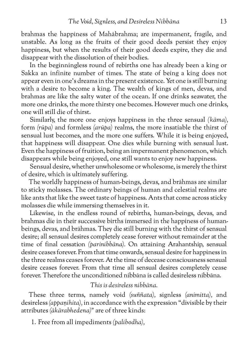brahmas the happiness of Mahābrahma; are impermanent, fragile, and unstable. As long as the fruits of their good deeds persist they enjoy happiness, but when the results of their good deeds expire, they die and disappear with the dissolution of their bodies.

In the beginningless round of rebirths one has already been a king or Sakka an infinite number of times. The state of being a king does not appear even in one's dreams in the present existence. Yet one is still burning with a desire to become a king. The wealth of kings of men, devas, and brahmas are like the salty water of the ocean. If one drinks seawater, the more one drinks, the more thirsty one becomes. However much one drinks, one will still die of thirst.

Similarly, the more one enjoys happiness in the three sensual *(kāma),* form *(rūpa)* and formless *(arūpa)* realms, the more insatiable the thirst of sensual lust becomes, and the more one suffers. While it is being enjoyed, that happiness will disappear. One dies while burning with sensual lust. Even the happiness of fruition, being an impermanent phenomenon, which disappears while being enjoyed, one still wants to enjoy new happiness.

Sensual desire, whether unwholesome or wholesome, is merely the thirst of desire, which is ultimately suffering.

The worldly happiness of human-beings, devas, and brāhmas are similar to sticky molasses. The ordinary beings of human and celestial realms are like ants that like the sweet taste of happiness. Ants that come across sticky molasses die while immersing themselves in it.

Likewise, in the endless round of rebirths, human-beings, devas, and brahmas die in their successive births immersed in the happiness of humanbeings, devas, and brāhmas. They die still burning with the thirst of sensual desire; all sensual desires completely cease forever without remainder at the time of final cessation *(parinibbāna).* On attaining Arahantship, sensual desire ceases forever. From that time onwards, sensual desire for happiness in the three realms ceases forever. At the time of decease consciousness sensual desire ceases forever. From that time all sensual desires completely cease forever. Therefore the unconditioned nibbāna is called desireless nibbāna.

#### *This is desireless nibbāna.*

These three terms, namely void *(suññata),* signless *(animitta),* and desireless *(appaṇihita),* in accordance with the expression "divisible by their attributes *(ākārabhedena)"* are of three kinds:

1. Free from all impediments *(palibodha),*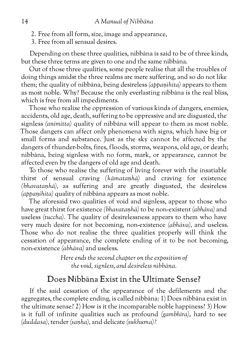- 2. Free from all form, size, image and appearance,
- 3. Free from all sensual desires.

Depending on these three qualities, nibbāna is said to be of three kinds, but these three terms are given to one and the same nibbāna.

Out of those three qualities, some people realise that all the troubles of doing things amidst the three realms are mere suffering, and so do not like them; the quality of nibbāna, being desireless *(appaṇihita)* appears to them as most noble. Why? Because the only everlasting nibbāna is the real bliss, which is free from all impediments.

Those who realise the oppression of various kinds of dangers, enemies, accidents, old age, death, suffering to be oppressive and are disgusted, the signless *(animitta)* quality of nibbāna will appear to them as most noble. Those dangers can affect only phenomena with signs, which have big or small forms and substance. Just as the sky cannot be affected by the dangers of thunder-bolts, fires, floods, storms, weapons, old age, or death; nibbāna, being signless with no form, mark, or appearance, cannot be affected even by the dangers of old age and death.

To those who realise the suffering of living forever with the insatiable thirst of sensual craving *(kāmataṇhā)* and craving for existence *(bhavataṇhā),* as suffering and are greatly disgusted, the desireless *(appaṇihita)* quality of nibbāna appears as most noble.

The aforesaid two qualities of void and signless, appear to those who have great thirst for existence *(bhavataṇhā)* to be non-existent *(abhāva)* and useless *(tuccha).* The quality of desirelessness appears to them who have very much desire for not becoming, non-existence *(abhāva),* and useless. Those who do not realise the three qualities properly will think the cessation of appearance, the complete ending of it to be not becoming, non-existence *(abhāva)* and useless.

> *Here ends the second chapter on the exposition of the void, signless, and desireless nibbāna.*

## <span id="page-19-0"></span>Does Nibbāna Exist in the Ultimate Sense?

If the said cessation of the appearance of the defilements and the aggregates, the complete ending, is called nibbāna: 1) Does nibbāna exist in the ultimate sense? 2) How is it the incomparable noble happiness? 3) How is it full of infinite qualities such as profound *(gambhīra)*, hard to see *(duddasa),* tender *(saṇha),* and delicate *(sukhuma)?*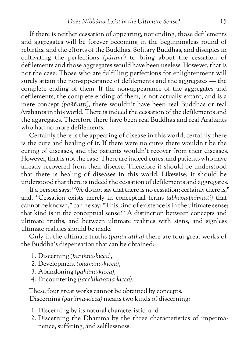If there is neither cessation of appearing, nor ending, those defilements and aggregates will be forever becoming in the beginningless round of rebirths, and the efforts of the Buddhas, Solitary Buddhas, and disciples in cultivating the perfections *(pāramī)* to bring about the cessation of defilements and those aggregates would have been useless. However, that is not the case. Those who are fulfilling perfections for enlightenment will surely attain the non-appearance of defilements and the aggregates — the complete ending of them. If the non-appearance of the aggregates and defilements, the complete ending of them, is not actually extant, and is a mere concept *(paññatti),* there wouldn't have been real Buddhas or real Arahants in this world. There is indeed the cessation of the defilements and the aggregates. Therefore there have been real Buddhas and real Arahants who had no more defilements.

Certainly there is the appearing of disease in this world; certainly there is the cure and healing of it. If there were no cures there wouldn't be the curing of diseases, and the patients wouldn't recover from their diseases. However, that is not the case. There are indeed cures, and patients who have already recovered from their disease. Therefore it should be understood that there is healing of diseases in this world. Likewise, it should be understood that there is indeed the cessation of defilements and aggregates.

If a person says; "We do not say that there is no cessation; certainly there is," and, "Cessation exists merely in conceptual terms *(abhāva-paññātti)* that cannot be known," can he say: "This kind of existence is in the ultimate sense; that kind is in the conceptual sense?" A distinction between concepts and ultimate truths, and between ultimate realities with signs, and signless ultimate realities should be made.

Only in the ultimate truths *(paramattha)* there are four great works of the Buddha's dispensation that can be obtained:–

- 1. Discerning *(pariññā-kicca),*
- *2.* Development *(bhāvanā-kicca),*
- *3.* Abandoning *(pahāna-kicca),*
- 4. Encountering *(sacchikaraṇa-kicca).*

These four great works cannot be obtained by concepts. Discerning *(pariññā-kicca)* means two kinds of discerning:

- 1. Discerning by its natural characteristic, and
- 2. Discerning the Dhamma by the three characteristics of impermanence, suffering, and selflessness.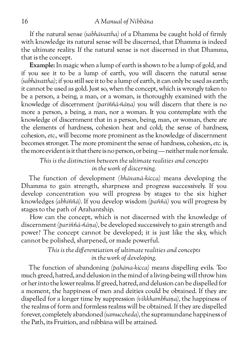If the natural sense *(sabhāvattha)* of a Dhamma be caught hold of firmly with knowledge its natural sense will be discerned, that Dhamma is indeed the ultimate reality. If the natural sense is not discerned in that Dhamma, that is the concept.

**Example:** In magic when a lump of earth is shown to be a lump of gold, and if you see it to be a lump of earth, you will discern the natural sense *(sabhāvattha);* if you still see it to be a lump of earth, it can only be used as earth; it cannot be used as gold. Just so, when the concept, which is wrongly taken to be a person, a being, a man, or a woman, is thoroughly examined with the knowledge of discernment *(pariññā-ñāṇa)* you will discern that there is no more a person, a being, a man, nor a woman. It you contemplate with the knowledge of discernment that in a person, being, man, or woman, there are the elements of hardness, cohesion heat and cold; the sense of hardness, cohesion, *etc.,* will become more prominent as the knowledge of discernment becomes stronger. The more prominent the sense of hardness, cohesion, *etc.* is, the more evident is it that there is no person, or being — neither male nor female.

*This is the distinction between the ultimate realities and concepts in the work of discerning.*

The function of development *(bhāvanā-kicca)* means developing the Dhamma to gain strength, sharpness and progress successively. If you develop concentration you will progress by stages to the six higher knowledges *(abhiññā).* If you develop wisdom *(paññā)* you will progress by stages to the path of Arahantship.

How can the concept, which is not discerned with the knowledge of discernment *(pariññā-ñāṇa),* be developed successively to gain strength and power? The concept cannot be developed; it is just like the sky, which cannot be polished, sharpened, or made powerful.

#### *This is the differentiation of ultimate realities and concepts in the work of developing.*

The function of abandoning *(pahāna-kicca)* means dispelling evils. Too much greed, hatred, and delusion in the mind of a living-being will throw him or her into the lower realms. If greed, hatred, and delusion can be dispelled for a moment, the happiness of men and deities could be obtained. If they are dispelled for a longer time by suppression *(vikkhambhaṇa),* the happiness of the realms of form and formless realms will be obtained. If they are dispelled forever, completely abandoned *(samuccheda),* the supramundane happiness of the Path, its Fruition, and nibbāna will be attained.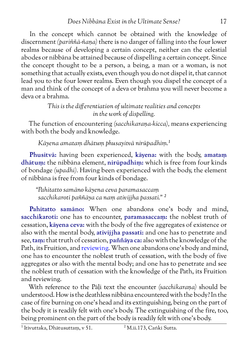In the concept which cannot be obtained with the knowledge of discernment *(pariññā-ñaṇa)* there is no danger of falling into the four lower realms because of developing a certain concept, neither can the celestial abodes or nibbāna be attained because of dispelling a certain concept. Since the concept thought to be a person, a being, a man or a woman, is not something that actually exists, even though you do not dispel it, that cannot lead you to the four lower realms. Even though you dispel the concept of a man and think of the concept of a deva or brahma you will never become a deva or a brahma.

> *This is the differentiation of ultimate realities and concepts in the work of dispelling.*

The function of encountering *(sacchikaraṇa-kicca),* means experiencing with both the body and knowledge.

*Kāyena amataṃ dhātuṃ phusayitvā nirūpadhiṃ.1*

**Phusitvā:** having been experienced, **kāyena:** with the body, **amataṃ dhātuṃ:** the nibbāna element, **nirūpadhiṃ:** which is free from four kinds of bondage *(upadhi).* Having been experienced with the body, the element of nibbāna is free from four kinds of bondage.

*"Pahitatto samāno kāyena ceva paramasaccaṃ sacchikaroti paññāya ca naṃ ativijjha passati." 2*

**Pahitatto samāno:** When one abandons one's body and mind, **sacchikaroti:** one has to encounter, **paramasaccaṃ:** the noblest truth of cessation, **kāyena ceva:** with the body of the five aggregates of existence or also with the mental body, **ativijjha passati:** and one has to penetrate and see, **taṃ:** that truth of cessation, **paññāya ca:** also with the knowledge of the Path, its Fruition, and [reviewing.](http://www.aimwell.org/progress.html#17.KnowledgeofReviewing) When one abandons one's body and mind, one has to encounter the noblest truth of cessation, with the body of five aggregates or also with the mental body; and one has to penetrate and see the noblest truth of cessation with the knowledge of the Path, its Fruition and reviewing.

With reference to the Pāḷi text the encounter *(sacchikaraṇa)* should be understood. How is the deathless nibbāna encountered with the body? In the case of fire burning on one's head and its extinguishing, being on the part of the body it is readily felt with one's body. The extinguishing of the fire, too, being prominent on the part of the body is readily felt with one's body.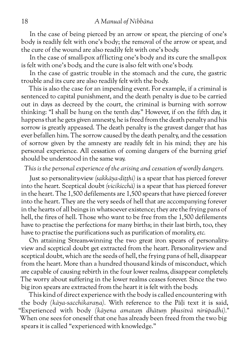In the case of being pierced by an arrow or spear, the piercing of one's body is readily felt with one's body; the removal of the arrow or spear, and the cure of the wound are also readily felt with one's body.

In the case of small-pox afflicting one's body and its cure the small-pox is felt with one's body, and the cure is also felt with one's body.

In the case of gastric trouble in the stomach and the cure, the gastric trouble and its cure are also readily felt with the body.

This is also the case for an impending event. For example, if a criminal is sentenced to capital punishment, and the death penalty is due to be carried out in days as decreed by the court, the criminal is burning with sorrow thinking: "I shall be hung on the tenth day." However, if on the fifth day, it happens that he gets given amnesty, he is freed from the death penalty and his sorrow is greatly appeased. The death penalty is the gravest danger that has ever befallen him. The sorrow caused by the death penalty, and the cessation of sorrow given by the amnesty are readily felt in his mind; they are his personal experience. All cessation of coming dangers of the burning grief should be understood in the same way.

*This is the personal experience of the arising and cessation of wordly dangers.*

Just so personality-view *(sakkāya-diṭṭhi)* is a spear that has pierced forever into the heart. Sceptical doubt *(vicikicchā)* is a spear that has pierced forever in the heart. The 1,500 defilements are 1,500 spears that have pierced forever into the heart. They are the very seeds of hell that are accompanying forever in the hearts of all beings in whatsoever existence; they are the frying pans of hell, the fires of hell. Those who want to be free from the 1,500 defilements have to practise the perfections for many births; in their last birth, too, they have to practise the purifications such as purification of morality, *etc.*

On attaining Stream-winning the two great iron spears of personalityview and sceptical doubt get extracted from the heart. Personality-view and sceptical doubt, which are the seeds of hell, the frying pans of hell, disappear from the heart. More than a hundred thousand kinds of misconduct, which are capable of causing rebirth in the four lower realms, disappear completely. The worry about suffering in the lower realms ceases forever. Since the two big iron spears are extracted from the heart it is felt with the body.

This kind of direct experience with the body is called encountering with the body *(kāya-sacchikaraṇa).* With reference to the Pāḷi text it is said, "Experienced with body *(kāyena amataṃ dhātuṃ phusitvā nirūpadhi)."* When one sees for oneself that one has already been freed from the two big spears it is called "experienced with knowledge."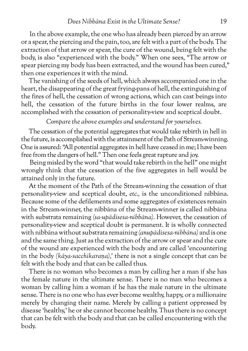In the above example, the one who has already been pierced by an arrow or a spear, the piercing and the pain, too, are felt with a part of the body. The extraction of that arrow or spear, the cure of the wound, being felt with the body, is also "experienced with the body." When one sees, "The arrow or spear piercing my body has been extracted, and the wound has been cured," then one experiences it with the mind.

The vanishing of the seeds of hell, which always accompanied one in the heart, the disappearing of the great frying-pans of hell, the extinguishing of the fires of hell, the cessation of wrong actions, which can cast beings into hell, the cessation of the future births in the four lower realms, are accomplished with the cessation of personality-view and sceptical doubt.

*Compare the above examples and understand for yourselves.*

The cessation of the potential aggregates that would take rebirth in hell in the future, is accomplished with the attainment of the Path of Stream-winning. One is assured: "All potential aggregates in hell have ceased in me; I have been free from the dangers of hell." Then one feels great rapture and joy.

Being misled by the word "that would take rebirth in the hell" one might wrongly think that the cessation of the five aggregates in hell would be attained only in the future.

At the moment of the Path of the Stream-winning the cessation of that personality-view and sceptical doubt, *etc.,* is the unconditioned nibbāna. Because some of the defilements and some aggregates of existences remain in the Stream-winner, the nibbāna of the Stream-winner is called nibbāna with substrata remaining *(sa-upādisesa-nibbāna).* However, the cessation of personality-view and sceptical doubt is permanent. It is wholly connected with nibbāna without substrata remaining *(anupādisesa-nibbāna)* and is one and the same thing. Just as the extraction of the arrow or spear and the cure of the wound are experienced with the body and are called 'encountering in the body *(kāya-sacchikaraṇa),'* there is not a single concept that can be felt with the body and that can be called thus.

There is no woman who becomes a man by calling her a man if she has the female nature in the ultimate sense. There is no man who becomes a woman by calling him a woman if he has the male nature in the ultimate sense. There is no one who has ever become wealthy, happy, or a millionaire merely by changing their name. Merely by calling a patient oppressed by disease 'healthy,' he or she cannot become healthy. Thus there is no concept that can be felt with the body and that can be called encountering with the body.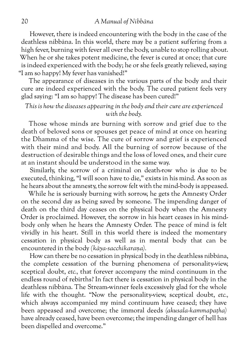However, there is indeed encountering with the body in the case of the deathless nibbāna. In this world, there may be a patient suffering from a high fever, burning with fever all over the body, unable to stop rolling about. When he or she takes potent medicine, the fever is cured at once; that cure is indeed experienced with the body; he or she feels greatly relieved, saying "I am so happy! My fever has vanished!"

The appearance of diseases in the various parts of the body and their cure are indeed experienced with the body. The cured patient feels very glad saying: "I am so happy! The disease has been cured!"

#### *This is how the diseases appearing in the body and their cure are experienced with the body.*

Those whose minds are burning with sorrow and grief due to the death of beloved sons or spouses get peace of mind at once on hearing the Dhamma of the wise. The cure of sorrow and grief is experienced with their mind and body. All the burning of sorrow because of the destruction of desirable things and the loss of loved ones, and their cure at an instant should be understood in the same way.

Similarly, the sorrow of a criminal on death-row who is due to be executed, thinking, "I will soon have to die," exists in his mind. As soon as he hears about the amnesty, the sorrow felt with the mind-body is appeased.

While he is seriously burning with sorrow, he gets the Amnesty Order on the second day as being saved by someone. The impending danger of death on the third day ceases on the physical body when the Amnesty Order is proclaimed. However, the sorrow in his heart ceases in his mindbody only when he hears the Amnesty Order. The peace of mind is felt vividly in his heart. Still in this world there is indeed the momentary cessation in physical body as well as in mental body that can be encountered in the body *(kāya-sacchikaraṇa).*

How can there be no cessation in physical body in the deathless nibbāna, the complete cessation of the burning phenomena of personality-view, sceptical doubt, *etc.,* that forever accompany the mind continuum in the endless round of rebirths? In fact there is cessation in physical body in the deathless nibbāna. The Stream-winner feels excessively glad for the whole life with the thought. "Now the personality-view, sceptical doubt, *etc.,* which always accompanied my mind continuum have ceased; they have been appeased and overcome; the immoral deeds *(akusala-kammapaṭha)* have already ceased, have been overcome; the impending danger of hell has been dispelled and overcome."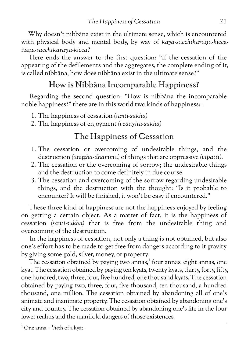Why doesn't nibbāna exist in the ultimate sense, which is encountered with physical body and mental body, by way of *kāya-sacchikaraṇa-kicc*añāṇa*-sacchikaraṇa-kicca?*

Here ends the answer to the first question: "If the cessation of the appearing of the defilements and the aggregates, the complete ending of it, is called nibbāna, how does nibbāna exist in the ultimate sense?"

## <span id="page-26-0"></span>How is Nibbāna Incomparable Happiness?

Regarding the second question: "How is nibbāna the incomparable noble happiness?" there are in this world two kinds of happiness:–

- 1. The happiness of cessation *(santi-sukha)*
- 2. The happiness of enjoyment *(vedayita-sukha)*

## <span id="page-26-1"></span>The Happiness of Cessation

- 1. The cessation or overcoming of undesirable things, and the destruction *(aniṭṭha-dhamma)* of things that are oppressive *(vipatti).*
- 2. The cessation or the overcoming of sorrow; the undesirable things and the destruction to come definitely in due course.
- 3. The cessation and overcoming of the sorrow regarding undesirable things, and the destruction with the thought: "Is it probable to encounter? It will be finished, it won't be easy if encountered."

These three kind of happiness are not the happiness enjoyed by feeling on getting a certain object. As a matter of fact, it is the happiness of cessation *(santi-sukha)* that is free from the undesirable thing and overcoming of the destruction.

In the happiness of cessation, not only a thing is not obtained, but also one's effort has to be made to get free from dangers according to it gravity by giving some gold, silver, money, or property.

The cessation obtained by paying two annas, $1$  four annas, eight annas, one kyat. The cessation obtained by paying ten kyats, twenty kyats, thirty, forty, fifty, one hundred, two, three, four, five hundred, one thousand kyats. The cessation obtained by paying two, three, four, five thousand, ten thousand, a hundred thousand, one million. The cessation obtained by abandoning all of one's animate and inanimate property. The cessation obtained by abandoning one's city and country. The cessation obtained by abandoning one's life in the four lower realms and the manifold dangers of those existences.

 $\frac{1}{1}$ One anna =  $\frac{1}{16}$ th of a kyat.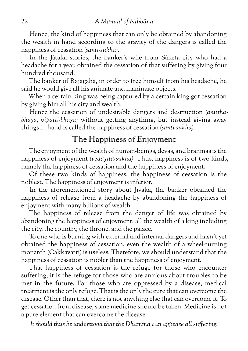Hence, the kind of happiness that can only be obtained by abandoning the wealth in hand according to the gravity of the dangers is called the happiness of cessation *(santi-sukha).*

In the Jātaka stories, the banker's wife from Sāketa city who had a headache for a year, obtained the cessation of that suffering by giving four hundred thousand.

The banker of Rājagaha, in order to free himself from his headache, he said he would give all his animate and inanimate objects.

When a certain king was being captured by a certain king got cessation by giving him all his city and wealth.

Hence the cessation of undesirable dangers and destruction *(anitthabhaya, vipatti-bhaya)* without getting anything, but instead giving away things in hand is called the happiness of cessation *(santi-sukha).*

## <span id="page-27-0"></span>The Happiness of Enjoyment

The enjoyment of the wealth of human-beings, devas, and brahmas is the happiness of enjoyment *(vedayita-sukha).* Thus, happiness is of two kinds, namely the happiness of cessation and the happiness of enjoyment.

Of these two kinds of happiness, the happiness of cessation is the noblest. The happiness of enjoyment is inferior.

In the aforementioned story about Jīvaka, the banker obtained the happiness of release from a headache by abandoning the happiness of enjoyment with many billions of wealth.

The happiness of release from the danger of life was obtained by abandoning the happiness of enjoyment, all the wealth of a king including the city, the country, the throne, and the palace.

To one who is burning with external and internal dangers and hasn't yet obtained the happiness of cessation, even the wealth of a wheel-turning monarch (Cakkavatti) is useless. Therefore, we should understand that the happiness of cessation is nobler than the happiness of enjoyment.

That happiness of cessation is the refuge for those who encounter suffering; it is the refuge for those who are anxious about troubles to be met in the future. For those who are oppressed by a disease, medical treatment is the only refuge. That is the only the cure that can overcome the disease. Other than that, there is not anything else that can overcome it. To get cessation from disease, some medicine should be taken. Medicine is not a pure element that can overcome the disease.

*It should thus be understood that the Dhamma can appease all suffering.*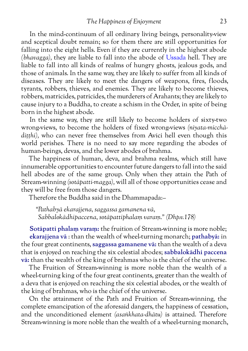In the mind-continuum of all ordinary living beings, personality-view and sceptical doubt remain; so for them there are still opportunities for falling into the eight hells. Even if they are currently in the highest abode *(bhavagga),* they are liable to fall into the abode of [Ussada](http://www.aimwell.org/DPPN/ussada.html) hell. They are liable to fall into all kinds of realms of hungry ghosts, jealous gods, and those of animals. In the same way, they are likely to suffer from all kinds of diseases. They are likely to meet the dangers of weapons, fires, floods, tyrants, robbers, thieves, and enemies. They are likely to become thieves, robbers, matricides, patricides, the murderers of Arahants; they are likely to cause injury to a Buddha, to create a schism in the Order, in spite of being born in the highest abode.

In the same way, they are still likely to become holders of sixty-two wrong-views, to become the holders of fixed wrong-views *(niyata-micchādiṭṭhi),* who can never free themselves from Avīci hell even though this world perishes. There is no need to say more regarding the abodes of human-beings, devas, and the lower abodes of brahma.

The happiness of human, deva, and brahma realms, which still have innumerable opportunities to encounter future dangers to fall into the said hell abodes are of the same group. Only when they attain the Path of Stream-winning *(sotāpatti-magga),* will all of those opportunities cease and they will be free from those dangers.

Therefore the Buddha said in the Dhammapada:–

*"Pathabyā ekarajjena, saggassa gamanena vā, Sabbalokādhipaccena, sotāpattiphalaṃ varaṃ." (Dhp.v.178)*

**Sotāpatti phalaṃ varaṃ:** the fruition of Stream-winning is more noble; **ekarajjena vā** : than the wealth of wheel-turning monarch; **pathabyā:** in the four great continents, **saggassa gamanene vā:** than the wealth of a deva that is enjoyed on reaching the six celestial abodes; **sabbalokādhi paccena vā:** than the wealth of the king of brahmas who is the chief of the universe.

The Fruition of Stream-winning is more noble than the wealth of a wheel-turning king of the four great continents, greater than the wealth of a deva that is enjoyed on reaching the six celestial abodes, or the wealth of the king of brahmas, who is the chief of the universe.

On the attainment of the Path and Fruition of Stream-winning, the complete emancipation of the aforesaid dangers, the happiness of cessation, and the unconditioned element *(asaṅkhata-dhātu)* is attained. Therefore Stream-winning is more noble than the wealth of a wheel-turning monarch,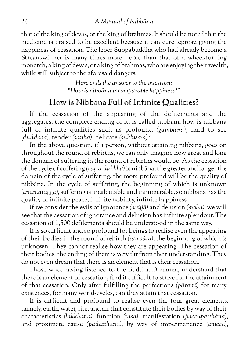that of the king of devas, or the king of brahmas. It should be noted that the medicine is praised to be excellent because it can cure leprosy, giving the happiness of cessation. The leper Suppabuddha who had already become a Stream-winner is many times more noble than that of a wheel-turning monarch, a king of devas, or a king of brahmas, who are enjoying their wealth, while still subject to the aforesaid dangers.

> *Here ends the answer to the question: "How is nibbāna incomparable happiness?"*

## <span id="page-29-0"></span>How is Nibbāna Full of Infinite Qualities?

If the cessation of the appearing of the defilements and the aggregates, the complete ending of it, is called nibbāna how is nibbāna full of infinite qualities such as profound *(gambhīra),* hard to see *(duddasa),* tender *(saṇha),* delicate *(sukhuma)?*

In the above question, if a person, without attaining nibbāna, goes on throughout the round of rebirths, we can only imagine how great and long the domain of suffering in the round of rebirths would be! As the cessation of the cycle of suffering *(vaṭṭa-dukkha)* is nibbāna; the greater and longer the domain of the cycle of suffering, the more profound will be the quality of nibbāna. In the cycle of suffering, the beginning of which is unknown *(anamatagga),* suffering is incalculable and innumerable, so nibbāna has the quality of infinite peace, infinite nobility, infinite happiness.

If we consider the evils of ignorance *(avijjā)* and delusion *(moha),* we will see that the cessation of ignorance and delusion has infinite splendour. The cessation of 1,500 defilements should be understood in the same way.

It is so difficult and so profound for beings to realise even the appearing of their bodies in the round of rebirth *(saṃsāra),* the beginning of which is unknown. They cannot realise how they are appearing. The cessation of their bodies, the ending of them is very far from their understanding. They do not even dream that there is an element that is their cessation.

Those who, having listened to the Buddha Dhamma, understand that there is an element of cessation, find it difficult to strive for the attainment of that cessation. Only after fulfilling the perfections *(pāramī)* for many existences, for many world-cycles, can they attain that cessation.

It is difficult and profound to realise even the four great elements, namely, earth, water, fire, and air that constitute their bodies by way of their characteristics *(lakkhaṇa),* function *(rasa),* manifestation *(paccupaṭṭhāna),* and proximate cause *(padaṭṭhāna),* by way of impermanence *(anicca)*,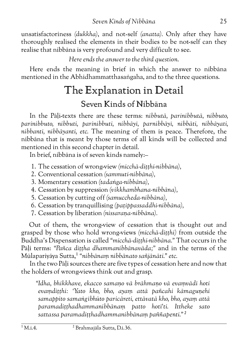unsatisfactoriness *(dukkha)*, and not-self *(anatta).* Only after they have thoroughly realised the elements in their bodies to be not-self can they realise that nibbāna is very profound and very difficult to see.

*Here ends the answer to the third question.*

Here ends the meaning in brief in which the answer to nibbāna mentioned in the Abhidhammatthasaṅgaha, and to the three questions.

## <span id="page-30-1"></span><span id="page-30-0"></span>The Explanation in Detail Seven Kinds of Nibbāna

In the Pāḷi-texts there are these terms: *nibbutā, parinibbutā, nibbuto, parinibbuto, nibbuti, parinibbuti, nibbāyī, parnibbāyī, nibbāti, nibbāyati, nibbanti, nibbāyanti, etc.* The meaning of them is peace. Therefore, the nibbāna that is meant by those terms of all kinds will be collected and mentioned in this second chapter in detail*.*

In brief, nibbāna is of seven kinds namely:–

- 1. The cessation of wrong-view *(micchā-diṭṭhi-nibbāna),*
- 2. Conventional cessation *(sammuti-nibbāna),*
- 3. Momentary cessation *(tadaṅga-nibbāna),*
- 4. Cessation by suppression *(vikkhambhana-nibbāna),*
- 5. Cessation by cutting off *(samuccheda-nibbāna),*
- 6. Cessation by tranquillising *(paṭippassaddhi-nibbāna),*
- 7. Cessation by liberation *(nissaraṇa-nibbāna).*

Out of them, the wrong-view of cessation that is thought out and grasped by those who hold wrong-views *(micchā-diṭṭhi)* from outside the Buddha's Dispensation is called *"micchā-diṭṭhi-nibbāna."* That occurs in the Pāḷi terms: *"Pañca diṭṭha dhammanibbānavāda;"* and in the terms of the Mūlapariyāya Sutta,1 *"nibbānaṃ nibbānato sañjānāti." etc.*

In the two Pāḷi sources there are five types of cessation here and now that the holders of wrong-views think out and grasp.

*"Idha, bhikkhave, ekacco samaṇo vā brāhmaṇo vā evaṃvādī hoti evaṃdiṭṭhi: 'Yato kho, bho, ayaṃ attā pañcahi kāmaguṇehi samappito samaṅgībhūto paricāreti, ettāvatā kho, bho, ayaṃ attā paramadiṭṭhadhammanibbānaṃ patto hotī'ti. Ittheke sato sattassa paramadiṭṭhadhammanibbānaṃ paññapenti."2*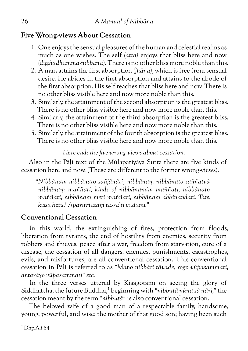### <span id="page-31-0"></span>**Five Wrong-views About Cessation**

- 1. One enjoys the sensual pleasures of the human and celestial realms as much as one wishes. The self *(atta)* enjoys that bliss here and now *(diṭṭhadhamma-nibbāna).* There is no other bliss more noble than this.
- 2. A man attains the first absorption *(jhāna),* which is free from sensual desire. He abides in the first absorption and attains to the abode of the first absorption. His self reaches that bliss here and now. There is no other bliss visible here and now more noble than this.
- 3. Similarly, the attainment of the second absorption is the greatest bliss. There is no other bliss visible here and now more noble than this.
- 4. Similarly, the attainment of the third absorption is the greatest bliss. There is no other bliss visible here and now more noble than this.
- 5. Similarly, the attainment of the fourth absorption is the greatest bliss. There is no other bliss visible here and now more noble than this.

*Here ends the five wrong-views about cessation.*

Also in the Pāḷi text of the Mūlapariyāya Sutta there are five kinds of cessation here and now. (These are different to the former wrong-views).

*"Nibbānaṃ nibbānato sañjānāti; nibbānaṃ nibbānato saññatvā nibbānaṃ maññati, kinds of nibbānamiṃ maññati, nibbānato maññati, nibbānaṃ meti maññati, nibbānaṃ abhinandati. Taṃ kissa hetu? Apariññātaṃ tassā'ti vadāmi."*

## <span id="page-31-1"></span>**Conventional Cessation**

In this world, the extinguishing of fires, protection from floods, liberation from tyrants, the end of hostility from enemies, security from robbers and thieves, peace after a war, freedom from starvation, cure of a disease, the cessation of all dangers, enemies, punishments, catastrophes, evils, and misfortunes, are all conventional cessation. This conventional cessation in Pāḷi is referred to as *"Mano nibbāti tāvade, rogo vūpasammati, antarāyo vūpasammati" etc.*

In the three verses uttered by Kisāgotamī on seeing the glory of Siddhattha, the future Buddha,1 beginning with *"nibbutā nūna sā nārī,"* the cessation meant by the term *"nibbutā"* is also conventional cessation.

The beloved wife of a good man of a respectable family, handsome, young, powerful, and wise; the mother of that good son; having been such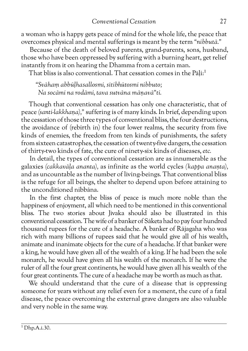a woman who is happy gets peace of mind for the whole life, the peace that overcomes physical and mental sufferings is meant by the term *"nibbutā."*

Because of the death of beloved parents, grand-parents, sons, husband, those who have been oppressed by suffering with a burning heart, get relief instantly from it on hearing the Dhamma from a certain man.

That bliss is also conventional. That cessation comes in the Pāli:<sup>1</sup>

*"Svāhaṃ abbūḷhasallosmi, sītibhūtosmi nibbuto; Na socāmi na rodāmi, tava sutvāna māṇavā"ti.*

Though that conventional cessation has only one characteristic, that of peace *(santi-lakkhaṇa),"* suffering is of many kinds. In brief, depending upon the cessation of those three types of conventional bliss, the four destructions, the avoidance of (rebirth in) the four lower realms, the security from five kinds of enemies, the freedom from ten kinds of punishments, the safety from sixteen catastrophes, the cessation of twenty-five dangers, the cessation of thirty-two kinds of fate, the cure of ninety-six kinds of diseases, *etc.*

In detail, the types of conventional cessation are as innumerable as the galaxies *(cakkavāḷa ananta),* as infinite as the world cycles *(kappa anaṇta),* and as uncountable as the number of living-beings. That conventional bliss is the refuge for all beings, the shelter to depend upon before attaining to the unconditioned nibbāna.

In the first chapter, the bliss of peace is much more noble than the happiness of enjoyment, all which need to be mentioned in this conventional bliss. The two stories about Jīvaka should also be illustrated in this conventional cessation. The wife of a banker of Sāketa had to pay four hundred thousand rupees for the cure of a headache. A banker of Rājagaha who was rich with many billions of rupees said that he would give all of his wealth, animate and inanimate objects for the cure of a headache. If that banker were a king, he would have given all of the wealth of a king. If he had been the sole monarch, he would have given all his wealth of the monarch. If he were the ruler of all the four great continents, he would have given all his wealth of the four great continents. The cure of a headache may be worth as much as that.

We should understand that the cure of a disease that is oppressing someone for years without any relief even for a moment, the cure of a fatal disease, the peace overcoming the external grave dangers are also valuable and very noble in the same way.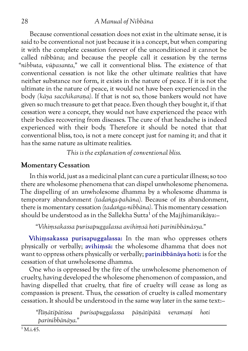#### 28 *A Manual of Nibbāna*

Because conventional cessation does not exist in the ultimate sense, it is said to be conventional not just because it is a concept, but when comparing it with the complete cessation forever of the unconditioned it cannot be called nibbāna; and because the people call it cessation by the terms *"nibbuta, vūpasanta,"* we call it conventional bliss. The existence of that conventional cessation is not like the other ultimate realities that have neither substance nor form, it exists in the nature of peace. If it is not the ultimate in the nature of peace, it would not have been experienced in the body *(kāya sacchikaraṇa).* If that is not so, those bankers would not have given so much treasure to get that peace. Even though they bought it, if that cessation were a concept, they would not have experienced the peace with their bodies recovering from diseases. The cure of that headache is indeed experienced with their body. Therefore it should be noted that that conventional bliss, too, is not a mere concept just for naming it; and that it has the same nature as ultimate realities.

*This is the explanation of conventional bliss.*

#### <span id="page-33-0"></span>**Momentary Cessation**

In this world, just as a medicinal plant can cure a particular illness; so too there are wholesome phenomena that can dispel unwholesome phenomena. The dispelling of an unwholesome dhamma by a wholesome dhamma is temporary abandonment *(tadaṅga-pahāna).* Because of its abandonment, there is momentary cessation *(tadaṅga-nibbāna).* This momentary cessation should be understood as in the Sallekha Sutta<sup>1</sup> of the Majjhimanikāya:-

*"Vihiṃsakassa purisapuggalassa avihiṃsā hoti parinibbānāsya."*

**Vihiṃsakassa purisapuggalassa:** In the man who oppresses others physically or verbally; **avihiṃsā:** the wholesome dhamma that does not want to oppress others physically or verbally; **parinibbānāya hoti:** is for the cessation of that unwholesome dhamma.

One who is oppressed by the fire of the unwholesome phenomenon of cruelty, having developed the wholesome phenomenon of compassion, and having dispelled that cruelty, that fire of cruelty will cease as long as compassion is present. Thus, the cessation of cruelty is called momentary cessation. It should be understood in the same way later in the same text:–

*"Pāṇātipātissa purisapuggalassa pāṇātipātā veramaṇī hoti parinibbānāya."*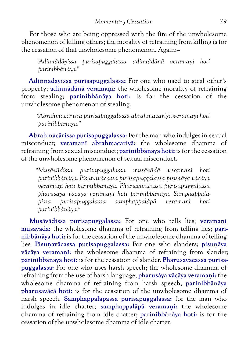For those who are being oppressed with the fire of the unwholesome phenomenon of killing others; the morality of refraining from killing is for the cessation of that unwholesome phenomenon. Again:–

*"Adinnādāyissa purisapuggalassa adinnādānā veramaṇī hoti parinibbānāya."*

**Adinnādāyissa purisapuggalassa:** For one who used to steal other's property; **adinnādānā veramaṇī:** the wholesome morality of refraining from stealing; **parinibbānāya hoti:** is for the cessation of the unwholesome phenomenon of stealing.

*"Abrahmacārissa purisapuggalassa abrahmacariyā veramaṇī hoti parinibbānāya."*

**Abrahmacārissa purisapuggalassa:** For the man who indulges in sexual misconduct; **veramanī abrahmacariyā:** the wholesome dhamma of refraining from sexual misconduct; **parinibbānāya hoti:** is for the cessation of the unwholesome phenomenon of sexual misconduct.

*"Musāvādissa purisapuggalassa musāvādā veramaṇī hoti parinibbānāya. Pisuṇavācassa purisapuggalassa pisuṇāya vācāya veramaṇī hoti parinibbānāya. Pharusavācassa purisapuggalassa pharusāya vācāya veramaṇī hoti parinibbānāya. Samphappalāpissa purisapuggalassa samphappalāpā veramaṇī hoti parinibbānāya."*

**Musāvādissa purisapuggalassa:** For one who tells lies; **veramaṇī musāvādā:** the wholesome dhamma of refraining from telling lies; **parinibbānāya hoti:** is for the cessation of the unwholesome dhamma of telling lies. **Pisuṇavācassa purisapuggalassa:** For one who slanders; **pisuṇāya vācāya veramaṇī:** the wholesome dhamma of refraining from slander; **parinibbānāya hoti:** is for the cessation of slander. **Pharusavācassa purisapuggalassa:** For one who uses harsh speech; the wholesome dhamma of refraining from the use of harsh language; **pharusāya vācāya veramaṇi:** the wholesome dhamma of refraining from harsh speech; **parinibbānāya pharusavācā hoti:** is for the cessation of the unwholesome dhamma of harsh speech. **Samphappalāpassa purisapuggalassa:** for the man who indulges in idle chatter; **samphappalāpā veramaṇi:** the wholesome dhamma of refraining from idle chatter; **parinibbānāya hoti:** is for the cessation of the unwholesome dhamma of idle chatter.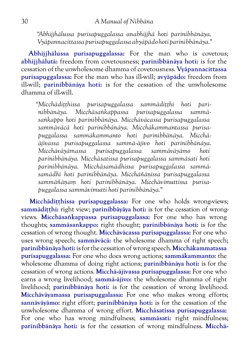*"Abhijjhālussa purisapuggalassa anabhijjhā hoti parinibbānāya. Vyāpannacittassa purisapuggalassa abyāpādo hoti parinibbānāya."*

**Abhijjhālussa purisapuggalassa:** For the man who is covetous; **abhijjhālutā:** freedom from covetousness; **parinibbānāya hoti:** is for the cessation of the unwholesome dhamma of covetousness. **Vyāpannacittassa purisapuggalassa:** For the man who has ill-will; **avyāpādo:** freedom from ill-will; **parinibbānāya hoti:** is for the cessation of the unwholesome dhamma of ill-will.

*"Micchādiṭṭhissa purisapuggalassa sammādiṭṭhi hoti parinibbānāya. Micchāsaṅkappassa purisapuggalassa sammāsaṅkappo hoti parinibbānāya. Micchāvācassa purisapuggalassa sammāvācā hoti parinibbānāya. Micchākammantassa purisapuggalassa sammākammanto hoti parinibbānāya. Micchāājīvassa purisapuggalassa sammā-ājīvo hoti parinibbānāya. Micchāvāyāmassa purisapuggalassa sammāvāyāmo hoti parinibbānāya. Micchāsatissa purisapuggalassa sammāsati hoti parinibbānāya. Micchāsamādhissa purisapuggalassa sammāsamādhi hoti parinibbānāya. Micchāñāṇissa purisapuggalassa sammāñāṇaṃ hoti parinibbānāya. Micchāvimuttissa purisapuggalassa sammāvimutti hoti parinibbānāya."*

**Micchādiṭṭhissa purisapuggalassa:** For one who holds wrong-views; **sammādiṭṭhi:** right view; **parinibbāyāya hoti:** is for the cessation of wrongviews. **Micchāsaṅkappassa purisapuggalassa:** For one who has wrong thoughts; **sammāsankappo:** right thought; **parinibbānāya hoti:** is for the cessation of wrong thought. **Micchāvācassa purisapuggalassa:** For one who uses wrong speech; **sammāvācā:** the wholesome dhamma of right speech; **parinibbānāya hoti:** is for the cessation of wrong speech. **Micchākammatassa purisapuggalassa:** For one who does wrong actions; **sammākammanto:** the wholesome dhamma of doing right actions; **parinibbānāya hoti:** is for the cessation of wrong actions. **Micchā-ājīvassa purisapuggalassa:** For one who earns a wrong livelihood; **sammā-ājīvo:** the wholesome dhamma of right livelihood; **parinibbānāya hoti:** is for the cessation of wrong livelihood. **Micchāvāyamassa purisapuggalassa:** For one who makes wrong efforts; **sannāvāyāmo:** right effort; **parinibbānāya hoti:** is for the cessation of the unwholesome dhamma of wrong effort. **Micchāsatissa purisapuggalassa:** For one who has wrong mindfulness; **sammāsati:** right mindfulness; **parinibbānāya hoti:** is for the cessation of wrong mindfulness. **Micchā-**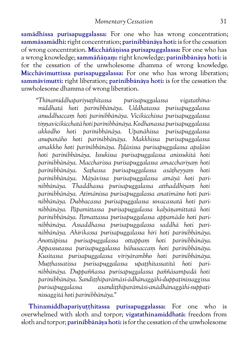**samādhissa purisapuggalassa:** For one who has wrong concentration; **sammāsamādhi:** right concentration; **parinibbānāya hoti:** is for the cessation of wrong concentration. **Micchāñāṇissa purisapuggalassa:** For one who has a wrong knowledge; **sammāñāṇaṃ:** right knowledge; **parinibbānāya hoti:** is for the cessation of the unwholesome dhamma of wrong knowledge. **Micchāvimuttissa purisapuggalassa:** For one who has wrong liberation; **sammāvimutti:** right liberation; **parinibbānāya hoti:** is for the cessation the unwholesome dhamma of wrong liberation.

*"Thīnamiddhapariyuṭṭhitassa purisapuggalassa vigatathinamiddhatā hoti parinibbānāya. Uddhatassa purisapuggalassa anuddhaccaṃ hoti parinibbānāya. Vicikicchissa purisapuggalassa tiṇṇavicikicchatā hoti parinibbānāya. Kodhanassa purisapuggalassa akkodho hoti parinibbānāya. Upanāhissa purisapuggalassa anupanāho hoti parinibbānāya. Makkhissa purisapuggalassa amakkho hoti parinibbānāya. Paḷāsissa purisapuggalassa apaḷāso hoti parinibbānāya. Issukissa purisapuggalassa anissukitā hoti parinibbānāya. Maccharissa purisapuggalassa amacchariyaṃ hoti parinibbānāya. Saṭhassa purisapuggalassa asāṭheyyaṃ hoti parinibbānāya. Māyāvissa purisapuggalassa amāyā hoti parinibbānāya. Thaddhassa purisapuggalassa atthaddhiyaṃ hoti parinibbānāya. Atimānissa purisapuggalassa anatimāno hoti parinibbānāya. Dubbacassa purisapuggalassa sovacassatā hoti parinibbānāya. Pāpamittassa purisapuggalassa kalyāṇamittatā hoti parinibbānāya. Pamattassa purisapuggalassa appamādo hoti parinibbānāya. Assaddhassa purisapuggalassa saddhā hoti parinibbānāya. Ahirikassa purisapuggalassa hirī hoti parinibbānāya. Anottāpissa purisapuggalassa ottappaṃ hoti parinibbānāya. Appassutassa purisapuggalassa bāhusaccaṃ hoti parinibbānāya. Kusītassa purisapuggalassa vīriyārambho hoti parinibbānāya. Muṭṭhassatissa purisapuggalassa upaṭṭhitassatitā hoti parinibbānāya. Duppaññassa purisapuggalassa paññāsampadā hoti parinibbānāya. Sandiṭṭhiparāmāsi-ādhānaggāhi-duppaṭinissaggissa purisapuggalassa asandiṭṭhiparāmāsi-anādhānaggāhi-suppaṭinissaggitā hoti parinibbānāya."*

**Thīnamiddhapariyuṭṭhitassa purisapuggalassa:** For one who is overwhelmed with sloth and torpor; **vigatathinamiddhatā:** freedom from sloth and torpor; **parinibbānāya hoti:** is for the cessation of the unwholesome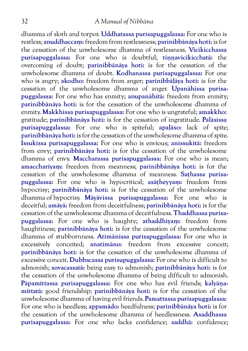#### 32 *A Manual of Nibbāna*

dhamma of sloth and torpor. **Uddhatassa purisapuggalassa:** For one who is restless; **anuddhaccaṃ:** freedom from restlessness; **parinibbānāya hoti:** is for the cessation of the unwholesome dhamma of restlessness. **Vicikicchassa purisapuggalassa:** For one who is doubtful; **tiṇṇavicikicchatā:** the overcoming of doubt; **parinibbānāya hoti:** is for the cessation of the unwholesome dhamma of doubt. **Kodhanassa purisapuggalassa:** For one who is angry; **akodho:** freedom from anger; **parinibbāḷāya hoti:** is for the cessation of the unwholesome dhamma of anger. **Upanāhissa purisapuggalassa:** For one who has enmity; **anupanāhitā:** freedom from enmity; **parinibbānāya hoti:** is for the cessation of the unwholesome dhamma of enmity. **Makkhissa purisapuggalassa:** For one who is ungrateful; **amakkho:** gratitude; **parinibbānāya hoti:** is for the cessation of ingratitude. **Palāsissa purisapuggalassa:** For one who is spiteful; **apaḷāso:** lack of spite; **parinibbānāya hoti:** is for the cessation of the unwholesome dhamma of spite. **Issukissa purisapuggalassa:** For one who is envious; **anissukitā:** freedom from envy; **parinibbānāya hoti:** is for the cessation of the unwholesome dhamma of envy. **Maccharassa purisapuggalassa:** For one who is mean; **amacchariyaṃ:** freedom from meanness; **parinibbānāya hoti:** is for the cessation of the unwholesome dhamma of meanness. **Saṭhassa purisapuggalassa:** For one who is hypocritical; **asāṭheyyaṃ:** freedom from hypocrisy; **parinibbānāya hoti:** is for the cessation of the unwholesome dhamma of hypocrisy. **Māyāvissa purisapuggalassa:** For one who is deceitful; **amāyā:** freedom from deceitfulness; **parinibbānāya hoti:** is for the cessation of the unwholesome dhamma of deceitfulness. **Thaddhassa purisapuggalassa:** For one who is haughty; **athaddhiyaṃ:** freedom from haughtiness; **parinibbānāya hoti:** is for the cessation of the unwholesome dhamma of stubbornness. **Atimānissa purisapuggalassa:** For one who is excessively conceited; **anatimāno:** freedom from excessive conceit; **parinibbānāya hoti:** is for the cessation of the unwholesome dhamma of excessive conceit. **Dubbacassa purisupuggalassa:** For one who is difficult to admonish; **sovacassatā:** being easy to admonish; **parinibbānāya hoti:** is for the cessation of the unwholesome dhamma of being difficult to admonish. **Pāpamittassa purisapuggalassa:** For one who has evil friends; **kalyāṇamittatā:** good friendship; **parinibbānāya hoti:** is for the cessation of the unwholesome dhamma of having evil friends. **Pamattassa purisapuggalassa:** For one who is heedless; **appamādo:** heedfulness; **parinibbānāya hoti:** is for the cessation of the unwholesome dhamma of heedlessness. **Asaddhassa purisapuggalassa:** For one who lacks confidence; **saddhā:** confidence;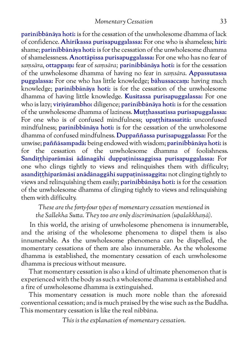**parinibbānāya hoti:** is for the cessation of the unwholesome dhamma of lack of confidence. **Ahirikassa purisapuggalassa:** For one who is shameless; **hiri:** shame; **parinibbānāya hoti:** is for the cessation of the unwholesome dhamma of shamelessness. **Anottāpissa purisapuggalassa:** For one who has no fear of *saṃsāra,* **ottappaṃ:** fear of *saṃsāra;* **parinibbānāya hoti:** is for the cessation of the unwholesome dhamma of having no fear in *saṃsāra.* **Appassutassa puggalassa:** For one who has little knowledge; **bāhussaccaṃ:** having much knowledge; **parinibbānāya hoti:** is for the cessation of the unwholesome dhamma of having little knowledge. **Kusitassa purisapuggalassa:** For one who is lazy; **viriyārambho:** diligence; **parinibbānāya hoti:** is for the cessation of the unwholesome dhamma of laziness. **Muṭṭhassatissa purisapuggalassa:** For one who is of confused mindfulness; **upaṭṭhitassatitā:** unconfused mindfulness; **parinibbānāya hoti:** is for the cessation of the unwholesome dhamma of confused mindfulness. **Duppaññassa purisapuggalassa:** For the unwise; **paññāsampadā:** being endowed with wisdom; **parinibbānāya hoti:** is for the cessation of the unwholesome dhamma of foolishness. **Sandiṭṭhiparāmāsī ādānagāhī duppaṭinissaggissa purisapuggalassa:** For one who clings tightly to views and relinquishes them with difficulty; **asandiṭṭhiparāmāsī anādānaggāhī suppaṭinissaggita:** not clinging tightly to views and relinquishing them easily; **parinibbānāya hoti:** is for the cessation of the unwholesome dhamma of clinging tightly to views and relinquishing them with difficulty.

*These are the forty-four types of momentary cessation mentioned in the Sallekha Sutta. They too are only discrimination (upalakkhaṇā).*

In this world, the arising of unwholesome phenomena is innumerable, and the arising of the wholesome phenomena to dispel them is also innumerable. As the unwholesome phenomena can be dispelled, the momentary cessations of them are also innumerable. As the wholesome dhamma is established, the momentary cessation of each unwholesome dhamma is precious without measure.

That momentary cessation is also a kind of ultimate phenomenon that is experienced with the body as such a wholesome dhamma is established and a fire of unwholesome dhamma is extinguished.

This momentary cessation is much more noble than the aforesaid conventional cessation; and is much praised by the wise such as the Buddha. This momentary cessation is like the real nibbāna.

*This is the explanation of momentary cessation.*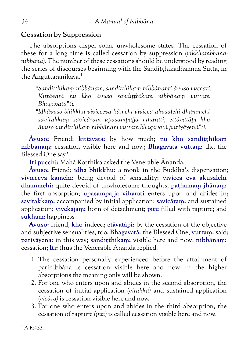#### **Cessation by Suppression**

The absorptions dispel some unwholesome states. The cessation of these for a long time is called cessation by suppression *(vikkhambhananibbāna).* The number of these cessations should be understood by reading the series of discourses beginning with the Sanditthikadhamma Sutta, in the Aṅguttaranikāya.<sup>1</sup>

*"Sandiṭṭhikaṃ nibbānaṃ, sandiṭṭhikaṃ nibbānanti āvuso vuccati. Kittāvatā nu kho āvuso sandiṭṭhikaṃ nibbānaṃ vuttaṃ Bhagavatā"ti.*

*"Idhāvuso bhikkhu vivicceva kāmehi vivicca akusalehi dhammehi savitakkaṃ savicāraṃ upasampajja viharati, ettāvatāpi kho āvuso sandiṭṭhikaṃ nibbānaṃ vuttaṃ bhagavatā pariyāyenā"ti.*

**Āvuso:** Friend; **kittāvatā:** by how much; **nu kho sandiṭṭhikaṃ nibbānaṃ:** cessation visible here and now; **Bhagavatā vuttaṃ:** did the Blessed One say?

**Iti pucchi:** Mahā-Koṭṭhika asked the Venerable Ānanda.

**Āvuso:** Friend; **idha bhikkhu:** a monk in the Buddha's dispensation; **vivicceva kāmehi:** being devoid of sensuality; **vivicca eva akusalehi dhammehi:** quite devoid of unwholesome thoughts; **paṭhamaṃ jhānaṃ:** the first absorption; **upasampajja viharati** enters upon and abides in; **savitakkaṃ:** accompanied by initial application; **savicāraṃ:** and sustained application; **vivekajaṃ:** born of detachment; **piti:** filled with rapture; and **sukhaṃ:** happiness.

**Āvuso:** friend, **kho** indeed; **etāvatāpi:** by the cessation of the objective and subjective sensualities, too. **Bhagavatā:** the Blessed One; **vuttaṃ:** said; **pariyāyena:** in this way; **sandiṭṭhikaṃ:** visible here and now; **nibbānaṃ:** cessation; **Iti:** thus the Venerable Ānanda replied.

- 1. The cessation personally experienced before the attainment of parinibbāna is cessation visible here and now. In the higher absorptions the meaning only will be shown.
- 2. For one who enters upon and abides in the second absorption, the cessation of initial application *(vitakka)* and sustained application *(vicāra)* is cessation visible here and now.
- 3. For one who enters upon and abides in the third absorption, the cessation of rapture *(pīti)* is called cessation visible here and now.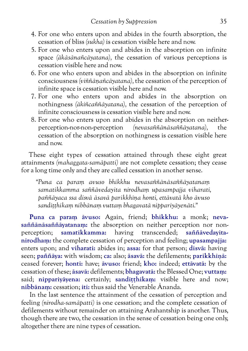- 4. For one who enters upon and abides in the fourth absorption, the cessation of bliss *(sukha)* is cessation visible here and now.
- 5. For one who enters upon and abides in the absorption on infinite space *(ākāsānañcāyatana),* the cessation of various perceptions is cessation visible here and now.
- 6. For one who enters upon and abides in the absorption on infinite consciousness *(viññāṇañcāyatana),* the cessation of the perception of infinite space is cessation visible here and now.
- 7. For one who enters upon and abides in the absorption on nothingness *(ākiñcaññāyatana),* the cessation of the perception of infinite consciousness is cessation visible here and now.
- 8. For one who enters upon and abides in the absorption on neitherperception-nor-non-perception *(nevasaññānāsaññāyatana),* the cessation of the absorption on nothingness is cessation visible here and now.

These eight types of cessation attained through these eight great attainments *(mahaggata-samāpatti)* are not complete cessation; they cease for a long time only and they are called cessation in another sense.

*"Puna ca paraṃ avuso bhikkhu nevasaññānāsaññāyatanaṃ samatikkamma saññāvedayita nirodhaṃ upasampajja viharati, paññāyaca ssa disvā āsavā parikkhīṇa honti, ettāvatā kho āvuso sandiṭṭhikaṃ nibbānaṃ vuttaṃ bhagavatā nippariyāyenāti."*

**Puna ca paraṃ āvuso:** Again, friend; **bhikkhu:** a monk; **nevasaññānāsaññāyatanaṃ:** the absorption on neither perception nor nonperception; **samatikkamma:** having transcended; **saññāvedayitanirodhaṃ:** the complete cessation of perception and feeling; **upasampajja:** enters upon; and **viharati:** abides in; **assa:** for that person; **disvā:** having seen; **paññāya:** with wisdom; **ca:** also; **āsavā:** the defilements; **parikkhīṇā:** ceased forever; **honti:** have; **āvuso:** friend; **kho:** indeed; **ettāvatā:** by the cessation of these; **āsavā:** defilements; **bhagavatā:** the Blessed One; **vuttaṃ:** said; nippariyāyena: certainly; sanditthikam: visible here and now; **nibbānaṃ:** cessation; **iti:** thus said the Venerable Ānanda.

In the last sentence the attainment of the cessation of perception and feeling *(nirodha-samāpatti)* is one cessation; and the complete cessation of defilements without remainder on attaining Arahantship is another. Thus, though there are two, the cessation in the sense of cessation being one only, altogether there are nine types of cessation.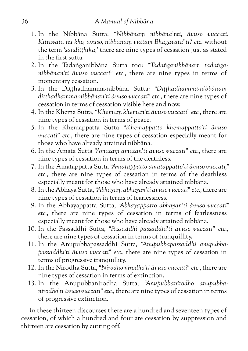- 1. In the Nibbāna Sutta: *"Nibbānaṃ nibbāna'nti, āvuso vuccati. Kittāvatā nu kho, āvuso, nibbānaṃ vuttaṃ Bhagavatā"ti? etc.* without the term *'sandiṭṭhika,'* there are nine types of cessation just as stated in the first sutta.
- 2. In the Tadaṅganibbāna Sutta too: *"Tadaṅganibbānaṃ tadaṅganibbānan'ti āvuso vuccati" etc.,* there are nine types in terms of momentary cessation.
- 3. In the Diṭṭhadhamma-nibbāna Sutta: *"Diṭṭhadhamma-nibbānaṃ diṭṭhadhamma-nibbānan'ti āvuso vuccati" etc.,* there are nine types of cessation in terms of cessation visible here and now.
- 4. In the Khema Sutta, *"Khemaṃ kheman'ti āvuso vuccati" etc.,* there are nine types of cessation in terms of peace.
- 5. In the Khemappatta Sutta *"Khemappatto khemappatto'ti āvuso vuccati" etc.,* there are nine types of cessation especially meant for those who have already attained nibbāna.
- 6. In the Amata Sutta *"Amataṃ amatan'ti āvuso vuccati" etc.,* there are nine types of cessation in terms of the deathless.
- 7. In the Amatappatta Sutta *"Amatappatto amatappatto'ti āvuso vuccati," etc.,* there are nine types of cessation in terms of the deathless especially meant for those who have already attained nibbāna.
- 8. In the Abhaya Sutta, *"Abhayaṃ abhayan'ti āvuso vuccati" etc.,* there are nine types of cessation in terms of fearlessness.
- 9. In the Abhayappatta Sutta, *"Abhayappatto abhayan'ti āvuso vuccati" etc.,* there are nine types of cessation in terms of fearlessness especially meant for those who have already attained nibbāna.
- 10. In the Passaddhi Sutta, *"Passaddhi passaddhi'ti āvuso vuccati" etc.,* there are nine types of cessation in terms of tranquillity.
- 11. In the Anupubbapassaddhi Sutta, *"Anupubbapassaddhi anupubbapassaddhi'ti āvuso vuccati" etc.,* there are nine types of cessation in terms of progressive tranquillity.
- 12. In the Nirodha Sutta, *"Nirodho nirodho'ti āvuso vuccati" etc.,* there are nine types of cessation in terms of extinction.
- 13. In the Anupubbanirodha Sutta, *"Anupubbanirodho anupubbanirodho'ti āvuso vuccati" etc.,* there are nine types of cessation in terms of progressive extinction.

In these thirteen discourses there are a hundred and seventeen types of cessation, of which a hundred and four are cessation by suppression and thirteen are cessation by cutting off.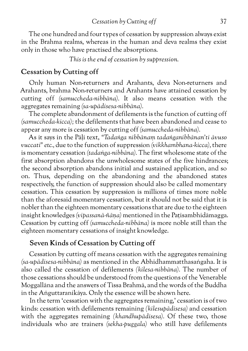The one hundred and four types of cessation by suppression always exist in the Brahma realms, whereas in the human and deva realms they exist only in those who have practised the absorptions.

*This is the end of cessation by suppression.*

#### **Cessation by Cutting off**

Only human Non-returners and Arahants, deva Non-returners and Arahants, brahma Non-returners and Arahants have attained cessation by cutting off *(samuccheda-nibbāna).* It also means cessation with the aggregates remaining *(sa-upādisesa-nibbāna).*

The complete abandonment of defilements is the function of cutting off *(samuccheda-kicca);* the defilements that have been abandoned and cease to appear any more is cessation by cutting off *(samuccheda-nibbāna).*

As it says in the Pāḷi text, *"Tadaṅga nibbānaṃ tadaṅganibbānan'ti āvuso vuccati" etc.,* due to the function of suppression *(vikkhambhana-kicca),* there is momentary cessation *(tadaṅga-nibbāna).* The first wholesome state of the first absorption abandons the unwholesome states of the five hindrances; the second absorption abandons initial and sustained application, and so on. Thus, depending on the abandoning and the abandoned states respectively, the function of suppression should also be called momentary cessation. This cessation by suppression is millions of times more noble than the aforesaid momentary cessation, but it should not be said that it is nobler than the eighteen momentary cessations that are due to the eighteen insight knowledges *(vipassanā-ñāṇa)* mentioned in the Paṭisambhidāmagga. Cessation by cutting off *(samuccheda-nibbāna)* is more noble still than the eighteen momentary cessations of insight knowledge.

#### **Seven Kinds of Cessation by Cutting off**

Cessation by cutting off means cessation with the aggregates remaining *(sa-upādisesa-nibbāna)* as mentioned in the Abhidhammatthasaṅgaha. It is also called the cessation of defilements *(kilesa-nibbāna).* The number of those cessations should be understood from the questions of the Venerable Moggallāna and the answers of Tissa Brahmā, and the words of the Buddha in the Aṅguttaranikāya. Only the essence will be shown here.

In the term 'cessation with the aggregates remaining,' cessation is of two kinds: cessation with defilements remaining *(kilesupādisesa)* and cessation with the aggregates remaining *(khandhupādisesa).* Of these two, those individuals who are trainers *(sekha-puggala)* who still have defilements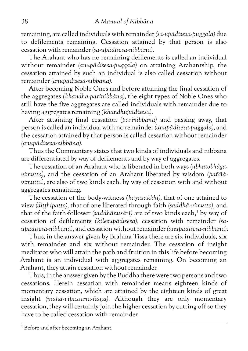remaining, are called individuals with remainder *(sa-upādisesa-puggala)* due to defilements remaining. Cessation attained by that person is also cessation with remainder *(sa-upādisesa-nibbāna).*

The Arahant who has no remaining defilements is called an individual without remainder *(anupādisesa-puggala)* on attaining Arahantship, the cessation attained by such an individual is also called cessation without remainder *(anupādisesa-nibbāna).*

After becoming Noble Ones and before attaining the final cessation of the aggregates *(khandha-parinibbāna),* the eight types of Noble Ones who still have the five aggregates are called individuals with remainder due to having aggregates remaining *(khandhupādisesa).*

After attaining final cessation *(parinibbāna)* and passing away, that person is called an individual with no remainder *(anupādisesa-puggala),* and the cessation attained by that person is called cessation without remainder *(anupādisesa-nibbāna).*

Thus the Commentary states that two kinds of individuals and nibbāna are differentiated by way of defilements and by way of aggregates.

The cessation of an Arahant who is liberated in both ways *(ubhatobhāgavimutta),* and the cessation of an Arahant liberated by wisdom *(paññāvimutta),* are also of two kinds each, by way of cessation with and without aggregates remaining.

The cessation of the body-witness *(kāyasakkhi),* that of one attained to view *(diṭṭhipatto),* that of one liberated through faith *(saddhā-vimutto),* and that of the faith-follower *(saddhānusārī)* are of two kinds each,<sup>1</sup> by way of cessation of defilements *(kilesupādisesa),* cessation with remainder *(saupādisesa-nibbāna),* and cessation without remainder *(anupādisesa-nibbāna).*

Thus, in the answer given by Brahma Tissa there are six individuals, six with remainder and six without remainder. The cessation of insight meditator who will attain the path and fruition in this life before becoming Arahant is an individual with aggregates remaining. On becoming an Arahant, they attain cessation without remainder.

Thus, in the answer given by the Buddha there were two persons and two cessations. Herein cessation with remainder means eighteen kinds of momentary cessation, which are attained by the eighteen kinds of great insight *(mahā-vipassanā-ñāṇa).* Although they are only momentary cessation, they will certainly join the higher cessation by cutting off so they have to be called cessation with remainder.

<sup>&</sup>lt;sup>1</sup> Before and after becoming an Arahant.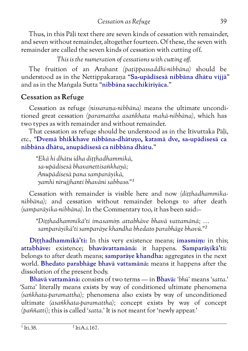Thus, in this Pāḷi text there are seven kinds of cessation with remainder, and seven without remainder, altogether fourteen. Of these, the seven with remainder are called the seven kinds of cessation with cutting off.

*This is the numeration of cessations with cutting off.*

The fruition of an Arahant *(paṭippassaddhi-nibbāna)* should be understood as in the Nettippakaraṇa "**Sa-upādisesā nibbāna dhātu vijjā**" and as in the Maṅgala Sutta "**nibbāna sacchikiriyāca**."

### **Cessation as Refuge**

Cessation as refuge *(nissaraṇa-nibbāna)* means the ultimate unconditioned great cessation *(paramattha asaṅkhata mahā-nibbāna),* which has two types as with remainder and without remainder.

That cessation as refuge should be understood as in the Itivuttaka Pāḷi, *etc.,* "**Dvemā bhikkhave nibbāna-dhātuyo, katamā dve, sa-upādisesā ca nibbāna dhātu, anupādisesā ca nibbāna dhātu**."

*"Ekā hi dhātu idha diṭṭhadhammikā, sa-upādisesā bhavanettisaṅkhayā; Anupādisesā pana samparāyikā, yamhi nirujjhanti bhavāni sabbaso."1*

Cessation with remainder is visible here and now *(diṭṭhadhammikanibbāna);* and cessation without remainder belongs to after death *(samparāyika-nibbāna).* In the Commentary too, it has been said:–

*"Diṭṭhadhammikā'ti imasamiṃ attabhāve bhavā vattamānā; … samparāyikā'ti samparāye khandha bhedato parabhāge bhavū."2*

**Diṭṭhadhammikā'ti:** In this very existence means; **imasmiṃ:** in this; **attabhāve:** existence; **bhavāvattamānā:** it happens. **Samparāyikā'ti:** belongs to after death means; **samparāye khandha:** aggregates in the next world. **Bhedato parabhāge bhavā vattamānā:** means it happens after the dissolution of the present body.

**Bhavā vattamānā:** consists of two terms — in **Bhavā:** *'bhū'* means *'satta.' 'Satta'* literally means exists by way of conditioned ultimate phenomena *(saṅkhata-paramattha);* phenomena also exists by way of unconditioned ultimate *(asaṅkhata-paramattha);* concept exists by way of concept *(paññatti);* this is called *'satta.'* It is not meant for 'newly appear.'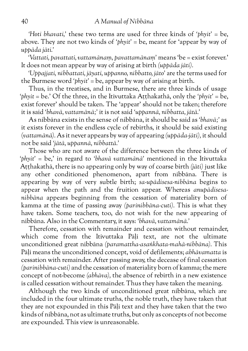*'Hoti bhavati,'* these two terms are used for three kinds of *'phyit'* = be, above. They are not two kinds of *'phyit'* = be, meant for 'appear by way of *uppāda jāti.'*

*'Vattati, pavattati, vattamānaṃ, pavattamānaṃ'* means 'be = exist forever.' It does not mean appear by way of arising at birth *(uppāda jāti).*

*'Uppajjati, nibbattati, jāyati, uppanno, nibbatto, jāto'* are the terms used for the Burmese word *'phyit'* = be, appear by way of arising at birth.

Thus, in the treatises, and in Burmese, there are three kinds of usage *'phyit* = be.' Of the three, in the Itivuttaka Aṭṭhakathā, only the *'phyit'* = be, exist forever' should be taken. The 'appear' should not be taken; therefore it is said *'bhavā, vattamānā;'* it is not said *'uppannā, nibbatta, jātā.'*

As nibbāna exists in the sense of nibbāna, it should be said as *'bhavā;'* as it exists forever in the endless cycle of rebirths, it should be said existing (*vattamānā).* As it never appears by way of appearing *(uppāda-jāti),* it should not be said *'jātā, uppannā, nibbattā.'*

Those who are not aware of the difference between the three kinds of *'phyit'* = be,' in regard to *'bhavā vattamānā'* mentioned in the Itivuttaka Aṭṭhakathā, there is no appearing only by way of coarse birth *(jāti)* just like any other conditioned phenomenon, apart from nibbāna. There is appearing by way of very subtle birth; *sa-upādisesa-nibbāna* begins to appear when the path and the fruition appear. Whereas *anupādisesanibbāna* appears beginning from the cessation of materiality born of kamma at the time of passing away *(parinibbāna-cuti).* This is what they have taken. Some teachers, too, do not wish for the new appearing of nibbāna. Also in the Commentary, it says: *'bhavā, vattamānā.'*

Therefore, cessation with remainder and cessation without remainder, which come from the Itivuttaka Pāḷi text, are not the ultimate unconditioned great nibbāna *(paramattha-asaṅkhata-mahā-nibbāna).* This Pāḷi means the unconditioned concept, void of defilements; *abhāvamatta* is cessation with remainder. After passing away, the decease of final cessation *(parinibbāna-cuti)* and the cessation of materiality born of kamma; the mere concept of not-become *(abhāva),* the absence of rebirth in a new existence is called cessation without remainder. Thus they have taken the meaning.

Although the two kinds of unconditioned great nibbāna, which are included in the four ultimate truths, the noble truth, they have taken that they are not expounded in this Pāḷi text and they have taken that the two kinds of nibbāna, not as ultimate truths, but only as concepts of not become are expounded. This view is unreasonable.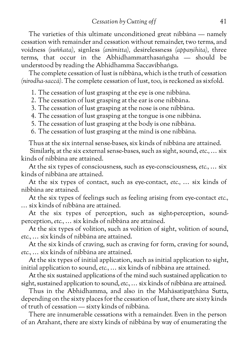*Cessation by Cutting off* 41

The varieties of this ultimate unconditioned great nibbāna — namely cessation with remainder and cessation without remainder, two terms, and voidness *(suññata),* signless *(animitta),* desirelessness *(appaṇihita),* three terms, that occur in the Abhidhammatthasaṅgaha — should be understood by reading the Abhidhamma Saccavibhaṅga.

The complete cessation of lust is nibbāna, which is the truth of cessation *(nirodha-saccā).* The complete cessation of lust, too, is reckoned as sixfold.

1. The cessation of lust grasping at the eye is one nibbāna.

2. The cessation of lust grasping at the ear is one nibbāna.

3. The cessation of lust grasping at the nose is one nibbāna.

4. The cessation of lust grasping at the tongue is one nibbāna.

5. The cessation of lust grasping at the body is one nibbāna.

6. The cessation of lust grasping at the mind is one nibbāna.

Thus at the six internal sense-bases, six kinds of nibbāna are attained.

Similarly, at the six external sense-bases, such as sight, sound, *etc.,* … six kinds of nibbāna are attained.

At the six types of consciousness, such as eye-consciousness, *etc.,* … six kinds of nibbāna are attained.

At the six types of contact, such as eye-contact, *etc.,* … six kinds of nibbāna are attained.

At the six types of feelings such as feeling arising from eye-contact *etc.,* … six kinds of nibbāna are attained.

At the six types of perception, such as sight-perception, soundperception, *etc.,* … six kinds of nibbāna are attained.

At the six types of volition, such as volition of sight, volition of sound, *etc.,* … six kinds of nibbāna are attained.

At the six kinds of craving, such as craving for form, craving for sound, *etc.,* … six kinds of nibbāna are attained.

At the six types of initial application, such as initial application to sight, initial application to sound, *etc.,* … six kinds of nibbāna are attained.

At the six sustained applications of the mind such sustained application to sight, sustained application to sound, *etc.,* … six kinds of nibbāna are attained.

Thus in the Abhidhamma, and also in the Mahāsatipatthāna Sutta, depending on the sixty places for the cessation of lust, there are sixty kinds of truth of cessation — sixty kinds of nibbāna.

There are innumerable cessations with a remainder. Even in the person of an Arahant, there are sixty kinds of nibbāna by way of enumerating the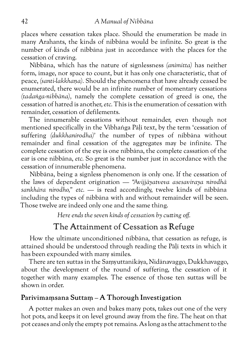places where cessation takes place. Should the enumeration be made in many Arahants, the kinds of nibbāna would be infinite. So great is the number of kinds of nibbāna just in accordance with the places for the cessation of craving.

Nibbāna, which has the nature of signlessness *(animitta)* has neither form, image, nor space to count, but it has only one characteristic, that of peace, *(santi-lakkhaṇa).* Should the phenomena that have already ceased be enumerated, there would be an infinite number of momentary cessations *(tadaṅga-nibbāna),* namely the complete cessation of greed is one, the cessation of hatred is another, *etc.* This is the enumeration of cessation with remainder, cessation of defilements.

The innumerable cessations without remainder, even though not mentioned specifically in the Vibhaṅga Pāḷi text, by the term 'cessation of suffering *(dukkhanirodha)'* the number of types of nibbāna without remainder and final cessation of the aggregates may be infinite. The complete cessation of the eye is one nibbāna, the complete cassation of the ear is one nibbāna, *etc.* So great is the number just in accordance with the cessation of innumerable phenomena.

Nibbāna, being a signless phenomenon is only one. If the cessation of the laws of dependent origination — *"Avijjāyatveva asesaviraya nirodhā sankhāra nirodho," etc.* — is read accordingly, twelve kinds of nibbāna including the types of nibbāna with and without remainder will be seen. Those twelve are indeed only one and the same thing.

*Here ends the seven kinds of cessation by cutting off.*

## The Attainment of Cessation as Refuge

How the ultimate unconditioned nibbāna, that cessation as refuge, is attained should be understood through reading the Pāḷi texts in which it has been expounded with many similes.

There are ten suttas in the Saṃyuttanikāya, Nidānavaggo, Dukkhavaggo, about the development of the round of suffering, the cessation of it together with many examples. The essence of those ten suttas will be shown in order.

### **Parivīmaṃsana Suttaṃ – A Thorough Investigation**

A potter makes an oven and bakes many pots, takes out one of the very hot pots, and keeps it on level ground away from the fire. The heat on that pot ceases and only the empty pot remains. As long as the attachment to the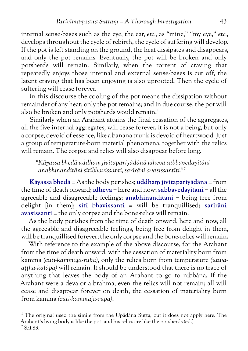internal sense-bases such as the eye, the ear, *etc.,* as "mine," "my eye," *etc.,* develops throughout the cycle of rebirth, the cycle of suffering will develop. If the pot is left standing on the ground, the heat dissipates and disappears, and only the pot remains. Eventually, the pot will be broken and only potsherds will remain. Similarly, when the torrent of craving that repeatedly enjoys those internal and external sense-bases is cut off, the latent craving that has been enjoying is also uprooted. Then the cycle of suffering will cease forever.

In this discourse the cooling of the pot means the dissipation without remainder of any heat; only the pot remains; and in due course, the pot will also be broken and only potsherds would remain.<sup>1</sup>

Similarly when an Arahant attains the final cessation of the aggregates, all the five internal aggregates, will cease forever. It is not a being, but only a corpse, devoid of essence, like a banana trunk is devoid of heartwood. Just a group of temperature-born material phenomena, together with the relics will remain. The corpse and relics will also disappear before long.

*"Kāyassa bhedā uddhaṃ jīvitapariyādānā idheva sabbavedayitāni anabhinanditāni sītībhavissanti, sarīrāni avasissantīti."2*

**Kāyassa bhedā** = As the body perishes; **uddhaṃ jīvitapariyādāna** = from the time of death onward; **idheva** = here and now; **sabbavedayitāni** = all the agreeable and disagreeable feelings; **anabhinanditāni** = being free from delight [in them]; **sītī bhavissanti** = will be tranquillised; **sarīrāni avasissanti** = the only corpse and the bone-relics will remain.

As the body perishes from the time of death onward, here and now, all the agreeable and disagreeable feelings, being free from delight in them, will be tranquillised forever; the only corpse and the bone-relics will remain.

With reference to the example of the above discourse, for the Arahant from the time of death onward, with the cessation of materiality born from kamma *(cuti-kammaja-rūpa),* only the relics born from temperature *(utujaaṭṭha-kalāpa)* will remain. It should be understood that there is no trace of anything that leaves the body of an Arahant to go to nibbāna. If the Arahant were a deva or a brahma, even the relics will not remain; all will cease and disappear forever on death, the cessation of materiality born from kamma *(cuti-kammaja-rūpa)*.

 $\overline{1}$  The original used the simile from the Upādāna Sutta, but it does not apply here. The Arahant's living body is like the pot, and his relics are like the potsherds (ed.) 2 S.ii.83.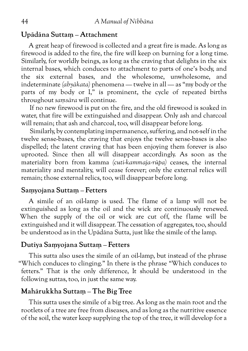#### **Upādāna Suttaṃ – Attachment**

A great heap of firewood is collected and a great fire is made. As long as firewood is added to the fire, the fire will keep on burning for a long time. Similarly, for worldly beings, as long as the craving that delights in the six internal bases, which conduces to attachment to parts of one's body, and the six external bases, and the wholesome, unwholesome, and indeterminate *(abyākata)* phenomena — twelve in all — as "my body or the parts of my body or I," is prominent, the cycle of repeated births throughout *saṃsāra* will continue.

If no new firewood is put on the fire, and the old firewood is soaked in water, that fire will be extinguished and disappear. Only ash and charcoal will remain; that ash and charcoal, too, will disappear before long.

Similarly, by contemplating impermanence, suffering, and not-self in the twelve sense-bases, the craving that enjoys the twelve sense-bases is also dispelled; the latent craving that has been enjoying them forever is also uprooted. Since then all will disappear accordingly. As soon as the materiality born from kamma *(cuti-kammaja-rūpa)* ceases, the internal materiality and mentality, will cease forever; only the external relics will remain; those external relics, too, will disappear before long.

#### **Saṃyojana Suttaṃ – Fetters**

A simile of an oil-lamp is used. The flame of a lamp will not be extinguished as long as the oil and the wick are continuously renewed. When the supply of the oil or wick are cut off, the flame will be extinguished and it will disappear. The cessation of aggregates, too, should be understood as in the Upādāna Sutta, just like the simile of the lamp.

#### **Dutiya Saṃyojana Suttaṃ – Fetters**

This sutta also uses the simile of an oil-lamp, but instead of the phrase "Which conduces to clinging." In there is the phrase "Which conduces to fetters." That is the only difference, It should be understood in the following suttas, too, in just the same way.

### **Mahārukkha Suttaṃ – The Big Tree**

This sutta uses the simile of a big tree. As long as the main root and the rootlets of a tree are free from diseases, and as long as the nutritive essence of the soil, the water keep supplying the top of the tree, it will develop for a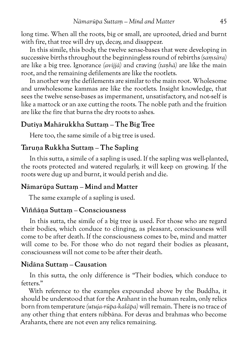long time. When all the roots, big or small, are uprooted, dried and burnt with fire, that tree will dry up, decay, and disappear.

In this simile, this body, the twelve sense-bases that were developing in successive births throughout the beginningless round of rebirths *(saṃsāra)* are like a big tree. Ignorance *(avijjā)* and craving *(taṇhā)* are like the main root, and the remaining defilements are like the rootlets.

In another way the defilements are similar to the main root. Wholesome and unwholesome kammas are like the rootlets. Insight knowledge, that sees the twelve sense-bases as impermanent, unsatisfactory, and not-self is like a mattock or an axe cutting the roots. The noble path and the fruition are like the fire that burns the dry roots to ashes.

### **Dutiya Mahārukkha Suttaṃ – The Big Tree**

Here too, the same simile of a big tree is used.

#### **Taruṇa Rukkha Suttaṃ – The Sapling**

In this sutta, a simile of a sapling is used. If the sapling was well-planted, the roots protected and watered regularly, it will keep on growing. If the roots were dug up and burnt, it would perish and die.

### **Nāmarūpa Suttaṃ – Mind and Matter**

The same example of a sapling is used.

#### **Viññāṇa Suttaṃ – Consciousness**

In this sutta, the simile of a big tree is used. For those who are regard their bodies, which conduce to clinging, as pleasant, consciousness will come to be after death. If the consciousness comes to be, mind and matter will come to be. For those who do not regard their bodies as pleasant, consciousness will not come to be after their death.

#### **Nidāna Suttaṃ – Causation**

In this sutta, the only difference is "Their bodies, which conduce to fetters<sup>"</sup>

With reference to the examples expounded above by the Buddha, it should be understood that for the Arahant in the human realm, only relics born from temperature *(utuja-rūpa-kalāpa)* will remain. There is no trace of any other thing that enters nibbāna. For devas and brahmas who become Arahants, there are not even any relics remaining.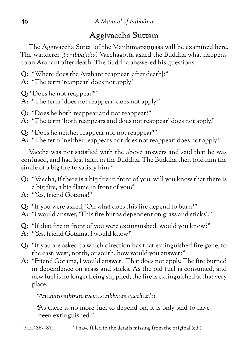# Aggivaccha Suttaṃ

The Aggivaccha Sutta<sup>1</sup> of the Majjhimapannāsa will be examined here. The wanderer *(paribbājaka)* Vacchagotta asked the Buddha what happens to an Arahant after death. The Buddha answered his questions.

- **Q:** "Where does the Arahant reappear [after death]?"
- **A:** "The term 'reappear' does not apply."
- **Q:** "Does he not reappear?"
- **A:** "The term 'does not reappear' does not apply."
- **Q:** "Does he both reappear and not reappear?"
- **A:** "The term 'both reappears and does not reappear' does not apply."
- **Q:** "Does he neither reappear nor not reappear?"
- **A:** "The term 'neither reappears nor does not reappear' does not apply."

Vaccha was not satisfied with the above answers and said that he was confused, and had lost faith in the Buddha. The Buddha then told him the simile of a big fire to satisfy him.<sup>2</sup>

- **Q:** "Vaccha, if there is a big fire in front of you, will you know that there is a big fire, a big flame in front of you?"
- **A:** "Yes, friend Gotama!"
- **Q:** "If you were asked, 'On what does this fire depend to burn?"
- **A:** "I would answer, 'This fire burns dependent on grass and sticks'."
- **Q:** "If that fire in front of you were extinguished, would you know?"
- **A:** "Yes, friend Gotama, I would know."
- **Q:** "If you are asked to which direction has that extinguished fire gone, to the east, west, north, or south, how would you answer?"
- **A:** "Friend Gotama, I would answer: 'That does not apply. The fire burned in dependence on grass and sticks. As the old fuel is consumed, and new fuel is no longer being supplied, the fire is extinguished at that very place.

*"Anāhāro nibbuto tveva saṅkhyaṃ gacchatī'ti"*

"As there is no more fuel to depend on, it is only said to have been extinguished."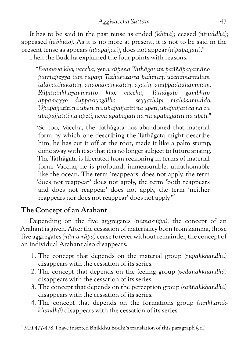It has to be said in the past tense as ended *(khīnā);* ceased *(niruddhā);* appeased *(nibbuto).* As it is no more at present, it is not to be said in the present tense as appears *(upapajjati),* does not appear *(nipapajjati)."* Then the Buddha explained the four points with reasons.

*"Evameva kho, vaccha, yena rūpena Tathāgataṃ paññāpayamāno paññāpeyya taṃ rūpaṃ Tathāgatassa pahīnaṃ ucchinnamūlaṃ tālāvatthukataṃ anabhāvaṃkataṃ āyatiṃ anuppādadhammaṃ. Rūpasaṅkhayavimutto kho, vaccha, Tathāgato gambhīro appameyyo duppariyogāḷho — seyyathāpi mahāsamuddo. Upapajjatīti na upeti, na upapajjatīti na upeti, upapajjati ca na ca upapajjatīti na upeti, neva upapajjati na na upapajjatīti na upeti."*

"So too, Vaccha, the Tathāgata has abandoned that material form by which one describing the Tathāgata might describe him, he has cut it off at the root, made it like a palm stump, done away with it so that it is no longer subject to future arising. The Tathāgata is liberated from reckoning in terms of material form. Vaccha, he is profound, immeasurable, unfathomable like the ocean. The term 'reappears' does not apply, the term 'does not reappear' does not apply, the term 'both reappears and does not reappear' does not apply, the term 'neither reappears nor does not reappear' does not apply."1

### **The Concept of an Arahant**

Depending on the five aggregates *(nāma-rūpa),* the concept of an Arahant is given. After the cessation of materiality born from kamma, those five aggregates *(nāma-rūpa)* cease forever without remainder, the concept of an individual Arahant also disappears.

- 1. The concept that depends on the material group *(rūpakkhandhā)* disappears with the cessation of its series.
- 2. The concept that depends on the feeling group *(vedanakkhandhā)* disappears with the cessation of its series.
- 3. The concept that depends on the perception group *(saññakkhandhā)* disappears with the cessation of its series.
- 4. The concept that depends on the formations group *(saṅkhārakkhandhā)* disappears with the cessation of its series.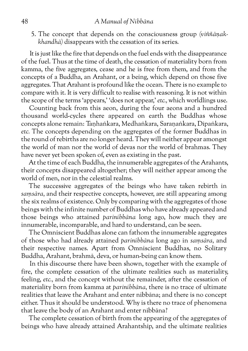#### 48 *A Manual of Nibbāna*

5. The concept that depends on the consciousness group *(viññāṇakkhandhā)* disappears with the cessation of its series.

It is just like the fire that depends on the fuel ends with the disappearance of the fuel. Thus at the time of death, the cessation of materiality born from kamma, the five aggregates, cease and he is free from them, and from the concepts of a Buddha, an Arahant, or a being, which depend on those five aggregates. That Arahant is profound like the ocean. There is no example to compare with it. It is very difficult to realise with reasoning. It is not within the scope of the terms 'appears,' 'does not appear,' *etc.,* which worldlings use.

Counting back from this aeon, during the four aeons and a hundred thousand world-cycles there appeared on earth the Buddhas whose concepts alone remain: Taṇhaṅkara, Medhaṅkara, Saraṇaṅkara, Dīpaṅkara, *etc.* The concepts depending on the aggregates of the former Buddhas in the round of rebirths are no longer heard. They will neither appear amongst the world of man nor the world of devas nor the world of brahmas. They have never yet been spoken of, even as existing in the past.

At the time of each Buddha, the innumerable aggregates of the Arahants, their concepts disappeared altogether; they will neither appear among the world of men, nor in the celestial realms.

The successive aggregates of the beings who have taken rebirth in *saṃsāra,* and their respective concepts, however, are still appearing among the six realms of existence. Only by comparing with the aggregates of those beings with the infinite number of Buddhas who have already appeared and those beings who attained *parinibbāna* long ago, how much they are innumerable, incomparable, and hard to understand, can be seen.

The Omniscient Buddhas alone can fathom the innumerable aggregates of those who had already attained *parinibbāna* long ago in *saṃsāra,* and their respective names. Apart from Omniscient Buddhas, no Solitary Buddha, Arahant, brahmā, deva, or human-being can know them.

In this discourse there have been shown, together with the example of fire, the complete cessation of the ultimate realities such as materiality, feeling, *etc.,* and the concept without the remainder, after the cessation of materiality born from kamma at *parinibbāna,* there is no trace of ultimate realities that leave the Arahant and enter nibbāna; and there is no concept either. Thus it should be understood. Why is there no trace of phenomena that leave the body of an Arahant and enter nibbāna?

The complete cessation of birth from the appearing of the aggregates of beings who have already attained Arahantship, and the ultimate realities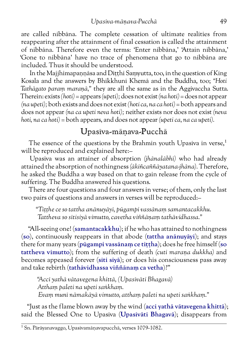are called nibbāna. The complete cessation of ultimate realities from reappearing after the attainment of final cessation is called the attainment of nibbāna. Therefore even the terms: 'Enter nibbāna,' 'Attain nibbāna,' 'Gone to nibbāna' have no trace of phenomena that go to nibbāna are included. Thus it should be understood.

In the Majjhimapannāsa and Ditthi Samyutta, too, in the question of King Kosala and the answers by Bhikkhunī Khemā and the Buddha, too; *"Hoti Tathāgato paraṃ maraṇā,"* they are all the same as in the Aggivaccha Sutta. Therein: exists *(hoti)* = appears *(upeti);* does not exist *(na hoti)* = does not appear *(na upeti);* both exists and does not exist *(hoti ca, na ca hoti)* = both appears and does not appear *(na ca upeti neva hoti);* neither exists nor does not exist *(neva hoti, na ca hoti)* = both appears, and does not appear *(upeti ca, na ca upeti).*

### Upasīva-māṇava-Pucchā

The essence of the questions by the Brahmin youth Upasiva in verse,<sup>1</sup> will be reproduced and explained here:–

Upasīva was an attainer of absorption *(jhānalābhī)* who had already attained the absorption of nothingness *(ākiñcaññāyatana-jhāna).* Therefore, he asked the Buddha a way based on that to gain release from the cycle of suffering. The Buddha answered his questions.

There are four questions and four answers in verse; of them, only the last two pairs of questions and answers in verses will be reproduced:–

*"Tiṭṭhe ce so tattha anānuyāyī, pūgampi vassānaṃ samantacakkhu. Tattheva so sītisiyā vimutto, cavetha viññāṇaṃ tathāvidhassa."*

"All-seeing one! (**samantacakkhu**); if he who has attained to nothingness (**so**), continuously reappears in that abode (**tattha anānuyāyī**); and stays there for many years (**pūgampi vassānaṃ ce tiṭṭha**); does he free himself (**so tattheva vimutto**); from the suffering of death *(cuti maraṇa dukkha)* and becomes appeased forever (**sīti siyā**); or does his consciousness pass away and take rebirth (**tathāvidhassa viññānaṃ ca vetha**)?"

*"Accī yathā vātavegena khittā, (Upasīvāti Bhagavā) Atthaṃ paleti na upeti saṅkhaṃ. Evaṃ munī nāmakāyā vimutto, atthaṃ paleti na upeti saṅkhaṃ."*

"Just as the flame blown away by the wind (**acci yathā vātavegena khittā**); said the Blessed One to Upasīva (**Upasīvāti Bhagavā**); disappears from

<sup>1</sup> Sn. Pārāyanavaggo, Upasīvamāṇavapucchā, verses 1079-1082.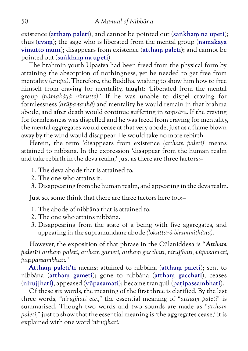existence (**atthaṃ paleti**); and cannot be pointed out (**saṅkhaṃ na upeti**); thus (**evaṃ**); the sage who is liberated from the mental group (**nāmakāyā vimutto munī**); disappears from existence (**atthaṃ paleti**); and cannot be pointed out (**saṅkhaṃ na upeti**).

The brahmin youth Upasīva had been freed from the physical form by attaining the absorption of nothingness, yet he needed to get free from mentality *(arūpa).* Therefore, the Buddha, wishing to show him how to free himself from craving for mentality, taught: 'Liberated from the mental group *(nāmakāyā vimutto).'* If he was unable to dispel craving for formlessness *(arūpa-taṇhā)* and mentality he would remain in that brahma abode, and after death would continue suffering in *saṃsāra.* If the craving for formlessness was dispelled and he was freed from craving for mentality, the mental aggregates would cease at that very abode, just as a flame blown away by the wind would disappear. He would take no more rebirth.

Herein, the term 'disappears from existence *(atthaṃ paleti)'* means attained to nibbāna. In the expression 'disappear from the human realm and take rebirth in the deva realm,' just as there are three factors:–

- 1. The deva abode that is attained to.
- 2. The one who attains it.
- 3. Disappearing from the human realm, and appearing in the deva realm.

Just so, some think that there are three factors here too:–

- 1. The abode of nibbāna that is attained to.
- 2. The one who attains nibbāna.
- 3. Disappearing from the state of a being with five aggregates, and appearing in the supramundane abode *(lokuttarā bhummiṭhāna).*

However, the exposition of that phrase in the Cūḷaniddesa is "*Atthaṃ paletīti atthaṃ paleti, atthaṃ gameti, atthaṃ gacchati, nirujjhati, vūpasamati, paṭipassambhati."*

**Atthaṃ paletī'ti** means; attained to nibbāna (**atthaṃ paleti**); sent to nibbāna (**atthaṃ gameti**); gone to nibbāna (**atthaṃ gacchati**); ceases (**nirujjhati)**; appeased (**vūpasamati**); become tranquil (**paṭipassambhati**).

Of these six words, the meaning of the first three is clarified. By the last three words, *"nirujjhati etc.,"* the essential meaning of *"atthaṃ paleti"* is summarised. Though two words and two sounds are made as *"atthaṃ paleti,"* just to show that the essential meaning is 'the aggregates cease,' it is explained with one word *'nirujjhati.'*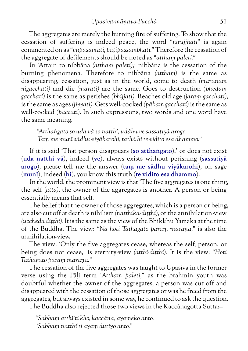The aggregates are merely the burning fire of suffering. To show that the cessation of suffering is indeed peace, the word *"nirujjhati"* is again commented on as *"vūpasamati, paṭipassambhati."* Therefore the cessation of the aggregate of defilements should be noted as *"atthaṃ paleti."*

In 'Attain to nibbāna *(atthaṃ paleti),'* nibbāna is the cessation of the burning phenomena. Therefore to nibbāna *(atthaṃ)* is the same as disappearing, cessation, just as in the world, come to death *(maranaṃ nigacchati)* and die *(marati)* are the same. Goes to destruction *(bhedaṃ gacchati)* is the same as perishes *(bhijjati).* Reaches old age *(jaraṃ gacchati),* is the same as ages *(jiyyati).* Gets well-cooked *(pākaṃ gacchati)* is the same as well-cooked *(paccati).* In such expressions, two words and one word have the same meaning.

*"Atthaṅgato so uda vā so natthi, udāhu ve sassatiyā arogo. Taṃ me munī sādhu viyākarohi, tathā hi te vidito esa dhammo."*

If it is said 'That person disappears (**so atthaṅgato**),' or does not exist (**uda natthi vā**), indeed (**ve**), always exists without perishing (**sassatiyā arogo**), please tell me the answer (**taṃ me sādhu viyākarohi**), oh sage (**munī**), indeed (**hi**), you know this truth (**te vidito esa dhammo**).

In the world, the prominent view is that 'The five aggregates is one thing, the self *(atta),* the owner of the aggregates is another. A person or being essentially means that self.

The belief that the owner of those aggregates, which is a person or being, are also cut off at death is nihilism *(natthika-diṭṭhi),* or the annihilation-view *(uccheda diṭṭhi).* It is the same as the view of the Bhikkhu Yamaka at the time of the Buddha. The view: *"Na hoti Tathāgato paraṃ maraṇā,"* is also the annihilation-view.

The view: 'Only the five aggregates cease, whereas the self, person, or being does not cease,' is eternity-view *(atthi-diṭṭhi).* It is the view: *"Hoti Tathāgato paraṃ maraṇā."*

The cessation of the five aggregates was taught to Upasīva in the former verse using the Pāḷi term *"Atthaṃ paleti,"* as the brahmin youth was doubtful whether the owner of the aggregates, a person was cut off and disappeared with the cessation of those aggregates or was he freed from the aggregates, but always existed in some way, he continued to ask the question.

The Buddha also rejected those two views in the Kaccānagotta Sutta:–

*"Sabbaṃ atthī'ti kho, kaccāna, ayameko anto. 'Sabbaṃ natthī'ti ayaṃ dutiyo anto."*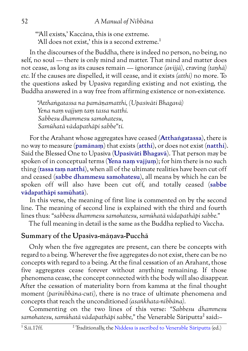"'All exists,' Kaccāna, this is one extreme. 'All does not exist,' this is a second extreme.<sup>1</sup>

In the discourses of the Buddha, there is indeed no person, no being, no self, no soul — there is only mind and matter. That mind and matter does not cease, as long as its causes remain — ignorance *(avijjā),* craving *(taṇhā) etc.* If the causes are dispelled, it will cease, and it exists *(atthi)* no more*.* To the questions asked by Upasīva regarding existing and not existing, the Buddha answered in a way free from affirming existence or non-existence.

*"Atthaṅgatassa na pamāṇamatthi, (Upasīvāti Bhagavā) Yena naṃ vajjuṃ taṃ tassa natthi. Sabbesu dhammesu samohatesu, Samūhatā vādapathāpi sabbe"ti.*

For the Arahant whose aggregates have ceased (**Atthaṅgatassa**), there is no way to measure (**pamānaṃ**) that exists (**atthi**), or does not exist (**natthi**). Said the Blessed One to Upasīva (**Upasīvāti Bhagavā**). That person may be spoken of in conceptual terms (**Yena naṃ vajjuṃ**); for him there is no such thing (**tassa taṃ natthi**), when all of the ultimate realities have been cut off and ceased (**sabbe dhammesu samohatesu**), all means by which he can be spoken off will also have been cut off, and totally ceased (**sabbe vādapathāpi samūhatā**).

In this verse, the meaning of first line is commented on by the second line. The meaning of second line is explained with the third and fourth lines thus: *"sabbesu dhammesu samohatesu, samūhatā vādapathāpi sabbe."*

The full meaning in detail is the same as the Buddha replied to Vaccha.

### **Summary of the Upasīva-māṇava-Pucchā**

Only when the five aggregates are present, can there be concepts with regard to a being. Wherever the five aggregates do not exist, there can be no concepts with regard to a being. At the final cessation of an Arahant, those five aggregates cease forever without anything remaining. If those phenomena cease, the concept connected with the body will also disappear. After the cessation of materiality born from kamma at the final thought moment *(parinibbāna-cuti),* there is no trace of ultimate phenomena and concepts that reach the unconditioned *(asaṅkhata-nibbāna).*

Commenting on the two lines of this verse: *"Sabbesu dhammesu* samohatesu, samūhatā vādapathāpi sabbe," the Venerable Sāriputta<sup>2</sup> said:-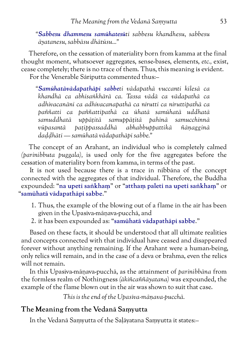*"Sabbesu dhammesu samūhatesūti sabbesu khandhesu, sabbesu āyatanesu, sabbāsu dhātūsu..."*

Therefore, on the cessation of materiality born from kamma at the final thought moment, whatsoever aggregates, sense-bases, elements, *etc.,* exist, cease completely; there is no trace of them. Thus, this meaning is evident. For the Venerable Sāriputta commented thus:–

*"Samūhatāvādapathāpi sabbeti vādapathā vuccanti kilesā ca khandhā ca abhisaṅkhārā ca. Tassa vādā ca vādapathā ca adhivacanāni ca adhivacanapathā ca nirutti ca niruttipathā ca paññatti ca paññattipathā ca ūhatā samūhatā uddhatā samuddhatā uppāṭitā samuppāṭitā pahīnā samucchinnā vūpasantā paṭippassaddhā abhabbuppattikā ñāṇagginā daḍḍhāti — samūhatā vādapathāpi sabbe."*

The concept of an Arahant, an individual who is completely calmed *(parinibbuta puggala),* is used only for the five aggregates before the cessation of materiality born from kamma, in terms of the past.

It is not used because there is a trace in nibbāna of the concept connected with the aggregates of that individual. Therefore, the Buddha expounded: "**na upeti saṅkhaṃ**" or "**atthaṃ paleti na upeti saṅkhaṃ**" or "**samūhatā vādapathāpi sabbe**."

- 1. Thus, the example of the blowing out of a flame in the air has been given in the Upasīva-māṇava-pucchā, and
- 2. it has been expounded as: "**samūhatā vādapathāpi sabbe**."

Based on these facts, it should be understood that all ultimate realities and concepts connected with that individual have ceased and disappeared forever without anything remaining. If the Arahant were a human-being, only relics will remain, and in the case of a deva or brahma, even the relics will not remain.

In this Upasīva-māṇava-pucchā, as the attainment of *parinibbāna* from the formless realm of Nothingness *(ākiñcaññāyatana)* was expounded, the example of the flame blown out in the air was shown to suit that case.

*This is the end of the Upasīva-māṇava-pucchā.*

#### **The Meaning from the Vedanā Saṃyutta**

In the Vedanā Saṃyutta of the Saḷāyatana Saṃyutta it states:–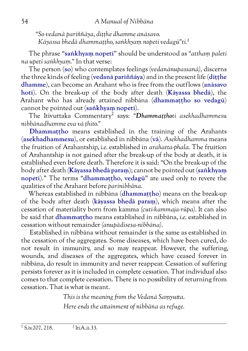*"So vedanā pariññāya, diṭṭhe dhamme anāsavo. Kāyassa bhedā dhammaṭṭho, saṅkhyaṃ nopeti vedagū"ti.1*

The phrase "**saṅkhyaṃ nopeti**" should be understood as *"atthaṃ paleti na upeti saṅkhyaṃ."* In that verse:

The person (**so**) who contemplates feelings *(vedanānupassanā),* discerns the three kinds of feeling (**vedanā pariññāya**) and in the present life (**diṭṭhe dhamme**), can become an Arahant who is free from the outflows (**anāsavo hoti**). On the break-up of the body after death (**Kāyassa bhedā**), the Arahant who has already attained nibbāna (**dhammaṭṭho so vedagū**) cannot be pointed out (**saṅkhyaṃ nopeti**).

The Itivuttaka Commentary2 says: *"Dhammaṭṭhoti asekhadhammesu nibbānadhamme eva vā ṭhito."*

**Dhammaṭṭho** means established in the training of the Arahants (**asekhadhammesu**), or established in nibbāna (**vā**). *Asekhadhamma* means the fruition of Arahantship, *i.e.* established in *arahatta-phala.* The fruition of Arahantship is not gained after the break-up of the body at death, it is established even before death. Therefore it is said: "On the break-up of the body after death (**Kāyassa bhedā paraṃ**); cannot be pointed out (**saṅkhyaṃ nopeti**)." The terms "**dhammaṭṭho**, **vedagū**" are used only to revere the qualities of the Arahant before *parinibbāna.*

Whereas established in nibbāna (**dhammaṭṭho**) means on the break-up of the body after death (**kāyassa bhedā paraṃ**), which means after the cessation of materiality born from kamma *(cuti-kammaja-rūpa).* It can also be said that **dhammaṭṭho** means established in nibbāna, *i.e.* established in cessation without remainder *(anupādisesa-nibbāna).*

Established in nibbāna without remainder is the same as established in the cessation of the aggregates. Some diseases, which have been cured, do not result in immunity, and so may reappear. However, the suffering, wounds, and diseases of the aggregates, which have ceased forever in nibbāna, do result in immunity and never reappear. Cessation of suffering persists forever as it is included in complete cessation. That individual also comes to that complete cessation. There is no possibility of returning from cessation. That is what is meant.

> *This is the meaning from the Vedanā Saṃyutta. Here ends the attainment of nibbāna as refuge.*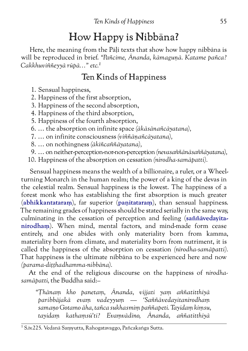# How Happy is Nibbāna?

Here, the meaning from the Pāḷi texts that show how happy nibbāna is will be reproduced in brief. *"Pañcime, Ānanda, kāmaguṇā. Katame pañca? Cakkhuviññeyyā rūpā…" etc.1*

### Ten Kinds of Happiness

- 1. Sensual happiness,
- 2. Happiness of the first absorption,
- 3. Happiness of the second absorption,
- 4. Happiness of the third absorption,
- 5. Happiness of the fourth absorption,
- 6. … the absorption on infinite space *(ākāsānañcāyatana),*
- 7. … on infinite consciousness *(viññāṇañcāyatana),*
- 8. … on nothingness *(ākiñcaññāyatana),*
- 9. … on neither-perception-nor-non-perception *(nevasaññānāsaññāyatana),*
- 10. Happiness of the absorption on cessation *(nirodha-samāpatti).*

Sensual happiness means the wealth of a billionaire, a ruler, or a Wheelturning Monarch in the human realm; the power of a king of the devas in the celestial realm. Sensual happiness is the lowest. The happiness of a forest monk who has establishing the first absorption is much greater (**abhikkantataraṃ**), far superior (**paṇitataraṃ**), than sensual happiness. The remaining grades of happiness should be stated serially in the same way, culminating in the cessation of perception and feeling (**saññāvedayitanirodhaṃ**). When mind, mental factors, and mind-made form cease entirely, and one abides with only materiality born from kamma, materiality born from climate, and materiality born from nutriment, it is called the happiness of the absorption on cessation *(nirodha-samāpatti).* That happiness is the ultimate nibbāna to be experienced here and now *(parama-diṭṭhadhamma-nibbāna).*

At the end of the religious discourse on the happiness of *nirodhasamāpatti,* the Buddha said:–

*"Ṭhānaṃ kho panetaṃ, Ānanda, vijjati yaṃ aññatitthiyā paribbājakā evaṃ vadeyyuṃ — 'Saññāvedayitanirodhaṃ samaṇo Gotamo āha, tañca sukhasmiṃ paññapeti. Tayidaṃ kiṃsu, tayidaṃ kathaṃsū'ti? Evaṃvādino, Ānanda, aññatitthiyā*

<sup>1</sup> S.iv.225. Vedanā Saṃyutta, Rahogatavaggo, Pañcakaṅga Sutta.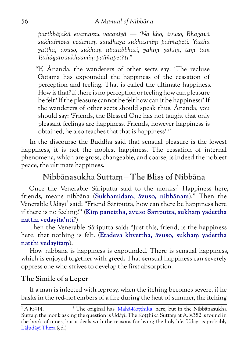*paribbājakā evamassu vacanīyā — 'Na kho, āvuso, Bhagavā sukhaññeva vedanaṃ sandhāya sukhasmiṃ paññapeti. Yattha yattha, āvuso, sukhaṃ upalabbhati, yahiṃ yahiṃ, taṃ taṃ Tathāgato sukhasmiṃ paññapetī'ti."*

"If, Ānanda, the wanderers of other sects say: 'The recluse Gotama has expounded the happiness of the cessation of perception and feeling. That is called the ultimate happiness. How is that? If there is no perception or feeling how can pleasure be felt? If the pleasure cannot be felt how can it be happiness?' If the wanderers of other sects should speak thus, Ānanda, you should say: 'Friends, the Blessed One has not taught that only pleasant feelings are happiness. Friends, however happiness is obtained, he also teaches that that is happiness'."

In the discourse the Buddha said that sensual pleasure is the lowest happiness, it is not the noblest happiness. The cessation of internal phenomena, which are gross, changeable, and coarse, is indeed the noblest peace, the ultimate happiness.

### Nibbānasukha Suttaṃ – The Bliss of Nibbāna

Once the Venerable Sāriputta said to the monks:<sup>1</sup> Happiness here, friends, means nibbāna (**Sukhamidaṃ, āvuso, nibbānaṃ**)." Then the Venerable Udāvī<sup>2</sup> said: "Friend Sāriputta, how can there be happiness here if there is no feeling?" (**Kiṃ panettha, āvuso Sāriputta, sukhaṃ yadettha natthi vedayita'nti**?)

Then the Venerable Sāriputta said: "Just this, friend, is the happiness here, that nothing is felt. (**Etadeva khvettha, āvuso, sukhaṃ yadettha natthi vedayitaṃ**).

How nibbāna is happiness is expounded. There is sensual happiness, which is enjoyed together with greed. That sensual happiness can severely oppress one who strives to develop the first absorption.

### **The Simile of a Leper**

If a man is infected with leprosy, when the itching becomes severe, if he basks in the red-hot embers of a fire during the heat of summer, the itching

 $\frac{1}{1}$ A.iv.414.  $\frac{2}{1}$  The original has 'Mahā-Kotthika' here, but in the Nibbānasukha Suttam the monk asking the question is Udāyī. The Kotthika Suttam at A.iv.382 is found in the book of nines, but it deals with the reasons for living the holy life. Udāyī is probably [Lāḷudāyī Thera](http://www.aimwell.org/DPPN/laludayi_thera.html) (ed.)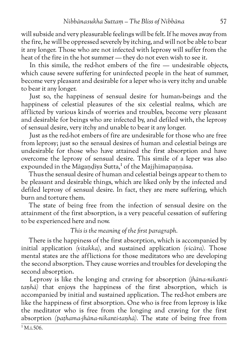will subside and very pleasurable feelings will be felt. If he moves away from the fire, he will be oppressed severely by itching, and will not be able to bear it any longer. Those who are not infected with leprosy will suffer from the heat of the fire in the hot summer — they do not even wish to see it.

In this simile, the red-hot embers of the fire — undesirable objects, which cause severe suffering for uninfected people in the heat of summer, become very pleasant and desirable for a leper who is very itchy and unable to bear it any longer.

Just so, the happiness of sensual desire for human-beings and the happiness of celestial pleasures of the six celestial realms, which are afflicted by various kinds of worries and troubles, become very pleasant and desirable for beings who are infected by, and defiled with, the leprosy of sensual desire, very itchy and unable to bear it any longer.

Just as the red-hot embers of fire are undesirable for those who are free from leprosy; just so the sensual desires of human and celestial beings are undesirable for those who have attained the first absorption and have overcome the leprosy of sensual desire. This simile of a leper was also expounded in the Māgaṇḍiya Sutta,<sup>1</sup> of the Majjhimapaṇṇāsa.

Thus the sensual desire of human and celestial beings appear to them to be pleasant and desirable things, which are liked only by the infected and defiled leprosy of sensual desire. In fact, they are mere suffering, which burn and torture them.

The state of being free from the infection of sensual desire on the attainment of the first absorption, is a very peaceful cessation of suffering to be experienced here and now.

#### *This is the meaning of the first paragraph.*

There is the happiness of the first absorption, which is accompanied by initial application *(vitakka),* and sustained application *(vicāra).* Those mental states are the afflictions for those meditators who are developing the second absorption. They cause worries and troubles for developing the second absorption.

Leprosy is like the longing and craving for absorption *(jhāna-nikantitaṇhā)* that enjoys the happiness of the first absorption, which is accompanied by initial and sustained application. The red-hot embers are like the happiness of first absorption. One who is free from leprosy is like the meditator who is free from the longing and craving for the first absorption *(paṭhama-jhāna-nikanti-taṇhā).* The state of being free from

 $1 M.i.506$ .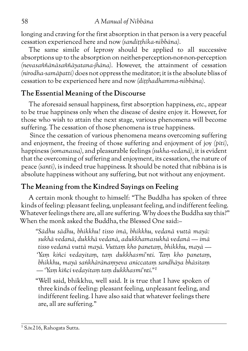longing and craving for the first absorption in that person is a very peaceful cessation experienced here and now *(sandiṭṭhika-nibbāna).*

The same simile of leprosy should be applied to all successive absorptions up to the absorption on neither-perception-nor-non-perception *(nevasaññānāsaññāyatana-jhāna).* However, the attainment of cessation *(nirodha-samāpatti)* does not oppress the meditator; it is the absolute bliss of cessation to be experienced here and now *(diṭṭhadhamma-nibbāna).*

### **The Essential Meaning of the Discourse**

The aforesaid sensual happiness, first absorption happiness, *etc.,* appear to be true happiness only when the disease of desire enjoy it. However, for those who wish to attain the next stage, various phenomena will become suffering. The cessation of those phenomena is true happiness.

Since the cessation of various phenomena means overcoming suffering and enjoyment, the freeing of those suffering and enjoyment of joy *(pīti),* happiness *(somanassa),* and pleasurable feelings *(sukha-vedanā),* it is evident that the overcoming of suffering and enjoyment, its cessation, the nature of peace *(santi),* is indeed true happiness. It should be noted that nibbāna is is absolute happiness without any suffering, but not without any enjoyment.

### **The Meaning from the Kindred Sayings on Feeling**

A certain monk thought to himself: "The Buddha has spoken of three kinds of feeling: pleasant feeling, unpleasant feeling, and indifferent feeling. Whatever feelings there are, all are suffering. Why does the Buddha say this?" When the monk asked the Buddha, the Blessed One said:–

*"Sādhu sādhu, bhikkhu! tisso imā, bhikkhu, vedanā vuttā mayā: sukhā vedanā, dukkhā vedanā, adukkhamasukhā vedanā — imā tisso vedanā vuttā mayā. Vuttaṃ kho panetaṃ, bhikkhu, mayā — 'Yaṃ kiñci vedayitaṃ, taṃ dukkhasmi'nti. Taṃ kho panetaṃ, bhikkhu, mayā saṅkhārānaṃyeva aniccataṃ sandhāya bhāsitaṃ — 'Yaṃ kiñci vedayitaṃ taṃ dukkhasmi'nti."1*

"Well said, bhikkhu, well said. It is true that I have spoken of three kinds of feeling: pleasant feeling, unpleasant feeling, and indifferent feeling. I have also said that whatever feelings there are, all are suffering."

<sup>1</sup> S.iv.216, Rahogata Sutta.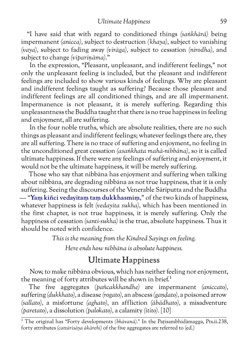"I have said that with regard to conditioned things *(saṅkhārā)* being impermanent *(anicca),* subject to destruction *(khaya),* subject to vanishing *(vaya),* subject to fading away *(virāga),* subject to cessation *(nirodha),* and subject to change *(vipariṇāma).*"

In the expression, "Pleasant, unpleasant, and indifferent feelings," not only the unpleasant feeling is included, but the pleasant and indifferent feelings are included to show various kinds of feelings. Why are pleasant and indifferent feelings taught as suffering? Because those pleasant and indifferent feelings are all conditioned things, and are all impermanent. Impermanence is not pleasant, it is merely suffering. Regarding this unpleasantness the Buddha taught that there is no true happiness in feeling and enjoyment, all are suffering.

In the four noble truths, which are absolute realities, there are no such things as pleasant and indifferent feelings; whatever feelings there are, they are all suffering. There is no trace of suffering and enjoyment, no feeling in the unconditioned great cessation *(asaṅkhata mahā-nibbāna),* so it is called ultimate happiness. If there were any feelings of suffering and enjoyment, it would not be the ultimate happiness, it will be merely suffering.

Those who say that nibbāna has enjoyment and suffering when talking about nibbāna, are degrading nibbāna as not true happiness, that it is only suffering. Seeing the discourses of the Venerable Sāriputta and the Buddha — "**Yaṃ kiñci vedayitaṃ taṃ dukkhasmiṃ**," of the two kinds of happiness, whatever happiness is felt *(vedayita sukha),* which has been mentioned in the first chapter, is not true happiness, it is merely suffering. Only the happiness of cessation *(santi-sukha)* is the true, absolute happiness. Thus it should be noted with confidence.

*This is the meaning from the Kindred Sayings on feeling.*

*Here ends how nibbāna is absolute happiness.*

## <span id="page-64-0"></span>Ultimate Happiness

Now, to make nibbāna obvious, which has neither feeling nor enjoyment, the meaning of forty attributes will be shown in brief.<sup>1</sup>

The five aggregates *(pañcakkhandhe)* are impermanent *(aniccato),* suffering *(dukkhato),* a disease *(rogato),* an abscess *(gaṇḍato),* a poisoned arrow *(sallato),* a misfortune *(aghato),* an affliction *(ābādhato),* a misadventure *(paretato),* a dissolution *(palokato),* a calamity *(ītito).* [10]

<sup>&</sup>lt;sup>1</sup> The original has "Forty developments *(bhāvanā).*" In the Patisambhidāmagga, Pts.ii.238, forty attributes *(cattārisāya ākārehi)* of the five aggregates are referred to (ed.)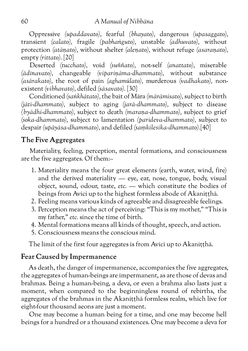Oppressive *(upaddavato),* fearful *(bhayato),* dangerous *(upasaggato),* transient *(calato),* fragile *(pabhaṅguto),* unstable *(adhuvato),* without protection *(atāṇato),* without shelter *(aleṇato),* without refuge *(asaraṇato),* empty *(rittato).* [20]

Deserted *(tucchato),* void *(suññato),* not-self *(anattato),* miserable *(ādīnavato),* changeable *(vipariṇāma-dhammato),* without substance *(asārakato),* the root of pain *(aghamūlato),* murderous *(vadhakato),* nonexistent *(vibhavato),* defiled *(sāsavato).* [30]

Conditioned *(saṅkhātato),* the bait of Māra *(mārāmisato),* subject to birth *(jāti-dhammato),* subject to aging *(jarā-dhammato),* subject to disease *(byādhi-dhammato),* subject to death *(maraṇa-dhammato),* subject to grief *(soka-dhammato),* subject to lamentation *(parideva-dhammato),* subject to despair *(upāyāsa-dhammato),* and defiled *(saṃkilesika-dhammato).*[40]

### **The Five Aggregates**

Materiality, feeling, perception, mental formations, and consciousness are the five aggregates. Of them:–

- 1. Materiality means the four great elements (earth, water, wind, fire) and the derived materiality — eye, ear, nose, tongue, body, visual object, sound, odour, taste, *etc.* — which constitute the bodies of beings from Avīci up to the highest formless abode of Akaniṭṭhā.
- 2. Feeling means various kinds of agreeable and disagreeable feelings.
- 3. Perception means the act of perceiving: "This is my mother," "This is my father," *etc.* since the time of birth.
- 4. Mental formations means all kinds of thought, speech, and action.
- 5. Consciousness means the conscious mind.

The limit of the first four aggregates is from Avīci up to Akanitthā.

### **Fear Caused by Impermanence**

As death, the danger of impermanence, accompanies the five aggregates, the aggregates of human-beings are impermanent, as are those of devas and brahmas. Being a human-being, a deva, or even a brahma also lasts just a moment, when compared to the beginningless round of rebirths, the aggregates of the brahmas in the Akaniṭṭhā formless realm, which live for eight-four thousand aeons are just a moment.

One may become a human being for a time, and one may become hell beings for a hundred or a thousand existences. One may become a deva for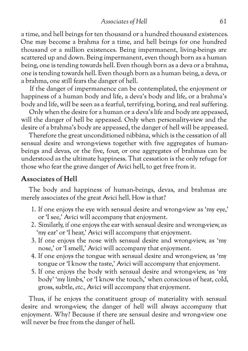*Associates of Hell* 61

a time, and hell beings for ten thousand or a hundred thousand existences. One may become a brahma for a time, and hell beings for one hundred thousand or a million existences. Being impermanent, living-beings are scattered up and down. Being impermanent, even though born as a human being, one is tending towards hell. Even though born as a deva or a brahma, one is tending towards hell. Even though born as a human being, a deva, or a brahma, one still fears the danger of hell.

If the danger of impermanence can be contemplated, the enjoyment or happiness of a human body and life, a deva's body and life, or a brahma's body and life, will be seen as a fearful, terrifying, boring, and real suffering.

Only when the desire for a human or a deva's life and body are appeased, will the danger of hell be appeased. Only when personality-view and the desire of a brahma's body are appeased, the danger of hell will be appeased.

Therefore the great unconditioned nibbāna, which is the cessation of all sensual desire and wrong-views together with five aggregates of humanbeings and devas, or the five, four, or one aggregates of brahmas can be understood as the ultimate happiness. That cessation is the only refuge for those who fear the grave danger of Avīci hell, to get free from it.

#### **Associates of Hell**

The body and happiness of human-beings, devas, and brahmas are merely associates of the great Avīci hell. How is that?

- 1. If one enjoys the eye with sensual desire and wrong-view as 'my eye,' or 'I see,' Avīci will accompany that enjoyment.
- 2. Similarly, if one enjoys the ear with sensual desire and wrong-view, as 'my ear' or 'I hear,' Avīci will accompany that enjoyment.
- 3. If one enjoys the nose with sensual desire and wrong-view, as 'my nose,' or 'I smell,' Avīci will accompany that enjoyment.
- 4. If one enjoys the tongue with sensual desire and wrong-view, as 'my tongue or 'I know the taste,' Avīci will accompany that enjoyment.
- 5. If one enjoys the body with sensual desire and wrong-view, as 'my body' 'my limbs,' or 'I know the touch,' when conscious of heat, cold, gross, subtle, *etc.,* Avīci will accompany that enjoyment.

Thus, if he enjoys the constituent group of materiality with sensual desire and wrong-view, the danger of hell will always accompany that enjoyment. Why? Because if there are sensual desire and wrong-view one will never be free from the danger of hell.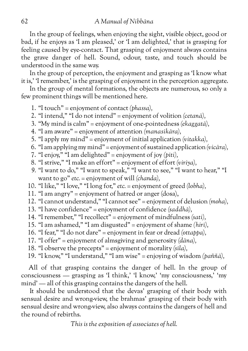In the group of feelings, when enjoying the sight, visible object, good or bad, if he enjoys as 'I am pleased,' or 'I am delighted,' that is grasping for feeling caused by eye-contact. That grasping of enjoyment always contains the grave danger of hell. Sound, odour, taste, and touch should be understood in the same way.

In the group of perception, the enjoyment and grasping as 'I know what it is,' 'I remember,' is the grasping of enjoyment in the perception aggregate.

In the group of mental formations, the objects are numerous, so only a few prominent things will be mentioned here.

- 1. "I touch" = enjoyment of contact *(phassa),*
- 2. "I intend," "I do not intend" = enjoyment of volition *(cetanā),*
- 3. "My mind is calm" = enjoyment of one-pointedness *(ekaggatā),*
- 4. "I am aware" = enjoyment of attention *(manasikāra),*
- 5. "I apply my mind" = enjoyment of initial application *(vitakka),*
- 6. "I am applying my mind" = enjoyment of sustained application *(vicāra),*
- 7. "I enjoy," "I am delighted" = enjoyment of joy *(pīti),*
- 8. "I strive," "I make an effort" = enjoyment of effort *(viriya),*
- *9.* "I want to do," "I want to speak," "I want to see," "I want to hear," "I want to go" *etc.* = enjoyment of will *(chanda),*
- 10. "I like," "I love," "I long for," *etc.* = enjoyment of greed *(lobha),*
- 11. "I am angry" = enjoyment of hatred or anger (dosa),
- 12. "I cannot understand," "I cannot see" = enjoyment of delusion *(moha),*
- 13. "I have confidence" = enjoyment of confidence *(saddhā),*
- 14. "I remember," "I recollect" = enjoyment of mindfulness *(sati),*
- 15. "I am ashamed," "I am disgusted" = enjoyment of shame *(hirī),*
- 16. "I fear," "I do not dare" = enjoyment in fear or dread *(ottappa),*
- 17. "I offer" = enjoyment of almsgiving and generosity *(dāna),*
- 18. "I observe the precepts" = enjoyment of morality *(sīla),*
- 19. "I know," "I understand," "I am wise" = enjoying of wisdom *(paññā),*

All of that grasping contains the danger of hell. In the group of consciousness — grasping as 'I think,' 'I know,' 'my consciousness,' 'my mind' — all of this grasping contains the dangers of the hell.

It should be understood that the devas' grasping of their body with sensual desire and wrong-view, the brahmas' grasping of their body with sensual desire and wrong-view, also always contains the dangers of hell and the round of rebirths.

*This is the exposition of associates of hell.*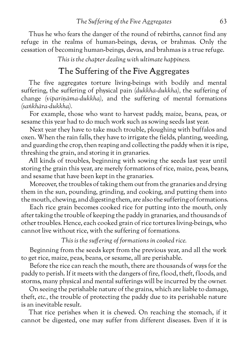Thus he who fears the danger of the round of rebirths, cannot find any refuge in the realms of human-beings, devas, or brahmas. Only the cessation of becoming human-beings, devas, and brahmas is a true refuge.

*This is the chapter dealing with ultimate happiness.*

### The Suffering of the Five Aggregates

The five aggregates torture living-beings with bodily and mental suffering, the suffering of physical pain *(dukkha-dukkha),* the suffering of change *(vipariṇāma-dukkha),* and the suffering of mental formations *(saṅkhāra-dukkha).*

For example, those who want to harvest paddy, maize, beans, peas, or sesame this year had to do much work such as sowing seeds last year.

Next year they have to take much trouble, ploughing with buffalos and oxen. When the rain falls, they have to irrigate the fields, planting, weeding, and guarding the crop, then reaping and collecting the paddy when it is ripe, threshing the grain, and storing it in granaries.

All kinds of troubles, beginning with sowing the seeds last year until storing the grain this year, are merely formations of rice, maize, peas, beans, and sesame that have been kept in the granaries.

Moreover, the troubles of taking them out from the granaries and drying them in the sun, pounding, grinding, and cooking, and putting them into the mouth, chewing, and digesting them, are also the suffering of formations.

Each rice grain becomes cooked rice for putting into the mouth, only after taking the trouble of keeping the paddy in granaries, and thousands of other troubles. Hence, each cooked grain of rice tortures living-beings, who cannot live without rice, with the suffering of formations.

#### *This is the suffering of formations in cooked rice.*

Beginning from the seeds kept from the previous year, and all the work to get rice, maize, peas, beans, or sesame, all are perishable.

Before the rice can reach the mouth, there are thousands of ways for the paddy to perish. If it meets with the dangers of fire, flood, theft, floods, and storms, many physical and mental sufferings will be incurred by the owner.

On seeing the perishable nature of the grains, which are liable to damage, theft, *etc.,* the trouble of protecting the paddy due to its perishable nature is an inevitable result.

That rice perishes when it is chewed. On reaching the stomach, if it cannot be digested, one may suffer from different diseases. Even if it is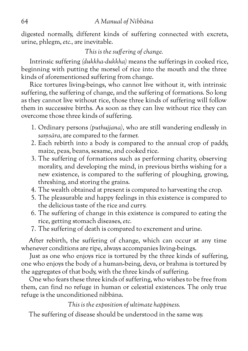digested normally, different kinds of suffering connected with excreta, urine, phlegm, *etc.,* are inevitable.

*This is the suffering of change.*

Intrinsic suffering *(dukkha-dukkha)* means the sufferings in cooked rice, beginning with putting the morsel of rice into the mouth and the three kinds of aforementioned suffering from change.

Rice tortures living-beings, who cannot live without it, with intrinsic suffering, the suffering of change, and the suffering of formations. So long as they cannot live without rice, those three kinds of suffering will follow them in successive births. As soon as they can live without rice they can overcome those three kinds of suffering.

- 1. Ordinary persons *(puthujjana),* who are still wandering endlessly in *saṃsāra,* are compared to the farmer.
- 2. Each rebirth into a body is compared to the annual crop of paddy, maize, peas, beans, sesame, and cooked rice.
- 3. The suffering of formations such as performing charity, observing morality, and developing the mind, in previous births wishing for a new existence, is compared to the suffering of ploughing, growing, threshing, and storing the grains.
- 4. The wealth obtained at present is compared to harvesting the crop.
- 5. The pleasurable and happy feelings in this existence is compared to the delicious taste of the rice and curry.
- 6. The suffering of change in this existence is compared to eating the rice, getting stomach diseases, *etc.*
- 7. The suffering of death is compared to excrement and urine.

After rebirth, the suffering of change, which can occur at any time whenever conditions are ripe, always accompanies living-beings.

Just as one who enjoys rice is tortured by the three kinds of suffering, one who enjoys the body of a human-being, deva, or brahma is tortured by the aggregates of that body, with the three kinds of suffering.

One who fears these three kinds of suffering, who wishes to be free from them, can find no refuge in human or celestial existences. The only true refuge is the unconditioned nibbāna.

*This is the exposition of ultimate happiness.*

The suffering of disease should be understood in the same way.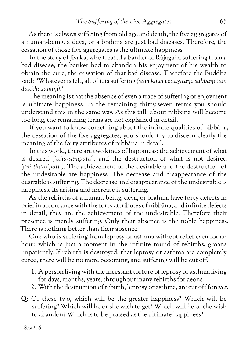As there is always suffering from old age and death, the five aggregates of a human-being, a deva, or a brahma are just bad diseases. Therefore, the cessation of those five aggregates is the ultimate happiness.

In the story of Jīvaka, who treated a banker of Rājagaha suffering from a bad disease, the banker had to abandon his enjoyment of his wealth to obtain the cure, the cessation of that bad disease. Therefore the Buddha said: "Whatever is felt, all of it is suffering *(yaṃ kiñci vedayitaṃ, sabbaṃ taṃ dukkhasamiṃ).1*

The meaning is that the absence of even a trace of suffering or enjoyment is ultimate happiness. In the remaining thirty-seven terms you should understand this in the same way. As this talk about nibbāna will become too long, the remaining terms are not explained in detail.

If you want to know something about the infinite qualities of nibbāna, the cessation of the five aggregates, you should try to discern clearly the meaning of the forty attributes of nibbāna in detail.

In this world, there are two kinds of happiness: the achievement of what is desired *(iṭṭha-sampatti),* and the destruction of what is not desired *(aniṭṭha-vipatti).* The achievement of the desirable and the destruction of the undesirable are happiness. The decrease and disappearance of the desirable is suffering. The decrease and disappearance of the undesirable is happiness. Its arising and increase is suffering.

As the rebirths of a human being, deva, or brahma have forty defects in brief in accordance with the forty attributes of nibbāna, and infinite defects in detail, they are the achievement of the undesirable. Therefore their presence is merely suffering. Only their absence is the noble happiness. There is nothing better than their absence.

One who is suffering from leprosy or asthma without relief even for an hour, which is just a moment in the infinite round of rebirths, groans impatiently. If rebirth is destroyed, that leprosy or asthma are completely cured, there will be no more becoming, and suffering will be cut off.

- 1. A person living with the incessant torture of leprosy or asthma living for days, months, years, throughout many rebirths for aeons.
- 2. With the destruction of rebirth, leprosy or asthma, are cut off forever.
- **Q:** Of these two, which will be the greater happiness? Which will be suffering? Which will he or she wish to get? Which will he or she wish to abandon? Which is to be praised as the ultimate happiness?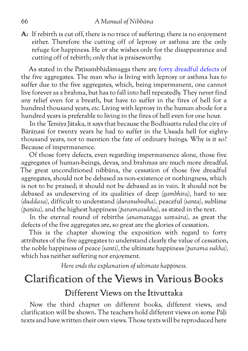**A:** If rebirth is cut off, there is no trace of suffering; there is no enjoyment either. Therefore the cutting off of leprosy or asthma are the only refuge for happiness. He or she wishes only for the disappearance and cutting off of rebirth; only that is praiseworthy.

As stated in the Patisambhidāmagga there are [forty dreadful defects](#page-64-0) of the five aggregates. The man who is living with leprosy or asthma has to suffer due to the five aggregates, which, being impermanent, one cannot live forever as a brahma, but has to fall into hell repeatedly. They never find any relief even for a breath, but have to suffer in the fires of hell for a hundred thousand years, *etc.* Living with leprosy in the human abode for a hundred years is preferable to living in the fires of hell even for one hour.

In the Temiya Jātaka, it says that because the Bodhisatta ruled the city of Bārāṇasī for twenty years he had to suffer in the Ussada hell for eightythousand years, not to mention the fate of ordinary beings. Why is it so? Because of impermanence.

Of those forty defects, even regarding impermanence alone, those five aggregates of human-beings, devas, and brahmas are much more dreadful. The great unconditioned nibbāna, the cessation of those five dreadful aggregates, should not be debased as non-existence or nothingness, which is not to be praised; it should not be debased as in vain. It should not be debased as undeserving of its qualities of deep *(gambhīra),* hard to see *(duddasa),* difficult to understand *(duranubodha),* peaceful *(santa),* sublime *(paṇīta),* and the highest happiness *(paramasukha),* as stated in the text.

In the eternal round of rebirths *(anamatagga saṃsāra),* as great the defects of the five aggregates are, so great are the glories of cessation.

This is the chapter showing the exposition with regard to forty attributes of the five aggregates to understand clearly the value of cessation, the noble happiness of peace *(santi),* the ultimate happiness *(parama sukha),* which has neither suffering nor enjoyment.

*Here ends the explanation of ultimate happiness.*

# Clarification of the Views in Various Books Different Views on the Itivuttaka

Now the third chapter on different books, different views, and clarification will be shown. The teachers hold different views on some Pāḷi texts and have written their own views. Those texts will be reproduced here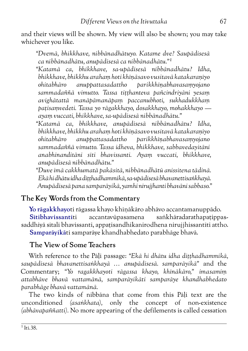<span id="page-72-0"></span>and their views will be shown. My view will also be shown; you may take whichever you like.

*"Dvemā, bhikkhave, nibbānadhātuyo. Katame dve? Saupādisesā ca nibbānadhātu, anupādisesā ca nibbānadhātu."1*

*"Katamā ca, bhikkhave, sa-upādisesā nibbānadhātu? Idha, bhikkhave, bhikkhu arahaṃ hoti khīṇāsavo vusitavā katakaraṇīyo ohitabhāro anuppattasadattho parikkhīṇabhavasaṃyojano sammadaññā vimutto. Tassa tiṭṭhanteva pañcindriyāni yesaṃ avighātattā manāpāmanāpaṃ paccanubhoti, sukhadukkhaṃ paṭisaṃvedeti. Tassa yo rāgakkhayo, dosakkhayo, mohakkhayo ayaṃ vuccati, bhikkhave, sa-upādisesā nibbānadhātu."*

*"Katamā ca, bhikkhave, anupādisesā nibbānadhātu? Idha, bhikkhave, bhikkhu arahaṃ hoti khīṇāsavo vusitavā katakaraṇīyo ohitabhāro anuppattasadattho parikkhīṇabhavasaṃyojano sammadaññā vimutto. Tassa idheva, bhikkhave, sabbavedayitāni anabhinanditāni sīti bhavissanti. Ayaṃ vuccati, bhikkhave, anupādisesā nibbānadhātu."*

*"Duve imā cakkhumatā pakāsitā, nibbānadhātū anissitena tādinā. Ekā hi dhātu idha diṭṭhadhammikā, sa-upādisesā bhavanettisaṅkhayā. Anupādisesā pana samparāyikā, yamhi nirujjhanti bhavāni sabbaso."*

# **The Key Words from the Commentary**

**Yo rāgakkhayo**ti rāgassa khayo khīṇākāro abhāvo accantamanuppādo. **Sītibhavissantī**ti accantavūpasamena saṅkhāradarathapaṭippassaddhiyā sītalī bhavissanti, appatisandhikanirodhena nirujihissantīti attho. **Samparāyikā**ti samparāye khandhabhedato parabhāge bhavā.

### **The View of Some Teachers**

With reference to the Pāḷi passage: *"Ekā hi dhātu idha diṭṭhadhammikā, saupādisesā bhavanettisaṅkhayā … anupādisesā. samparāyikā"* and the Commentary; *"Yo ragakkhayoti rāgassa khayo, khīnākāro," imasamiṃ attabhāve bhavā vattamānā, samparāyikāti samparāye khandhabhedato parabhāge bhavā vattamānā.*

The two kinds of nibbāna that come from this Pāḷi text are the unconditioned *(asaṅkhata),* only the concept of non-existence *(abhāvapaññatti).* No more appearing of the defilements is called cessation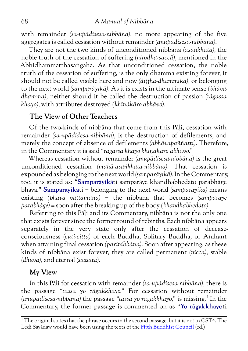<span id="page-73-0"></span>with remainder *(sa-upādisesa-nibbāna),* no more appearing of the five aggregates is called cessation without remainder *(anupādisesa-nibbāna).*

They are not the two kinds of unconditioned nibbāna *(asaṅkhata),* the noble truth of the cessation of suffering *(nirodha-saccā),* mentioned in the Abhidhammatthasaṅgaha. As that unconditioned cessation, the noble truth of the cessation of suffering, is the only dhamma existing forever, it should not be called visible here and now *(diṭṭha-dhammika),* or belonging to the next world *(samparāyikā).* As it is exists in the ultimate sense *(bhāvadhamma),* neither should it be called the destruction of passion *(rāgassa khayo),* with attributes destroyed *(khīṇākāro abhāvo).*

# **The View of Other Teachers**

Of the two-kinds of nibbāna that come from this Pāḷi, cessation with remainder *(sa-upādidesa-nibbāna),* is the destruction of defilements, and merely the concept of absence of defilements *(abhāvapaññatti).* Therefore, in the Commentary it is said *"rāgassa khayo khīṇākāro abhāvo."*

Whereas cessation without remainder *(anupādisesa-nibbāna)* is the great unconditioned cessation *(mahā-asaṅkhata-nibbāna).* That cessation is expounded as belonging to the next world *(samparāyikā).* In the Commentary, too, it is stated as: "**Samparāyikā**ti samparāye khandhabhedato parabhāge bhavā." **Samparāyikā**ti = belonging to the next world *(samparāyikā)* means existing *(bhavā vattamānā)* = the nibbāna that becomes *(samparāye parabhāge)* = soon after the breaking up of the body *(khandhabhedato).*

Referring to this Pāḷi and its Commentary, nibbāna is not the only one that exists forever since the former round of rebirths. Each nibbāna appears separately in the very state only after the cessation of deceaseconsciousness *(cuti-citta)* of each Buddha, Solitary Buddha, or Arahant when attaining final cessation *(parinibbāna).* Soon after appearing, as these kinds of nibbāna exist forever, they are called permanent *(nicca),* stable *(dhuva),* and eternal *(sassata).*

# **My View**

In this Pāḷi for cessation with remainder *(sa-upādisesa-nibbāna),* there is the passage *"tassa yo rāgakkhayo."* For cessation without remainder *(anupādisesa-nibbāna)* the passage *"tassa yo rāgakkhayo,"* is missing.1 In the Commentary, the former passage is commented on as "**Yo rāgakkhayo**ti

 $1$ <sup>1</sup>The original states that the phrase occurs in the second passage, but it is not in CST4. The Ledi Sayādaw would have been using the texts of the [Fifth Buddhist Council](https://en.wikipedia.org/wiki/Tripi%E1%B9%ADaka_tablets_at_Kuthodaw_Pagoda) (ed.)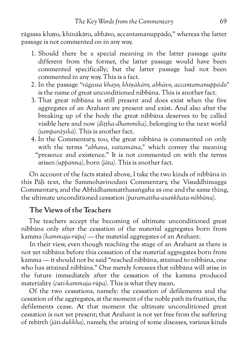<span id="page-74-0"></span>rāgassa khayo, khīnākāro, abhāvo, accantamanuppādo," whereas the latter passage is not commented on in any way.

- 1. Should there be a special meaning in the latter passage quite different from the former, the latter passage would have been commented specifically; but the latter passage had not been commented in any way. This is a fact.
- 2. In the passage *"rāgassa khayo, khīṇākāro, abhāvo, accantamanuppādo"* is the name of great unconditioned nibbāna. This is another fact.
- 3. That great nibbāna is still present and does exist when the five aggregates of an Arahant are present and exist. And also after the breaking up of the body the great nibbāna deserves to be called visible here and now *(diṭṭha-dhammika),* belonging to the next world *(samparāyikā).* This is another fact.
- 4. In the Commentary, too, the great nibbāna is commented on only with the terms *"abhava, vattamāna,"* which convey the meaning "presence and existence." It is not commented on with the terms arisen *(uppanna),* born *(jāta).* This is another fact.

On account of the facts stated above, I take the two kinds of nibbāna in this Pāḷi text, the Sammohavinodanī Commentary, the Visuddhimagga Commentary, and the Abhidhammatthasaṅgaha as one and the same thing, the ultimate unconditioned cessation *(paramattha-asaṅkhata-nibbāna).*

### **The Views of the Teachers**

The teachers accept the becoming of ultimate unconditioned great nibbāna only after the cessation of the material aggregates born from kamma *(kammaja-rūpa)* — the material aggregates of an Arahant.

In their view, even though reaching the stage of an Arahant as there is not yet nibbāna before this cessation of the material aggregates born from kamma — it should not be said "reached nibbāna, attained to nibbāna, one who has attained nibbāna." One merely foresees that nibbāna will arise in the future immediately after the cessation of the kamma produced materiality *(cuti-kammaja-rūpa).* This is what they mean.

Of the two cessations, namely: the cessation of defilements and the cessation of the aggregates, at the moment of the noble path its fruition, the defilements cease. At that moment the ultimate unconditioned great cessation is not yet present; that Arahant is not yet free from the suffering of rebirth *(jāti-dukkha),* namely, the arising of some diseases, various kinds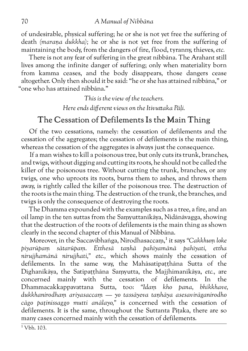<span id="page-75-0"></span>of undesirable, physical suffering; he or she is not yet free the suffering of death *(maraṇa dukkha);* he or she is not yet free from the suffering of maintaining the body, from the dangers of fire, flood, tyranny, thieves, *etc.*

There is not any fear of suffering in the great nibbāna. The Arahant still lives among the infinite danger of suffering; only when materiality born from kamma ceases, and the body disappears, those dangers cease altogether. Only then should it be said: "he or she has attained nibbāna," or "one who has attained nibbāna."

*This is the view of the teachers.*

*Here ends different views on the Itivuttaka Pāḷi.*

# The Cessation of Defilements Is the Main Thing

Of the two cessations, namely: the cessation of defilements and the cessation of the aggregates; the cessation of defilements is the main thing, whereas the cessation of the aggregates is always just the consequence.

If a man wishes to kill a poisonous tree, but only cuts its trunk, branches, and twigs, without digging and cutting its roots, he should not be called the killer of the poisonous tree. Without cutting the trunk, branches, or any twigs, one who uproots its roots, burns them to ashes, and throws them away, is rightly called the killer of the poisonous tree. The destruction of the roots is the main thing. The destruction of the trunk, the branches, and twigs is only the consequence of destroying the roots.

The Dhamma expounded with the examples such as a tree, a fire, and an oil lamp in the ten suttas from the Saṃyuttanikāya, Nidānāvagga, showing that the destruction of the roots of defilements is the main thing as shown clearly in the second chapter of this Manual of Nibbāna.

Moreover, in the Saccavibhaṅga, Nirodhasaccam,<sup>1</sup> it says "Cakkhum loke *piyarūpaṃ sātarūpaṃ. Etthesā taṇhā pahīyamānā pahīyati, ettha nirujjhamānā nirujjhati," etc.,* which shows mainly the cessation of defilements. In the same way, the Mahāsatipaṭṭhāna Sutta of the Dīghanikāya, the Satipaṭṭhāna Saṃyutta, the Majjhimanikāya, *etc.,* are concerned mainly with the cessation of defilements. In the Dhammacakkappavattana Sutta, too: *"Idaṃ kho pana, bhikkhave, dukkhanirodhaṃ ariyasaccaṃ — yo tassāyeva taṇhāya asesavirāganirodho cāgo paṭinissaggo mutti anālayo,"* is concerned with the cessation of defilements. It is the same, throughout the Suttanta Pitaka, there are so many cases concerned mainly with the cessation of defilements.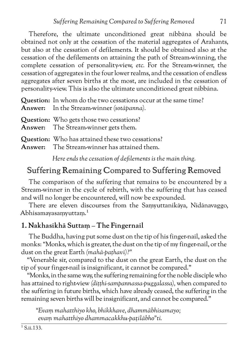<span id="page-76-0"></span>Therefore, the ultimate unconditioned great nibbāna should be obtained not only at the cessation of the material aggregates of Arahants, but also at the cessation of defilements. It should be obtained also at the cessation of the defilements on attaining the path of Stream-winning, the complete cessation of personality-view, *etc.* For the Stream-winner, the cessation of aggregates in the four lower realms, and the cessation of endless aggregates after seven births at the most, are included in the cessation of personality-view. This is also the ultimate unconditioned great nibbāna.

| Question: In whom do the two cessations occur at the same time?<br><b>Answer:</b> In the Stream-winner (sotapanna). |
|---------------------------------------------------------------------------------------------------------------------|
| <b>Question:</b> Who gets those two cessations?<br>Answer: The Stream-winner gets them.                             |
| <b>Question:</b> Who has attained these two cessations?                                                             |

**Answer:** The Stream-winner has attained them.

*Here ends the cessation of defilements is the main thing.*

# Suffering Remaining Compared to Suffering Removed

The comparison of the suffering that remains to be encountered by a Stream-winner in the cycle of rebirth, with the suffering that has ceased and will no longer be encountered, will now be expounded.

There are eleven discourses from the Saṃyuttanikāya, Nidānavaggo, Abhisamayasaṃyuttaṃ.1

### **1. Nakhasikhā Suttaṃ – The Fingernail**

The Buddha, having put some dust on the tip of his finger-nail, asked the monks: "Monks, which is greater, the dust on the tip of my finger-nail, or the dust on the great Earth *(mahā-paṭhavī)?"*

"Venerable sir, compared to the dust on the great Earth, the dust on the tip of your finger-nail is insignificant, it cannot be compared."

"Monks, in the same way, the suffering remaining for the noble disciple who has attained to right-view *(diṭṭhi-sampannassa-puggalassa),* when compared to the suffering in future births, which have already ceased, the suffering in the remaining seven births will be insignificant, and cannot be compared."

*"Evaṃ mahatthiyo kho, bhikkhave, dhammābhisamayo; evaṃ mahatthiyo dhammacakkhu-paṭilābho"ti.*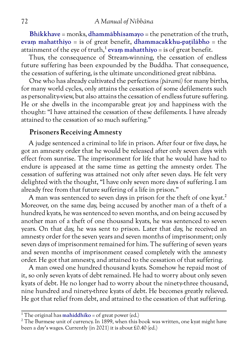<span id="page-77-0"></span>**Bhikkhave** = monks, **dhammābhisamayo** = the penetration of the truth, **evaṃ mahatthiyo** = is of great benefit, **dhammacakkhu-paṭilābho** = the attainment of the eye of truth,<sup>1</sup> evam mahatthiyo = is of great benefit.

Thus, the consequence of Stream-winning, the cessation of endless future suffering has been expounded by the Buddha. That consequence, the cessation of suffering, is the ultimate unconditioned great nibbāna.

One who has already cultivated the perfections *(pāramī)* for many births, for many world cycles, only attains the cessation of some defilements such as personality-view, but also attains the cessation of endless future suffering. He or she dwells in the incomparable great joy and happiness with the thought: "I have attained the cessation of these defilements. I have already attained to the cessation of so much suffering."

### **Prisoners Receiving Amnesty**

A judge sentenced a criminal to life in prison. After four or five days, he got an amnesty order that he would be released after only seven days with effect from sunrise. The imprisonment for life that he would have had to endure is appeased at the same time as getting the amnesty order. The cessation of suffering was attained not only after seven days. He felt very delighted with the thought, "I have only seven more days of suffering. I am already free from that future suffering of a life in prison."

A man was sentenced to seven days in prison for the theft of one kyat.<sup>2</sup> Moreover, on the same day, being accused by another man of a theft of a hundred kyats, he was sentenced to seven months, and on being accused by another man of a theft of one thousand kyats, he was sentenced to seven years. On that day, he was sent to prison. Later that day, he received an amnesty order for the seven years and seven months of imprisonment; only seven days of imprisonment remained for him. The suffering of seven years and seven months of imprisonment ceased completely with the amnesty order. He got that amnesty, and attained to the cessation of that suffering.

A man owed one hundred thousand kyats. Somehow he repaid most of it, so only seven kyats of debt remained. He had to worry about only seven kyats of debt. He no longer had to worry about the ninety-three thousand, nine hundred and ninety-three kyats of debt. He becomes greatly relieved. He got that relief from debt, and attained to the cessation of that suffering.

<sup>&</sup>lt;sup>1</sup> The original has **mahiddhiko** = of great power (ed.)

<sup>&</sup>lt;sup>2</sup> The Burmese unit of currency. In 1899, when this book was written, one kyat might have been a day's wages. Currently (in 2021) it is about £0.40 (ed.)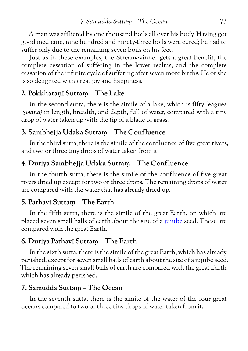<span id="page-78-0"></span>A man was afflicted by one thousand boils all over his body. Having got good medicine, nine hundred and ninety-three boils were cured; he had to suffer only due to the remaining seven boils on his feet.

Just as in these examples, the Stream-winner gets a great benefit, the complete cessation of suffering in the lower realms, and the complete cessation of the infinite cycle of suffering after seven more births. He or she is so delighted with great joy and happiness.

### **2. Pokkharaṇī Suttaṃ – The Lake**

In the second sutta, there is the simile of a lake, which is fifty leagues *(yojana)* in length, breadth, and depth, full of water, compared with a tiny drop of water taken up with the tip of a blade of grass.

#### **3. Sambhejja Udaka Suttaṃ – The Conf luence**

In the third sutta, there is the simile of the confluence of five great rivers, and two or three tiny drops of water taken from it.

### **4. Dutiya Sambhejja Udaka Suttaṃ – The Conf luence**

In the fourth sutta, there is the simile of the confluence of five great rivers dried up except for two or three drops. The remaining drops of water are compared with the water that has already dried up.

### **5. Pathavī Suttaṃ – The Earth**

In the fifth sutta, there is the simile of the great Earth, on which are placed seven small balls of earth about the size of a [jujube](https://en.wikipedia.org/wiki/Jujube) seed. These are compared with the great Earth.

#### **6. Dutiya Pathavī Suttaṃ – The Earth**

In the sixth sutta, there is the simile of the great Earth, which has already perished, except for seven small balls of earth about the size of a jujube seed. The remaining seven small balls of earth are compared with the great Earth which has already perished.

#### **7. Samudda Suttaṃ – The Ocean**

In the seventh sutta, there is the simile of the water of the four great oceans compared to two or three tiny drops of water taken from it.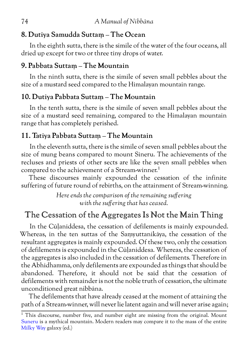## <span id="page-79-0"></span>**8. Dutiya Samudda Suttaṃ – The Ocean**

In the eighth sutta, there is the simile of the water of the four oceans, all dried up except for two or three tiny drops of water.

# **9. Pabbata Suttaṃ – The Mountain**

In the ninth sutta, there is the simile of seven small pebbles about the size of a mustard seed compared to the Himalayan mountain range.

# **10. Dutiya Pabbata Suttaṃ – The Mountain**

In the tenth sutta, there is the simile of seven small pebbles about the size of a mustard seed remaining, compared to the Himalayan mountain range that has completely perished.

# **11. Tatiya Pabbata Suttaṃ – The Mountain**

In the eleventh sutta, there is the simile of seven small pebbles about the size of mung beans compared to mount Sineru. The achievements of the recluses and priests of other sects are like the seven small pebbles when compared to the achievement of a Stream-winner.<sup>1</sup>

These discourses mainly expounded the cessation of the infinite suffering of future round of rebirths, on the attainment of Stream-winning.

> *Here ends the comparison of the remaining suffering with the suffering that has ceased.*

# The Cessation of the Aggregates Is Not the Main Thing

In the Cūḷaniddesa, the cessation of defilements is mainly expounded. Whereas, in the ten suttas of the Saṃyuttanikāya, the cessation of the resultant aggregates is mainly expounded. Of these two, only the cessation of defilements is expounded in the Cūḷaniddesa. Whereas, the cessation of the aggregates is also included in the cessation of defilements. Therefore in the Abhidhamma, only defilements are expounded as things that should be abandoned. Therefore, it should not be said that the cessation of defilements with remainder is not the noble truth of cessation, the ultimate unconditioned great nibbāna.

The defilements that have already ceased at the moment of attaining the path of a Stream-winner, will never lie latent again and will never arise again;

 $\frac{1}{1}$  This discourse, number five, and number eight are missing from the original. Mount [Suneru](http://www.aimwell.org/DPPN/sineru.html) is a mythical mountain. Modern readers may compare it to the mass of the entire [Milky Way](https://en.wikipedia.org/wiki/Milky_Way) galaxy (ed.)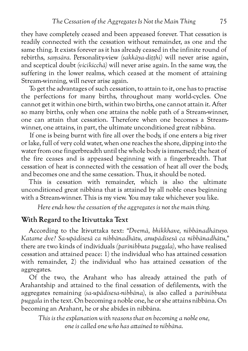<span id="page-80-0"></span>they have completely ceased and been appeased forever. That cessation is readily connected with the cessation without remainder, as one and the same thing. It exists forever as it has already ceased in the infinite round of rebirths, *saṃsāra.* Personality-view *(sakkāya-diṭṭhi)* will never arise again, and sceptical doubt *(vicikicchā)* will never arise again. In the same way, the suffering in the lower realms, which ceased at the moment of attaining Stream-winning, will never arise again.

To get the advantages of such cessation, to attain to it, one has to practise the perfections for many births, throughout many world-cycles. One cannot get it within one birth, within two births, one cannot attain it. After so many births, only when one attains the noble path of a Stream-winner, one can attain that cessation. Therefore when one becomes a Streamwinner, one attains, in part, the ultimate unconditioned great nibbāna.

If one is being burnt with fire all over the body, if one enters a big river or lake, full of very cold water, when one reaches the shore, dipping into the water from one fingerbreadth until the whole body is immersed; the heat of the fire ceases and is appeased beginning with a fingerbreadth. That cessation of heat is connected with the cessation of heat all over the body, and becomes one and the same cessation. Thus, it should be noted.

This is cessation with remainder, which is also the ultimate unconditioned great nibbāna that is attained by all noble ones beginning with a Stream-winner. This is my view. You may take whichever you like.

*Here ends how the cessation of the aggregates is not the main thing.*

### **With Regard to the Itivuttaka Text**

According to the Itivuttaka text: *"Dvemā, bhikkhave, nibbānadhātuyo. Katame dve? Sa-upādisesā ca nibbānadhātu, anupādisesā ca nibbānadhātu,"* there are two kinds of individuals *(parinibbuta puggala),* who have realised cessation and attained peace: 1) the individual who has attained cessation with remainder, 2) the individual who has attained cessation of the aggregates.

Of the two, the Arahant who has already attained the path of Arahantship and attained to the final cessation of defilements, with the aggregates remaining *(sa-upādisesa-nibbāna),* is also called a *parinibbuta puggala* in the text. On becoming a noble one, he or she attains nibbāna. On becoming an Arahant, he or she abides in nibbāna.

*This is the explanation with reasons that on becoming a noble one, one is called one who has attained to nibbāna.*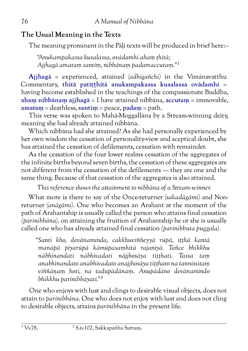# <span id="page-81-0"></span>**The Usual Meaning in the Texts**

The meaning prominent in the Pāli texts will be produced in brief here:-

*"Anukampakassa kusalassa, ovādamhi ahaṃ ṭhitā; Ajjhagā amataṃ santiṃ, nibbānaṃ padamaccutaṃ."1*

**Ajjhagā** = experienced, attained *(adhigañchi)* in the Vimānavatthu Commentary, **thitā patiṭṭhitā anukampakassa kusalassa ovādamhi** = having become established in the teachings of the compassionate Buddha, **ahaṃ nibbānaṃ ajjhagā** = I have attained nibbāna, **accutaṃ** = immovable, **amataṃ** = deathless, **santiṃ** = peace, **padaṃ** = path.

This verse was spoken to Mahā-Moggallāna by a Stream-winning deity, meaning she had already attained nibbāna.

Which nibbāna had she attained? As she had personally experienced by her own wisdom the cessation of personality-view and sceptical doubt, she has attained the cessation of defilements, cessation with remainder.

As the cessation of the four lower realms cessation of the aggregates of the infinite births beyond seven births, the cessation of these aggregates are not different from the cessation of the defilements — they are one and the same thing. Because of that cessation of the aggregates is also attained.

*This reference shows the attainment to nibbāna of a Stream-winner.*

What more is there to say of the Once-returner *(sakadāgāmi)* and Nonreturner *(anāgāmi).* One who becomes an Arahant at the moment of the path of Arahantship is usually called the person who attains final cessation *(parinibbāna),* on attaining the fruition of Arahantship he or she is usually called one who has already attained final cessation *(parinibbuta puggala).*

*"Santi kho, devānaminda, cakkhuviññeyyā rūpā, iṭṭhā kantā manāpā piyarūpā kāmūpasaṃhitā rajanīyā. Tañce bhikkhu nābhinandati nābhivadati nājjhosāya tiṭṭhati. Tassa taṃ anabhinandato anabhivadato anajjhosāya tiṭṭhato na tannissitaṃ viññāṇaṃ hoti, na tadupādānaṃ. Anupādāno devānamindo bhikkhu parinibbāyati."2*

One who enjoys with lust and clings to desirable visual objects, does not attain to *parinibbāna.* One who does not enjoy with lust and does not cling to desirable objects, attains *parinibbāna* in the present life.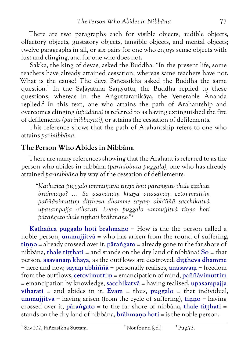<span id="page-82-0"></span>There are two paragraphs each for visible objects, audible objects, olfactory objects, gustatory objects, tangible objects, and mental objects; twelve paragraphs in all, or six pairs for one who enjoys sense objects with lust and clinging, and for one who does not.

Sakka, the king of devas, asked the Buddha: "In the present life, some teachers have already attained cessation; whereas same teachers have not. What is the cause? The deva Pañcasikha asked the Buddha the same question.1 In the Saḷāyatana Saṃyutta, the Buddha replied to these questions, whereas in the Aṅguttaranikāya, the Venerable Ānanda replied.<sup>2</sup> In this text, one who attains the path of Arahantship and overcomes clinging *(upādāna)* is referred to as having extinguished the fire of defilements *(parinibbāyati),* or attains the cessation of defilements.

This reference shows that the path of Arahantship refers to one who attains *parinibbāna.*

# **The Person Who Abides in Nibbāna**

There are many references showing that the Arahant is referred to as the person who abides in nibbāna *(parinibbuta puggala),* one who has already attained *parinibbāna* by way of the cessation of defilements.

*"Kathañca puggalo ummujjitvā tiṇṇo hoti pāraṅgato thale tiṭṭhati brāhmaṇo? … So āsavānaṃ khayā anāsavaṃ cetovimuttiṃ paññāvimuttiṃ diṭṭheva dhamme sayaṃ abhiññā sacchikatvā upasampajja viharati. Evaṃ puggalo ummujjitvā tiṇṇo hoti pāraṅgato thale tiṭṭhati brāhmaṇo."3*

**Kathañca puggalo hoti brāhmaṇo** = How is the the person called a noble person, **ummujjitvā** = who has arisen from the round of suffering, **tiṇṇo** = already crossed over it, **pāraṅgato** = already gone to the far shore of nibbāna, **thale tiṭṭhati** = and stands on the dry land of nibbāna? **So** = that person, **āsavānaṃ khayā**, as the outflows are destroyed, **diṭṭheva dhamme** = here and now, **sayaṃ abhiññā** = personally realises, **anāsavaṃ** = freedom from the outflows, **cetovimuttiṃ** = emancipation of mind, **paññāvimuttiṃ** = emancipation by knowledge, **sacchikatvā** = having realised, **upasaṃpajja viharati** = and abides in it. **Evaṃ** = thus, **puggalo** = that individual, **ummujjitvā** = having arisen (from the cycle of suffering), **tiṇṇo** = having crossed over it, **pāraṅgato** = to the far shore of nibbāna, **thale tiṭṭhati** = stands on the dry land of nibbāna, **brāhmaṇo hoti** = is the noble person.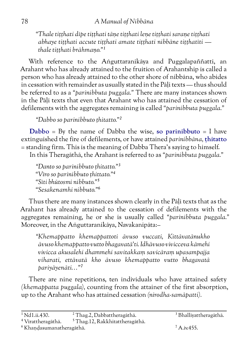*"Thale tiṭṭhati dīpe tiṭṭhati tāṇe tiṭṭhati leṇe tiṭṭhati saraṇe tiṭṭhati abhaye tiṭṭhati accute tiṭṭhati amate tiṭṭhati nibbāne tiṭṭhatīti thale tiṭṭhati brāhmaṇo."1*

With reference to the Aṅguttaranikāya and Puggalapaññatti, an Arahant who has already attained to the fruition of Arahantship is called a person who has already attained to the other shore of nibbāna, who abides in cessation with remainder as usually stated in the Pāli texts — thus should be referred to as a *"parinibbuta puggala."* There are many instances shown in the Pāḷi texts that even that Arahant who has attained the cessation of defilements with the aggregates remaining is called *"parinibbuta puggala."*

*"Dabbo so parinibbuto ṭhitatto."2*

**Dabbo** = By the name of Dabba the wise, **so parinibbuto** = I have extinguished the fire of defilements, or have attained *parinibbāna,* **ṭhitatto** = standing firm. This is the meaning of Dabba Thera's saying to himself.

In this Theragāthā, the Arahant is referred to as *"parinibbuta puggala."*

*"Danto so parinibbuto ṭhitatto."3 "Vīro so parinibbuto ṭhittato."⁴ "Sīti bhūtosmi nibbuto."⁵ "Sesakenamhi nibbuto."⁶*

Thus there are many instances shown clearly in the Pāḷi texts that as the Arahant has already attained to the cessation of defilements with the aggregates remaining, he or she is usually called *"parinibbuta puggala."* Moreover, in the Aṅguttaranikāya, Navakanipāta:–

*"Khemappatto khemappattoti āvuso vuccati, Kittāvatānukho āvuso khemappatto vutto bhagavatā'ti. Idhāvuso vivicceva kāmehi vivicca akusalehi dhammehi savitakkaṃ savicāraṃ upasampajja viharati, ettāvatā kho āvuso khemappatto vutto bhagavatā pariyāyenāti…"⁷*

There are nine repetitions, ten individuals who have attained safety *(khemappatta puggala),* counting from the attainer of the first absorption, up to the Arahant who has attained cessation *(nirodha-samāpatti).*

 $\frac{1}{1}$ Nd1.ii.430.  $\frac{2}{1}$ Thag.2, Dabbattheragāthā.  $\frac{3}{1}$ Bhalliyattheragāthā.

⁴ Vīrattheragāthā. ⁵ Thag.12, Rakkhitattheragāthā.

 $\delta$ Khandasumanatheragāthā.  $\delta$  Khandasumanatheragāthā.  $\delta$  A.iv.455.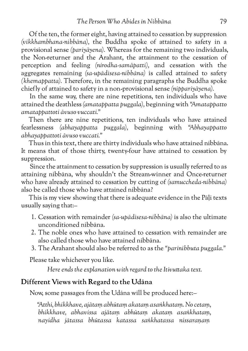<span id="page-84-0"></span>Of the ten, the former eight, having attained to cessation by suppression *(vikkhambhana-nibbāna),* the Buddha spoke of attained to safety in a provisional sense *(pariyāyena).* Whereas for the remaining two individuals, the Non-returner and the Arahant, the attainment to the cessation of perception and feeling *(nirodha-samāpatti),* and cessation with the aggregates remaining *(sa-upādisesa-nibbāna)* is called attained to safety *(khemappatta).* Therefore, in the remaining paragraphs the Buddha spoke chiefly of attained to safety in a non-provisional sense *(nippariyāyena).*

In the same way, there are nine repetitions, ten individuals who have attained the deathless *(amatappatta puggala),* beginning with *"Amatappatto amatappattoti āvuso vuccati."*

Then there are nine repetitions, ten individuals who have attained fearlessness *(abhayappatta puggala),* beginning with *"Abhayappatto abhayappattoti āvuso vuccati."*

Thus in this text, there are thirty individuals who have attained nibbāna. It means that of those thirty, twenty-four have attained to cessation by suppression.

Since the attainment to cessation by suppression is usually referred to as attaining nibbāna, why shouldn't the Stream-winner and Once-returner who have already attained to cessation by cutting of *(samuccheda-nibbāna)* also be called those who have attained nibbāna?

This is my view showing that there is adequate evidence in the Pāḷi texts usually saying that:–

- 1. Cessation with remainder *(sa-upādisesa-nibbāna)* is also the ultimate unconditioned nibbāna.
- 2. The noble ones who have attained to cessation with remainder are also called those who have attained nibbāna.
- 3. The Arahant should also be referred to as the *"parinibbuta puggala."*

Please take whichever you like.

 *Here ends the explanation with regard to the Itivuttaka text.*

### **Different Views with Regard to the Udāna**

Now, some passages from the Udāna will be produced here:–

*"Atthi, bhikkhave, ajātaṃ abhūtaṃ akataṃ asaṅkhataṃ. No cetaṃ, bhikkhave, abhavissa ajātaṃ abhūtaṃ akataṃ asaṅkhataṃ, nayidha jātassa bhūtassa katassa saṅkhatassa nissaraṇaṃ*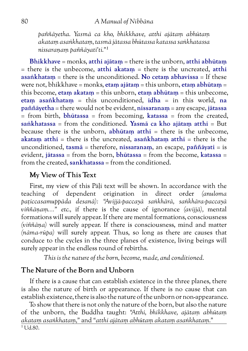<span id="page-85-0"></span>*paññāyetha. Yasmā ca kho, bhikkhave, atthi ajātaṃ abhūtaṃ akataṃ asaṅkhataṃ, tasmā jātassa bhūtassa katassa saṅkhatassa nissaraṇaṃ paññāyatī'ti."1*

**Bhikkhave** = monks, **atthi ajātaṃ** = there is the unborn, **atthi abhūtaṃ** = there is the unbecome, **atthi akataṃ** = there is the uncreated, **atthi asaṅkhataṃ** = there is the unconditioned. **No cetaṃ abhavissa** = If these were not, bhikkhave = monks, **etaṃ ajātaṃ** = this unborn, **etaṃ abhūtaṃ** = this become, **etaṃ akataṃ** = this unborn, **etaṃ abhūtaṃ** = this unbecome, **etaṃ asaṅkhataṃ** = this unconditioned, **idha** = in this world, **na paññāyetha** = there would not be evident, **nissaranaṃ** = any escape, **jātassa**  $=$  from birth, **bhūtassa**  $=$  from becoming, **katassa**  $=$  from the created, **saṅkhatassa** = from the conditioned. **Yasmā ca kho ajātaṃ atthi** = But because there is the unborn, **abhūtaṃ atthi** = there is the unbecome, **akataṃ atthi** = there is the uncreated, **asaṅkhataṃ atthi** = there is the unconditioned, **tasmā** = therefore, **nissaranaṃ**, an escape, **paññāyati** = is evident, **jātassa** = from the born, **bhūtassa** = from the become, **katassa** = from the created, sankhatassa = from the conditioned.

# **My View of This Text**

First, my view of this Pāḷi text will be shown. In accordance with the teaching of dependent origination in direct order *(anuloma paṭiccasamuppāda desanā): "Avijjā-paccayā saṅkhārā, saṅkhāra-paccayā viññāṇaṃ…" etc.,* if there is the cause of ignorance *(avijjā),* mental formations will surely appear. If there are mental formations, consciousness *(viññāṇa)* will surely appear. If there is consciousness, mind and matter *(nāma-rūpa)* will surely appear. Thus, so long as there are causes that conduce to the cycles in the three planes of existence, living beings will surely appear in the endless round of rebirths.

*This is the nature of the born, become, made, and conditioned.*

# **The Nature of the Born and Unborn**

If there is a cause that can establish existence in the three planes, there is also the nature of birth or appearance. If there is no cause that can establish existence, there is also the nature of the unborn or non-appearance.

To show that there is not only the nature of the born, but also the nature of the unborn, the Buddha taught: *"Atthi, bhikkhave, ajātaṃ abhūtaṃ akataṃ asaṅkhataṃ,"* and *"atthi ajātaṃ abhūtaṃ akataṃ asaṅkhataṃ."* <sup>1</sup> Ud.80.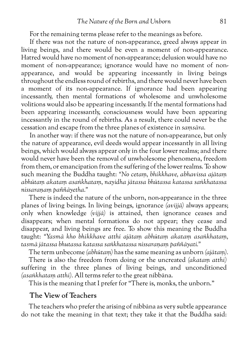<span id="page-86-0"></span>For the remaining terms please refer to the meanings as before.

If there was not the nature of non-appearance, greed always appear in living beings, and there would be even a moment of non-appearance. Hatred would have no moment of non-appearance; delusion would have no moment of non-appearance; ignorance would have no moment of nonappearance, and would be appearing incessantly in living beings throughout the endless round of rebirths, and there would never have been a moment of its non-appearance. If ignorance had been appearing incessantly, then mental formations of wholesome and unwholesome volitions would also be appearing incessantly. If the mental formations had been appearing incessantly, consciousness would have been appearing incessantly in the round of rebirths. As a result, there could never be the cessation and escape from the three planes of existence in *saṃsāra.*

In another way: if there was not the nature of non-appearance, but only the nature of appearance, evil deeds would appear incessantly in all living beings, which would always appear only in the four lower realms; and there would never have been the removal of unwholesome phenomena, freedom from them, or emancipation from the suffering of the lower realms. To show such meaning the Buddha taught: *"No cetaṃ, bhikkhave, abhavissa ajātaṃ abhūtaṃ akataṃ asaṅkhataṃ, nayidha jātassa bhūtassa katassa saṅkhatassa nissaraṇaṃ paññāyetha."*

There is indeed the nature of the unborn, non-appearance in the three planes of living beings. In living beings, ignorance *(avijjā)* always appears; only when knowledge *(vijjā)* is attained, then ignorance ceases and disappears; when mental formations do not appear; they cease and disappear, and living beings are free. To show this meaning the Buddha taught: *"Yasmā kho bhikkhave atthi ajātaṃ abhūtaṃ akataṃ asaṅkhataṃ, tasmā jātassa bhutassa katassa saṅkhatassa nissaraṇaṃ paññāyati."*

The term unbecome *(abhūtaṃ)* has the same meaning as unborn *(ajātaṃ).*

There is also the freedom from doing or the uncreated *(akataṃ atthi)* suffering in the three planes of living beings, and unconditioned *(asaṅkhataṃ atthi).* All terms refer to the great nibbāna.

This is the meaning that I prefer for "There is, monks, the unborn."

#### **The View of Teachers**

The teachers who prefer the arising of nibbāna as very subtle appearance do not take the meaning in that text; they take it that the Buddha said: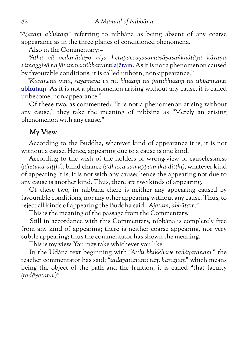<span id="page-87-0"></span>*"Ajataṃ abhūtaṃ"* referring to nibbāna as being absent of any coarse appearance as in the three planes of conditioned phenomena.

Also in the Commentary:–

*"Atha vā vedanādayo viya hetupaccayasamavāyasaṅkhātāya kāraṇasāmaggiyā na jātaṃ na nibbattanti* **ajātaṃ**. As it is not a phenomenon caused by favourable conditions, it is called unborn, non-appearance."

*"Kāraṇena vinā, sayameva vā na bhūtaṃ na pātubhūtaṃ na uppannanti* **abhūtaṃ**. As it is not a phenomenon arising without any cause, it is called unbecome, non-appearance."

Of these two, as commented: "It is not a phenomenon arising without any cause," they take the meaning of nibbāna as "Merely an arising phenomenon with any cause."

### **My View**

According to the Buddha, whatever kind of appearance it is, it is not without a cause. Hence, appearing due to a cause is one kind.

According to the wish of the holders of wrong-view of causelessness *(ahetuka-diṭṭhi),* blind chance *(adhicca-samuppannika-diṭṭhi),* whatever kind of appearing it is, it is not with any cause; hence the appearing not due to any cause is another kind. Thus, there are two kinds of appearing.

Of these two, in nibbāna there is neither any appearing caused by favourable conditions, nor any other appearing without any cause. Thus, to reject all kinds of appearing the Buddha said: *"Ajataṃ, abhūtaṃ."*

This is the meaning of the passage from the Commentary.

Still in accordance with this Commentary, nibbāna is completely free from any kind of appearing; there is neither coarse appearing, nor very subtle appearing; thus the commentator has shown the meaning.

This is my view. You may take whichever you like.

In the Udāna text beginning with *"Atthi bhikkhave tadāyatanaṃ,"* the teacher commentator has said: *"tadāyatananti taṃ kāraṇaṃ"* which means being the object of the path and the fruition, it is called "that faculty *(tadāyatana.)"*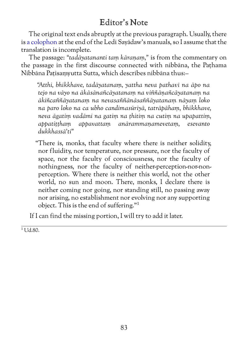# Editor's Note

The original text ends abruptly at the previous paragraph. Usually, there is [a colophon](http://www.aimwell.org/anatta.html#Conclusion) at the end of the Ledi Sayādaw's manuals, so I assume that the translation is incomplete.

The passage: *"tadāyatananti taṃ kāraṇaṃ,"* is from the commentary on the passage in the first discourse connected with nibbāna, the Paṭhama Nibbāna Paṭisaṃyutta Sutta, which describes nibbāna thus:–

*"Atthi, bhikkhave, tadāyatanaṃ, yattha neva pathavī na āpo na tejo na vāyo na ākāsānañcāyatanaṃ na viññāṇañcāyatanaṃ na ākiñcaññāyatanaṃ na nevasaññānāsaññāyatanaṃ nāyaṃ loko na paro loko na ca ubho candimasūriyā, tatrāpāhaṃ, bhikkhave, neva āgatiṃ vadāmi na gatiṃ na ṭhitiṃ na cutiṃ na upapattiṃ, appatiṭṭhaṃ appavattaṃ anārammaṇamevetaṃ, esevanto dukkhassā'ti"*

"There is, monks, that faculty where there is neither solidity, nor fluidity, nor temperature, nor pressure, nor the faculty of space, nor the faculty of consciousness, nor the faculty of nothingness, nor the faculty of neither-perception-nor-nonperception. Where there is neither this world, not the other world, no sun and moon. There, monks, I declare there is neither coming nor going, nor standing still, no passing away nor arising, no establishment nor evolving nor any supporting object. This is the end of suffering."1

If I can find the missing portion, I will try to add it later.

 $1$  Ud.80.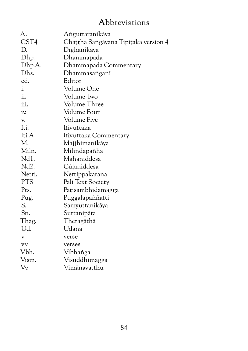# Abbreviations

| А.                      | Aṅguttaranikāya                      |
|-------------------------|--------------------------------------|
| CST4                    | Chattha Sangāyana Tipitaka version 4 |
| D.                      | Dighanikāya                          |
| Dhp.                    | Dhammapada                           |
| Dhp.A.                  | Dhammapada Commentary                |
| Dhs.                    | Dhammasangani                        |
| ed.                     | Editor                               |
| i.                      | Volume One                           |
| ii.                     | Volume Two                           |
| iii.                    | Volume Three                         |
| iv.                     | Volume Four                          |
| V.                      | <b>Volume Five</b>                   |
| Iti.                    | Itivuttaka                           |
| Iti.A.                  | Itivuttaka Commentary                |
| М.                      | Majjhimanikāya                       |
| Miln.                   | Milindapañha                         |
| Nd1.                    | Mahāniddesa                          |
| Nd <sub>2</sub> .       | Cūlaniddesa                          |
| Netti.                  | Nettippakarana                       |
| <b>PTS</b>              | Pali Text Society                    |
| Pts.                    | Pațisambhidāmagga                    |
| Pug.                    | Puggalapaññatti                      |
| S.                      | Saṃyuttanikāya                       |
| Sn.                     | Suttanipāta                          |
| Thag.                   | Theragāthā                           |
| Ud.                     | Udāna                                |
| $\overline{\mathbf{V}}$ | verse                                |
| <b>VV</b>               | verses                               |
| Vbh.                    | Vibhanga                             |
| Vism.                   | Visuddhimagga                        |
| Vv.                     | Vimānavatthu                         |
|                         |                                      |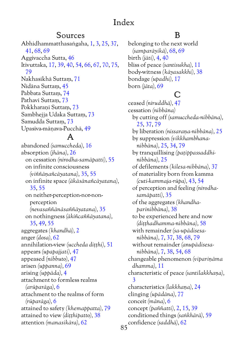# Index

### Sources

Abhidhammatthasaṅgaha, [1,](#page-6-0) [3,](#page-8-0) [25](#page-30-0), [37](#page-42-0), [41,](#page-46-0) [68,](#page-73-0) [69](#page-74-0) Aggivaccha Sutta, [46](#page-51-0) Itivuttaka, [17,](#page-22-0) [39](#page-44-0), [40](#page-45-0), [54,](#page-59-0) [66,](#page-71-0) [67,](#page-72-0) [70](#page-75-0), [75](#page-80-0), [79](#page-84-0) Nakhasikhā Suttaṃ, [71](#page-76-0) Nidāna Suttaṃ, [45](#page-50-0) Pabbata Suttaṃ, [74](#page-79-0) Pathavī Suttaṃ, [73](#page-78-0) Pokkharaṇī Suttaṃ, [73](#page-78-0) Sambhejja Udaka Suttaṃ, [73](#page-78-0) Samudda Suttaṃ, [73](#page-78-0) Upasīva-māṇava-Pucchā, [49](#page-54-0)

### A

 $85$ abandoned *(samuccheda),* [16](#page-21-0) absorption *(jhāna),* [26](#page-31-0) on cessation *(nirodha-samāpatti),* [55](#page-60-0) on infinite consciousness *(viññāṇañcāyatana),* [35,](#page-40-0) [55](#page-60-0) on infinite space *(ākāsānañcāyatana),* [35,](#page-40-0) [55](#page-60-0) on neither-perception-nor-nonperception *(nevasaññānāsaññāyatana),* [35](#page-40-0) on nothingness *(ākiñcaññāyatana),* [35,](#page-40-0) [49](#page-54-0), [55](#page-60-0) aggregates *(khandhā),* [2](#page-7-0) anger *(dosa),* [62](#page-67-0) annihilation-view *(uccheda diṭṭhi),* [51](#page-56-0) appears *(upapajjati),* [47](#page-52-0) appeased *(nibbuto),* [47](#page-52-0) arisen *(uppanna),* [69](#page-74-0) arising *(uppāda),* [4](#page-9-0) attachment to formless realms *(arūparāga),* [6](#page-11-0) attachment to the realms of form *(rūparāga),* [6](#page-11-0) attained to safety *(khemappatta),* [79](#page-84-0) attained to view *(diṭṭhipatto),* [38](#page-43-0) attention *(manasikāra),* [62](#page-67-0)

### B

belonging to the next world *(samparāyikā),* [68](#page-73-0), [69](#page-74-0) birth *(jāti),* [4,](#page-9-0) [40](#page-45-0) bliss of peace *(santisukha),* [11](#page-16-0) body-witness *(kāyasakkhi),* [38](#page-43-0) bondage *(upadhi),* [17](#page-22-0) born *(jāta),* [69](#page-74-0)

# $\Gamma$

ceased *(niruddhā),* [47](#page-52-0) cessation *(nibbāna)* by cutting off *(samuccheda-nibbāna),* [25,](#page-30-0) [37,](#page-42-0) [79](#page-84-0) by liberation *(nissaraṇa-nibbāna),* [25](#page-30-0) by suppression *(vikkhambhananibbāna),* [25,](#page-30-0) [34,](#page-39-0) [79](#page-84-0) by tranquillising *(paṭippassaddhinibbāna),* [25](#page-30-0) of defilements *(kilesa-nibbāna),* [37](#page-42-0) of materiality born from kamma *(cuti-kammaja-rūpa),* [43,](#page-48-0) [54](#page-59-0) of perception and feeling *(nirodhasamāpatti),* [35](#page-40-0) of the aggregates *(khandhaparinibbāna),* [38](#page-43-0) to be experienced here and now *(diṭṭhadhamma-nibbāna),* [58](#page-63-0) with remainder *(sa-upādisesanibbāna),* [7](#page-12-0), [37](#page-42-0), [38,](#page-43-0) [68,](#page-73-0) [79](#page-84-0) without remainder *(anupādisesanibbāna),* [7](#page-12-0), [38](#page-43-0), [54,](#page-59-0) [68](#page-73-0) changeable phenomenon *(vipariṇāma dhamma),* [11](#page-16-0) characteristic of peace *(santilakkhaṇa),* [3](#page-8-0) characteristics *(lakkhaṇa),* [24](#page-29-0) clinging *(upādāna),* [77](#page-82-0) conceit *(māna),* [6](#page-11-0) concept *(paññatti),* [2,](#page-7-0) [15,](#page-20-0) [39](#page-44-0) conditioned things *(saṅkhārā),* [59](#page-64-0) confidence *(saddhā),* [62](#page-67-0)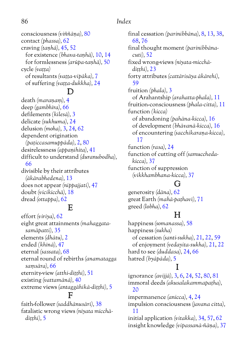### 86 *Index*

consciousness *(viññāṇa),* [80](#page-85-0) contact *(phassa),* [62](#page-67-0) craving *(taṇhā),* [45,](#page-50-0) [52](#page-57-0) for existence *(bhava-taṇhā),* [10](#page-15-0), [14](#page-19-0) for formlessness *(arūpa-taṇhā),* [50](#page-55-0) cycle *(vaṭṭa)* of resultants *(vaṭṭa-vipāka),* [7](#page-12-0) of suffering *(vaṭṭa-dukkha),* [24](#page-29-0)

### D

death *(maraṇaṃ),* [4](#page-9-0) deep *(gambhīra),* [66](#page-71-0) defilements *(kilesā),* [3](#page-8-0) delicate *(sukhuma),* [24](#page-29-0) delusion *(moha),* [3](#page-8-0), [24](#page-29-0), [62](#page-67-0) dependent origination *(paṭiccasamuppāda),* [2,](#page-7-0) [80](#page-85-0) desirelessness *(appaṇihita),* [41](#page-46-0) difficult to understand *(duranubodha),* [66](#page-71-0) divisible by their attributes *(ākārabhedena),* [13](#page-18-0) does not appear *(nippajjati),* [47](#page-52-0) doubt *(vicikicchā),* [18](#page-23-0) dread *(ottappa),* [62](#page-67-0)

### $\mathbf{E}$

effort *(viriya),* [62](#page-67-0) eight great attainments *(mahaggatasamāpatti),* [35](#page-40-0) elements *(dhātu),* [2](#page-7-0) ended *(khīnā),* [47](#page-52-0) eternal *(sassata),* [68](#page-73-0) eternal round of rebirths *(anamatagga saṃsāra),* [66](#page-71-0) eternity-view *(atthi-diṭṭhi),* [51](#page-56-0) existing *(vattamānā),* [40](#page-45-0) extreme views *(antaggāhikā-diṭṭhi),* [5](#page-10-0)  $\mathbf F$ faith-follower *(saddhānusārī),* [38](#page-43-0)

fatalistic wrong views *(niyata micchā-*

*diṭṭhi),* [5](#page-10-0)

final cessation *(parinibbāna),* [8,](#page-13-0) [13](#page-18-0), [38](#page-43-0), [68](#page-73-0), [76](#page-81-0) final thought moment *(parinibbānacuti),* [52](#page-57-0) fixed wrong-views *(niyata-micchādiṭṭhi),* [23](#page-28-0) forty attributes *(cattārisāya ākārehi),* [59](#page-64-0) fruition *(phala),* [3](#page-8-0) of Arahantship *(arahatta-phala),* [11](#page-16-0) fruition-consciousness *(phala-citta),* [11](#page-16-0) function *(kicca)* of abandoning *(pahāna-kicca),* [16](#page-21-0) of development *(bhāvanā-kicca),* [16](#page-21-0) of encountering *(sacchikaraṇa-kicca),* [17](#page-22-0) function *(rasa),* [24](#page-29-0) function of cutting off *(samucchedakicca),* [37](#page-42-0) function of suppression *(vikkhambhana-kicca),* [37](#page-42-0)

### G

generosity *(dāna),* [62](#page-67-0) great Earth *(mahā-paṭhavī),* [71](#page-76-0) greed *(lobha),* [62](#page-67-0)

# $H$

happiness *(somanassa),* [58](#page-63-0) happiness *(sukha)* of cessation *(santi-sukha),* [21,](#page-26-0) [22,](#page-27-0) [59](#page-64-0) of enjoyment *(vedayita-sukha),* [21](#page-26-0), [22](#page-27-0) hard to see *(duddasa),* [24,](#page-29-0) [66](#page-71-0) hatred *(byāpāda),* [5](#page-10-0)

### I

ignorance *(avijjā),* [3,](#page-8-0) [6,](#page-11-0) [24,](#page-29-0) [52](#page-57-0), [80](#page-85-0), [81](#page-86-0) immoral deeds *(akusalakammapaṭha),* [20](#page-25-0) impermanence *(anicca),* [4](#page-9-0), [24](#page-29-0) impulsion consciousness *(javana citta),* [11](#page-16-0) initial application *(vitakka),* [34,](#page-39-0) [57](#page-62-0), [62](#page-67-0) insight knowledge *(vipassanā-ñāṇa),* [37](#page-42-0)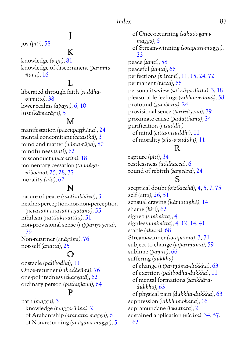# J

 $\mathbf K$ 

joy *(pīti),* [58](#page-63-0)

knowledge *(vijjā),* [81](#page-86-0) knowledge of discernment *(pariññā ñāṇa),* [16](#page-21-0)

### L

liberated through faith *(saddhāvimutto),* [38](#page-43-0) lower realms *(apāya),* [6,](#page-11-0) [10](#page-15-0) lust *(kāmarāga),* [5](#page-10-0)

#### M

manifestation *(paccupaṭṭhāna),* [24](#page-29-0) mental concomitant *(cetasikā),* [3](#page-8-0) mind and matter *(nāma-rūpa),* [80](#page-85-0) mindfulness *(sati),* [62](#page-67-0) misconduct *(duccarita),* [18](#page-23-0) momentary cessation *(tadaṅganibbāna),* [25,](#page-30-0) [28,](#page-33-0) [37](#page-42-0) morality *(sīla),* [62](#page-67-0)

### N

nature of peace *(santisabhāva),* [3](#page-8-0) neither-perception-nor-non-perception *(nevasaññānāsaññāyatana),* [55](#page-60-0) nihilism *(natthika-diṭṭhi),* [51](#page-56-0) non-provisional sense *(nippariyāyena),* [79](#page-84-0) Non-returner *(anāgāmi),* [76](#page-81-0)

not-self *(anatta),* [25](#page-30-0)

# O

obstacle *(palibodha),* [11](#page-16-0) Once-returner *(sakadāgāmi),* [76](#page-81-0) one-pointedness *(ekaggatā),* [62](#page-67-0) ordinary person *(puthujjana),* [64](#page-69-0)

### P

path *(magga),* [3](#page-8-0) knowledge *(magga-ñāṇa),* [2](#page-7-0) of Arahantship *(arahatta-magga),* [6](#page-11-0) of Non-returning *(anāgāmi-magga),* [5](#page-10-0)

of Once-returning *(sakadāgāmimagga),* [5](#page-10-0) of Stream-winning *(sotāpatti-magga),* [23](#page-28-0) peace *(santi),* [58](#page-63-0) peaceful *(santa),* [66](#page-71-0) perfections *(pāramī),* [11](#page-16-0), [15](#page-20-0), [24,](#page-29-0) [72](#page-77-0) permanent *(nicca),* [68](#page-73-0) personality-view *(sakkāya-diṭṭhi),* [3](#page-8-0), [18](#page-23-0) pleasurable feelings *(sukha-vedanā),* [58](#page-63-0) profound *(gambhīra),* [24](#page-29-0) provisional sense *(pariyāyena),* [79](#page-84-0) proximate cause *(padaṭṭhāna),* [24](#page-29-0) purification *(visuddhi)* of mind *(citta-visuddhi),* [11](#page-16-0) of morality *(sīla-visuddhi),* [11](#page-16-0)

### R

rapture *(pīti),* [34](#page-39-0) restlessness *(uddhacca),* [6](#page-11-0) round of rebirth *(saṃsāra),* [24](#page-29-0)

### S

sceptical doubt *(vicikicchā),* [4,](#page-9-0) [5,](#page-10-0) [7](#page-12-0), [75](#page-80-0) self *(atta),* [26,](#page-31-0) [51](#page-56-0) sensual craving *(kāmataṇhā),* [14](#page-19-0) shame *(hirī),* [62](#page-67-0) signed *(sanimitta),* [4](#page-9-0) signless *(animitta),* [4,](#page-9-0) [12,](#page-17-0) [14](#page-19-0), [41](#page-46-0) stable *(dhuva),* [68](#page-73-0) Stream-winner *(sotāpanna),* [3,](#page-8-0) [71](#page-76-0) subject to change *(vipariṇāma),* [59](#page-64-0) sublime *(paṇīta),* [66](#page-71-0) suffering *(dukkha)* of change *(vipariṇāma-dukkha),* [63](#page-68-0) of exertion *(palibodha-dukkha),* [11](#page-16-0) of mental formations *(saṅkhāradukkha),* [63](#page-68-0) of physical pain *(dukkha-dukkha),* [63](#page-68-0) suppression *(vikkhambhaṇa),* [16](#page-21-0) supramundane *(lokuttara),* [2](#page-7-0) sustained application *(vicāra),* [34,](#page-39-0) [57,](#page-62-0) [62](#page-67-0)